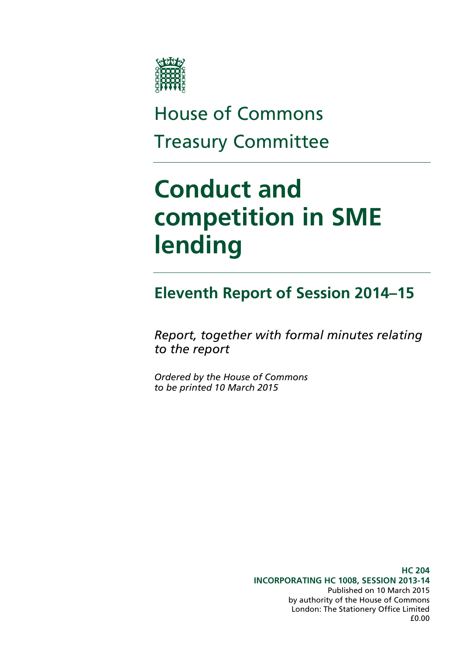

# House of Commons Treasury Committee

# **Conduct and competition in SME lending**

## **Eleventh Report of Session 2014–15**

*Report, together with formal minutes relating to the report*

*Ordered by the House of Commons to be printed 10 March 2015*

> **HC 204 INCORPORATING HC 1008, SESSION 2013-14** Published on 10 March 2015 by authority of the House of Commons London: The Stationery Office Limited £0.00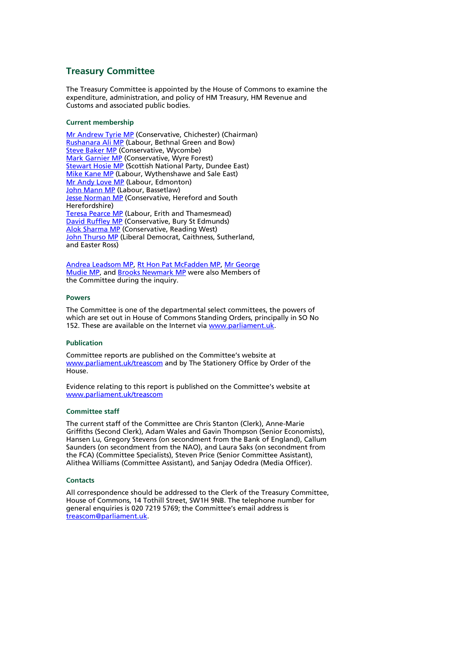#### **Treasury Committee**

The Treasury Committee is appointed by the House of Commons to examine the expenditure, administration, and policy of HM Treasury, HM Revenue and Customs and associated public bodies.

#### **Current membership**

[Mr Andrew Tyrie MP](http://www.parliament.uk/biographies/commons/Mr-Andrew-Tyrie/112) (Conservative, Chichester) (Chairman) [Rushanara Ali MP](http://www.parliament.uk/biographies/commons/rushanara-ali/4138) (Labour, Bethnal Green and Bow) [Steve Baker MP](http://www.parliament.uk/biographies/commons/steve-baker/4064) (Conservative, Wycombe) **[Mark Garnier MP](http://www.parliament.uk/biographies/commons/Mark-Garnier/4074)** (Conservative, Wyre Forest) **[Stewart Hosie MP](http://www.parliament.uk/biographies/commons/Stewart-Hosie/1514)** (Scottish National Party, Dundee East) [Mike Kane MP](http://www.parliament.uk/biographies/commons/mike-kane/4316) (Labour, Wythenshawe and Sale East) [Mr Andy Love MP](http://www.parliament.uk/biographies/commons/Mr-Andrew-Love/164) (Labour, Edmonton) [John Mann MP](http://www.parliament.uk/biographies/commons/John-Mann/1387) (Labour, Bassetlaw) **[Jesse Norman MP](http://www.parliament.uk/biographies/commons/Jesse-Norman/3991)** (Conservative, Hereford and South Herefordshire) [Teresa Pearce MP](http://www.parliament.uk/biographies/commons/Teresa-Pearce/4003) (Labour, Erith and Thamesmead) [David Ruffley MP](http://www.parliament.uk/biographies/commons/Mr-David-Ruffley/133) (Conservative, Bury St Edmunds) [Alok Sharma MP](http://www.parliament.uk/biographies/commons/alok-sharma/4014) (Conservative, Reading West) [John Thurso MP](http://www.parliament.uk/biographies/commons/John-Thurso/1399) (Liberal Democrat, Caithness, Sutherland, and Easter Ross)

[Andrea Leadsom MP,](http://www.parliament.uk/biographies/commons/andrea-leadsom/4117) [Rt Hon Pat McFadden MP,](http://www.parliament.uk/biographies/commons/mr-pat-mcfadden/1587) [Mr George](http://www.parliament.uk/biographies/commons/mr-george-mudie/414)  [Mudie MP,](http://www.parliament.uk/biographies/commons/mr-george-mudie/414) an[d Brooks Newmark MP](http://www.parliament.uk/biographies/commons/mr-brooks-newmark/1488) were also Members of the Committee during the inquiry.

#### **Powers**

The Committee is one of the departmental select committees, the powers of which are set out in House of Commons Standing Orders, principally in SO No 152. These are available on the Internet vi[a www.parliament.uk.](http://www.parliament.uk/)

#### **Publication**

Committee reports are published on the Committee's website at [www.parliament.uk/t](http://www.parliament.uk/)reascom and by The Stationery Office by Order of the House.

Evidence relating to this report is published on the Committee's website at [www.parliament.uk/treascom](http://www.parliament.uk/treascom)

#### **Committee staff**

The current staff of the Committee are Chris Stanton (Clerk), Anne-Marie Griffiths (Second Clerk), Adam Wales and Gavin Thompson (Senior Economists), Hansen Lu, Gregory Stevens (on secondment from the Bank of England), Callum Saunders (on secondment from the NAO), and Laura Saks (on secondment from the FCA) (Committee Specialists), Steven Price (Senior Committee Assistant), Alithea Williams (Committee Assistant), and Sanjay Odedra (Media Officer).

#### **Contacts**

All correspondence should be addressed to the Clerk of the Treasury Committee, House of Commons, 14 Tothill Street, SW1H 9NB. The telephone number for general enquiries is 020 7219 5769; the Committee's email address is [treascom@parliament.uk.](mailto:treascom@parliament.uk)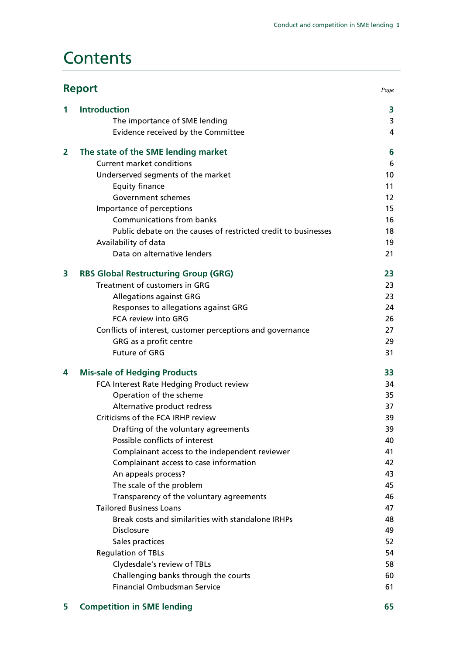## **Contents**

|                | <b>Report</b>                                                  |    |
|----------------|----------------------------------------------------------------|----|
| 1              | <b>Introduction</b>                                            | 3  |
|                | The importance of SME lending                                  | 3  |
|                | Evidence received by the Committee                             | 4  |
| $\overline{2}$ | The state of the SME lending market                            | 6  |
|                | <b>Current market conditions</b>                               | 6  |
|                | Underserved segments of the market                             | 10 |
|                | <b>Equity finance</b>                                          | 11 |
|                | Government schemes                                             | 12 |
|                | Importance of perceptions                                      | 15 |
|                | Communications from banks                                      | 16 |
|                | Public debate on the causes of restricted credit to businesses | 18 |
|                | Availability of data                                           | 19 |
|                | Data on alternative lenders                                    | 21 |
| 3              | <b>RBS Global Restructuring Group (GRG)</b>                    | 23 |
|                | Treatment of customers in GRG                                  | 23 |
|                | <b>Allegations against GRG</b>                                 | 23 |
|                | Responses to allegations against GRG                           | 24 |
|                | FCA review into GRG                                            | 26 |
|                | Conflicts of interest, customer perceptions and governance     | 27 |
|                | GRG as a profit centre                                         | 29 |
|                | <b>Future of GRG</b>                                           | 31 |
| 4              | <b>Mis-sale of Hedging Products</b>                            | 33 |
|                | FCA Interest Rate Hedging Product review                       | 34 |
|                | Operation of the scheme                                        | 35 |
|                | Alternative product redress                                    | 37 |
|                | Criticisms of the FCA IRHP review                              | 39 |
|                | Drafting of the voluntary agreements                           | 39 |
|                | Possible conflicts of interest                                 | 40 |
|                | Complainant access to the independent reviewer                 | 41 |
|                | Complainant access to case information                         | 42 |
|                | An appeals process?                                            | 43 |
|                | The scale of the problem                                       | 45 |
|                | Transparency of the voluntary agreements                       | 46 |
|                | <b>Tailored Business Loans</b>                                 | 47 |
|                | Break costs and similarities with standalone IRHPs             | 48 |
|                | <b>Disclosure</b>                                              | 49 |
|                | Sales practices                                                | 52 |
|                | <b>Regulation of TBLs</b>                                      | 54 |
|                | Clydesdale's review of TBLs                                    | 58 |
|                | Challenging banks through the courts                           | 60 |
|                | <b>Financial Ombudsman Service</b>                             | 61 |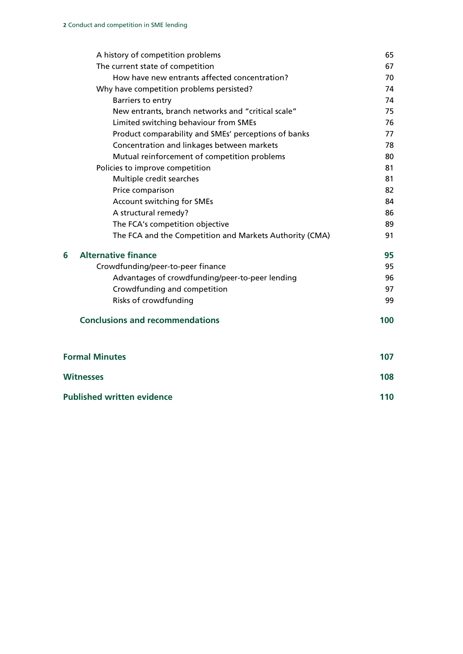|                       | A history of competition problems                       | 65  |
|-----------------------|---------------------------------------------------------|-----|
|                       | The current state of competition                        | 67  |
|                       | How have new entrants affected concentration?           | 70  |
|                       | Why have competition problems persisted?                | 74  |
|                       | Barriers to entry                                       | 74  |
|                       | New entrants, branch networks and "critical scale"      | 75  |
|                       | Limited switching behaviour from SMEs                   | 76  |
|                       | Product comparability and SMEs' perceptions of banks    | 77  |
|                       | Concentration and linkages between markets              | 78  |
|                       | Mutual reinforcement of competition problems            | 80  |
|                       | Policies to improve competition                         | 81  |
|                       | Multiple credit searches                                | 81  |
|                       | Price comparison                                        | 82  |
|                       | Account switching for SMEs                              | 84  |
|                       | A structural remedy?                                    | 86  |
|                       | The FCA's competition objective                         | 89  |
|                       | The FCA and the Competition and Markets Authority (CMA) | 91  |
| 6                     | <b>Alternative finance</b>                              | 95  |
|                       | Crowdfunding/peer-to-peer finance                       | 95  |
|                       | Advantages of crowdfunding/peer-to-peer lending         | 96  |
|                       | Crowdfunding and competition                            | 97  |
|                       | Risks of crowdfunding                                   | 99  |
|                       | <b>Conclusions and recommendations</b>                  | 100 |
| <b>Formal Minutes</b> |                                                         | 107 |
| <b>Witnesses</b>      |                                                         | 108 |
|                       | <b>Published written evidence</b>                       |     |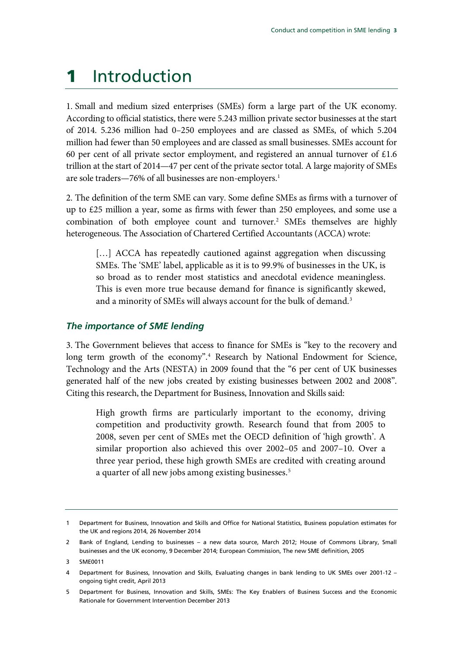# <span id="page-4-0"></span>1 Introduction

1. Small and medium sized enterprises (SMEs) form a large part of the UK economy. According to official statistics, there were 5.243 million private sector businesses at the start of 2014. 5.236 million had 0–250 employees and are classed as SMEs, of which 5.204 million had fewer than 50 employees and are classed as small businesses. SMEs account for 60 per cent of all private sector employment, and registered an annual turnover of  $£1.6$ trillion at the start of 2014—47 per cent of the private sector total. A large majority of SMEs are sole traders—76% of all businesses are non-employers. [1](#page-4-2)

2. The definition of the term SME can vary. Some define SMEs as firms with a turnover of up to £25 million a year, some as firms with fewer than 250 employees, and some use a combination of both employee count and turnover.<sup>[2](#page-4-3)</sup> SMEs themselves are highly heterogeneous. The Association of Chartered Certified Accountants (ACCA) wrote:

[...] ACCA has repeatedly cautioned against aggregation when discussing SMEs. The 'SME' label, applicable as it is to 99.9% of businesses in the UK, is so broad as to render most statistics and anecdotal evidence meaningless. This is even more true because demand for finance is significantly skewed, and a minority of SMEs will always account for the bulk of demand.<sup>[3](#page-4-4)</sup>

### <span id="page-4-1"></span>*The importance of SME lending*

3. The Government believes that access to finance for SMEs is "key to the recovery and long term growth of the economy".<sup>4</sup> Research by National Endowment for Science, Technology and the Arts (NESTA) in 2009 found that the "6 per cent of UK businesses generated half of the new jobs created by existing businesses between 2002 and 2008". Citing this research, the Department for Business, Innovation and Skills said:

High growth firms are particularly important to the economy, driving competition and productivity growth. Research found that from 2005 to 2008, seven per cent of SMEs met the OECD definition of 'high growth'. A similar proportion also achieved this over 2002–05 and 2007–10. Over a three year period, these high growth SMEs are credited with creating around a quarter of all new jobs among existing businesses.<sup>[5](#page-4-6)</sup>

<span id="page-4-2"></span><sup>1</sup> Department for Business, Innovation and Skills and Office for National Statistics, Business population estimates for the UK and regions 2014, 26 November 2014

<span id="page-4-3"></span><sup>2</sup> Bank of England, Lending to businesses – a new data source, March 2012; House of Commons Library, Small businesses and the UK economy, 9 December 2014; European Commission, The new SME definition, 2005

<span id="page-4-4"></span><sup>3</sup> SME0011

<span id="page-4-5"></span><sup>4</sup> Department for Business, Innovation and Skills, Evaluating changes in bank lending to UK SMEs over 2001-12 – ongoing tight credit, April 2013

<span id="page-4-6"></span><sup>5</sup> Department for Business, Innovation and Skills, SMEs: The Key Enablers of Business Success and the Economic Rationale for Government Intervention December 2013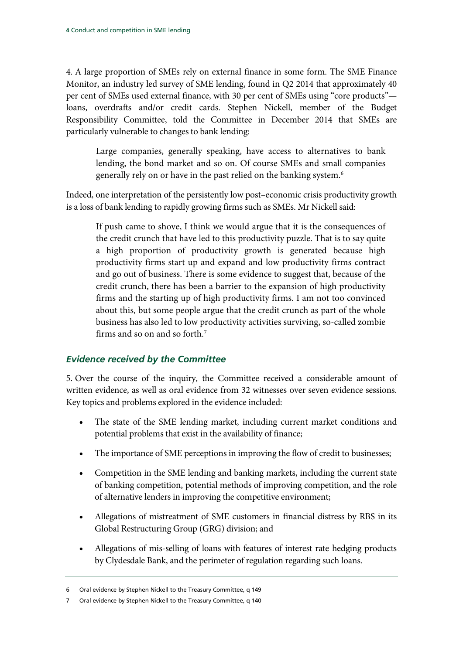4. A large proportion of SMEs rely on external finance in some form. The SME Finance Monitor, an industry led survey of SME lending, found in Q2 2014 that approximately 40 per cent of SMEs used external finance, with 30 per cent of SMEs using "core products" loans, overdrafts and/or credit cards. Stephen Nickell, member of the Budget Responsibility Committee, told the Committee in December 2014 that SMEs are particularly vulnerable to changes to bank lending:

Large companies, generally speaking, have access to alternatives to bank lending, the bond market and so on. Of course SMEs and small companies generally rely on or have in the past relied on the banking system[.6](#page-5-1)

Indeed, one interpretation of the persistently low post–economic crisis productivity growth is a loss of bank lending to rapidly growing firms such as SMEs. Mr Nickell said:

If push came to shove, I think we would argue that it is the consequences of the credit crunch that have led to this productivity puzzle. That is to say quite a high proportion of productivity growth is generated because high productivity firms start up and expand and low productivity firms contract and go out of business. There is some evidence to suggest that, because of the credit crunch, there has been a barrier to the expansion of high productivity firms and the starting up of high productivity firms. I am not too convinced about this, but some people argue that the credit crunch as part of the whole business has also led to low productivity activities surviving, so-called zombie firms and so on and so forth.[7](#page-5-2)

### <span id="page-5-0"></span>*Evidence received by the Committee*

5. Over the course of the inquiry, the Committee received a considerable amount of written evidence, as well as oral evidence from 32 witnesses over seven evidence sessions. Key topics and problems explored in the evidence included:

- The state of the SME lending market, including current market conditions and potential problems that exist in the availability of finance;
- The importance of SME perceptions in improving the flow of credit to businesses;
- Competition in the SME lending and banking markets, including the current state of banking competition, potential methods of improving competition, and the role of alternative lenders in improving the competitive environment;
- Allegations of mistreatment of SME customers in financial distress by RBS in its Global Restructuring Group (GRG) division; and
- Allegations of mis-selling of loans with features of interest rate hedging products by Clydesdale Bank, and the perimeter of regulation regarding such loans.

<span id="page-5-1"></span><sup>6</sup> Oral evidence by Stephen Nickell to the Treasury Committee, q 149

<span id="page-5-2"></span><sup>7</sup> Oral evidence by Stephen Nickell to the Treasury Committee, q 140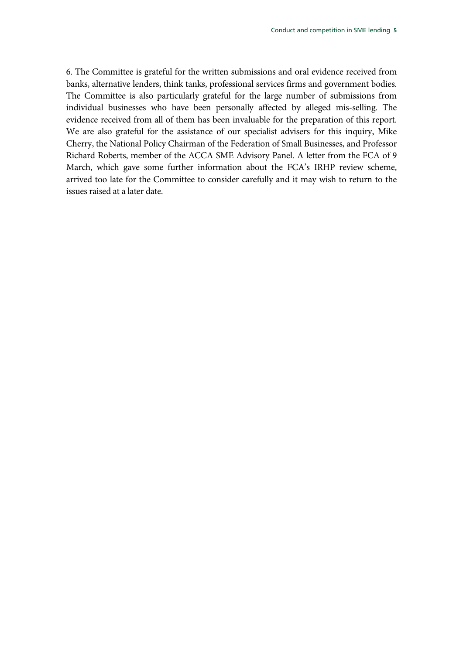6. The Committee is grateful for the written submissions and oral evidence received from banks, alternative lenders, think tanks, professional services firms and government bodies. The Committee is also particularly grateful for the large number of submissions from individual businesses who have been personally affected by alleged mis-selling. The evidence received from all of them has been invaluable for the preparation of this report. We are also grateful for the assistance of our specialist advisers for this inquiry, Mike Cherry, the National Policy Chairman of the Federation of Small Businesses, and Professor Richard Roberts, member of the ACCA SME Advisory Panel. A letter from the FCA of 9 March, which gave some further information about the FCA's IRHP review scheme, arrived too late for the Committee to consider carefully and it may wish to return to the issues raised at a later date.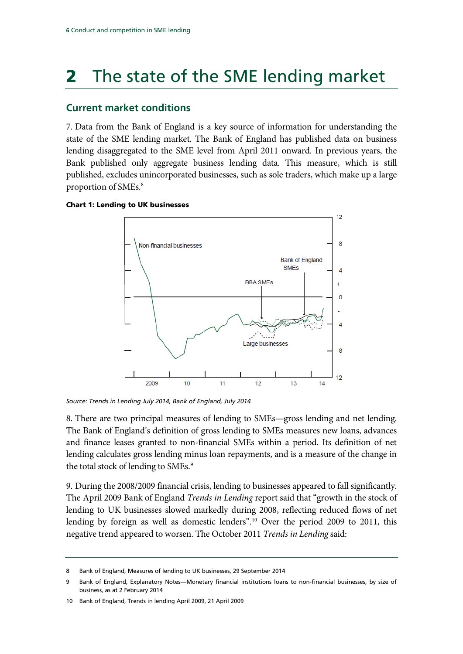# <span id="page-7-0"></span>**2** The state of the SME lending market

## <span id="page-7-1"></span>**Current market conditions**

7. Data from the Bank of England is a key source of information for understanding the state of the SME lending market. The Bank of England has published data on business lending disaggregated to the SME level from April 2011 onward. In previous years, the Bank published only aggregate business lending data. This measure, which is still published, excludes unincorporated businesses, such as sole traders, which make up a large proportion of SMEs.<sup>8</sup>

#### Chart 1: Lending to UK businesses



*Source: Trends in Lending July 2014, Bank of England, July 2014*

8. There are two principal measures of lending to SMEs—gross lending and net lending. The Bank of England's definition of gross lending to SMEs measures new loans, advances and finance leases granted to non-financial SMEs within a period. Its definition of net lending calculates gross lending minus loan repayments, and is a measure of the change in the total stock of lending to SMEs.<sup>[9](#page-7-3)</sup>

9. During the 2008/2009 financial crisis, lending to businesses appeared to fall significantly. The April 2009 Bank of England *Trends in Lending* report said that "growth in the stock of lending to UK businesses slowed markedly during 2008, reflecting reduced flows of net lending by foreign as well as domestic lenders".[10](#page-7-4) Over the period 2009 to 2011, this negative trend appeared to worsen. The October 2011 *Trends in Lending* said:

<span id="page-7-2"></span><sup>8</sup> Bank of England, Measures of lending to UK businesses, 29 September 2014

<span id="page-7-3"></span><sup>9</sup> Bank of England, Explanatory Notes—Monetary financial institutions loans to non-financial businesses, by size of business, as at 2 February 2014

<span id="page-7-4"></span><sup>10</sup> Bank of England, Trends in lending April 2009, 21 April 2009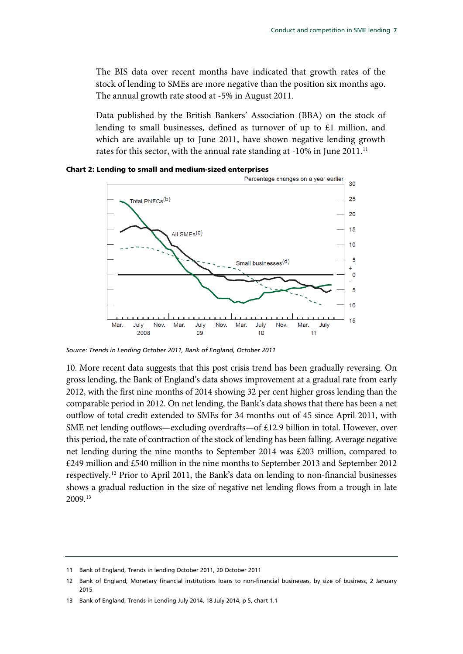The BIS data over recent months have indicated that growth rates of the stock of lending to SMEs are more negative than the position six months ago. The annual growth rate stood at -5% in August 2011.

Data published by the British Bankers' Association (BBA) on the stock of lending to small businesses, defined as turnover of up to £1 million, and which are available up to June 2011, have shown negative lending growth rates for this sector, with the annual rate standing at -10% in June 20[11](#page-8-0).<sup>11</sup>



#### Chart 2: Lending to small and medium-sized enterprises

*Source: Trends in Lending October 2011, Bank of England, October 2011*

10. More recent data suggests that this post crisis trend has been gradually reversing. On gross lending, the Bank of England's data shows improvement at a gradual rate from early 2012, with the first nine months of 2014 showing 32 per cent higher gross lending than the comparable period in 2012. On net lending, the Bank's data shows that there has been a net outflow of total credit extended to SMEs for 34 months out of 45 since April 2011, with SME net lending outflows—excluding overdrafts—of £12.9 billion in total. However, over this period, the rate of contraction of the stock of lending has been falling. Average negative net lending during the nine months to September 2014 was £203 million, compared to £249 million and £540 million in the nine months to September 2013 and September 2012 respectively.[12](#page-8-1) Prior to April 2011, the Bank's data on lending to non-financial businesses shows a gradual reduction in the size of negative net lending flows from a trough in late 2009.[13](#page-8-2)

<span id="page-8-0"></span><sup>11</sup> Bank of England, Trends in lending October 2011, 20 October 2011

<span id="page-8-1"></span><sup>12</sup> Bank of England, Monetary financial institutions loans to non-financial businesses, by size of business, 2 January 2015

<span id="page-8-2"></span><sup>13</sup> Bank of England, Trends in Lending July 2014, 18 July 2014, p 5, chart 1.1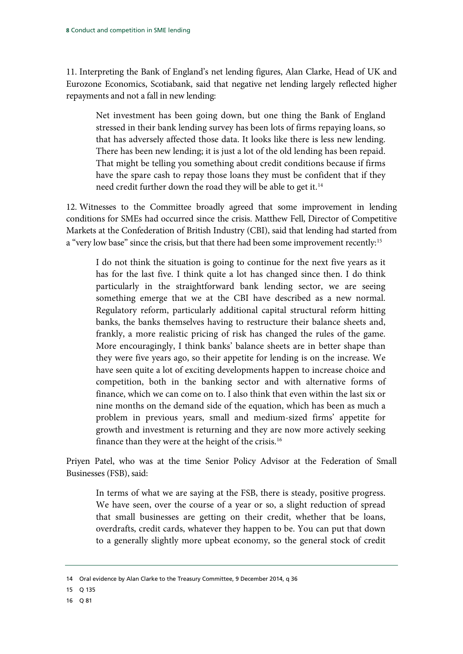11. Interpreting the Bank of England's net lending figures, Alan Clarke, Head of UK and Eurozone Economics, Scotiabank, said that negative net lending largely reflected higher repayments and not a fall in new lending:

Net investment has been going down, but one thing the Bank of England stressed in their bank lending survey has been lots of firms repaying loans, so that has adversely affected those data. It looks like there is less new lending. There has been new lending; it is just a lot of the old lending has been repaid. That might be telling you something about credit conditions because if firms have the spare cash to repay those loans they must be confident that if they need credit further down the road they will be able to get it.<sup>[14](#page-9-0)</sup>

12. Witnesses to the Committee broadly agreed that some improvement in lending conditions for SMEs had occurred since the crisis. Matthew Fell, Director of Competitive Markets at the Confederation of British Industry (CBI), said that lending had started from a "very low base" since the crisis, but that there had been some improvement recently:<sup>[15](#page-9-1)</sup>

I do not think the situation is going to continue for the next five years as it has for the last five. I think quite a lot has changed since then. I do think particularly in the straightforward bank lending sector, we are seeing something emerge that we at the CBI have described as a new normal. Regulatory reform, particularly additional capital structural reform hitting banks, the banks themselves having to restructure their balance sheets and, frankly, a more realistic pricing of risk has changed the rules of the game. More encouragingly, I think banks' balance sheets are in better shape than they were five years ago, so their appetite for lending is on the increase. We have seen quite a lot of exciting developments happen to increase choice and competition, both in the banking sector and with alternative forms of finance, which we can come on to. I also think that even within the last six or nine months on the demand side of the equation, which has been as much a problem in previous years, small and medium-sized firms' appetite for growth and investment is returning and they are now more actively seeking finance than they were at the height of the crisis.<sup>[16](#page-9-2)</sup>

Priyen Patel, who was at the time Senior Policy Advisor at the Federation of Small Businesses (FSB), said:

In terms of what we are saying at the FSB, there is steady, positive progress. We have seen, over the course of a year or so, a slight reduction of spread that small businesses are getting on their credit, whether that be loans, overdrafts, credit cards, whatever they happen to be. You can put that down to a generally slightly more upbeat economy, so the general stock of credit

<span id="page-9-2"></span>16 Q 81

<span id="page-9-0"></span><sup>14</sup> Oral evidence by Alan Clarke to the Treasury Committee, 9 December 2014, q 36

<span id="page-9-1"></span><sup>15</sup> Q 135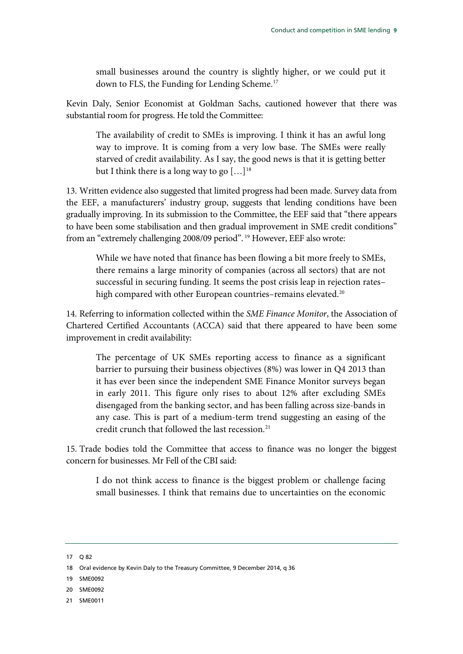small businesses around the country is slightly higher, or we could put it down to FLS, the Funding for Lending Scheme.<sup>[17](#page-10-0)</sup>

Kevin Daly, Senior Economist at Goldman Sachs, cautioned however that there was substantial room for progress. He told the Committee:

The availability of credit to SMEs is improving. I think it has an awful long way to improve. It is coming from a very low base. The SMEs were really starved of credit availability. As I say, the good news is that it is getting better but I think there is a long way to go  $[...]^{18}$  $[...]^{18}$  $[...]^{18}$ 

13. Written evidence also suggested that limited progress had been made. Survey data from the EEF, a manufacturers' industry group, suggests that lending conditions have been gradually improving. In its submission to the Committee, the EEF said that "there appears to have been some stabilisation and then gradual improvement in SME credit conditions" from an "extremely challenging 2008/09 period".<sup>[19](#page-10-2)</sup> However, EEF also wrote:

While we have noted that finance has been flowing a bit more freely to SMEs, there remains a large minority of companies (across all sectors) that are not successful in securing funding. It seems the post crisis leap in rejection rates– high compared with other European countries-remains elevated.<sup>20</sup>

14. Referring to information collected within the *SME Finance Monitor*, the Association of Chartered Certified Accountants (ACCA) said that there appeared to have been some improvement in credit availability:

The percentage of UK SMEs reporting access to finance as a significant barrier to pursuing their business objectives (8%) was lower in Q4 2013 than it has ever been since the independent SME Finance Monitor surveys began in early 2011. This figure only rises to about 12% after excluding SMEs disengaged from the banking sector, and has been falling across size-bands in any case. This is part of a medium-term trend suggesting an easing of the credit crunch that followed the last recession.<sup>[21](#page-10-4)</sup>

15. Trade bodies told the Committee that access to finance was no longer the biggest concern for businesses. Mr Fell of the CBI said:

I do not think access to finance is the biggest problem or challenge facing small businesses. I think that remains due to uncertainties on the economic

- <span id="page-10-1"></span>18 Oral evidence by Kevin Daly to the Treasury Committee, 9 December 2014, q 36
- <span id="page-10-2"></span>19 SME0092
- <span id="page-10-3"></span>20 SME0092
- <span id="page-10-4"></span>21 SME0011

<span id="page-10-0"></span><sup>17</sup> Q 82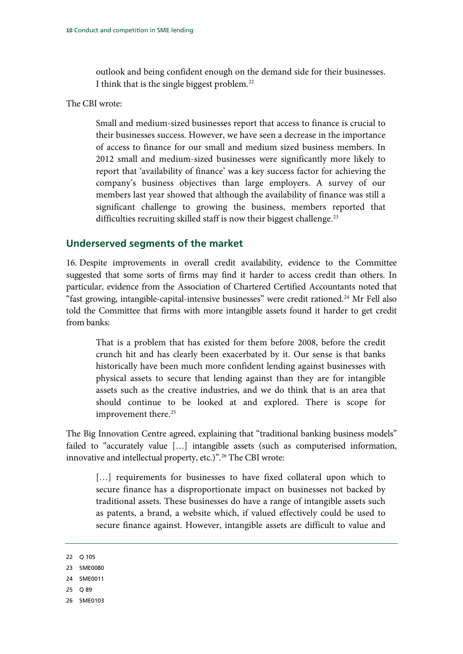outlook and being confident enough on the demand side for their businesses. I think that is the single biggest problem.[22](#page-11-1)

#### The CBI wrote:

Small and medium-sized businesses report that access to finance is crucial to their businesses success. However, we have seen a decrease in the importance of access to finance for our small and medium sized business members. In 2012 small and medium-sized businesses were significantly more likely to report that 'availability of finance' was a key success factor for achieving the company's business objectives than large employers. A survey of our members last year showed that although the availability of finance was still a significant challenge to growing the business, members reported that difficulties recruiting skilled staff is now their biggest challenge.<sup>[23](#page-11-2)</sup>

### <span id="page-11-0"></span>**Underserved segments of the market**

16. Despite improvements in overall credit availability, evidence to the Committee suggested that some sorts of firms may find it harder to access credit than others. In particular, evidence from the Association of Chartered Certified Accountants noted that "fast growing, intangible-capital-intensive businesses" were credit rationed.<sup>[24](#page-11-3)</sup> Mr Fell also told the Committee that firms with more intangible assets found it harder to get credit from banks:

That is a problem that has existed for them before 2008, before the credit crunch hit and has clearly been exacerbated by it. Our sense is that banks historically have been much more confident lending against businesses with physical assets to secure that lending against than they are for intangible assets such as the creative industries, and we do think that is an area that should continue to be looked at and explored. There is scope for improvement there.<sup>[25](#page-11-4)</sup>

The Big Innovation Centre agreed, explaining that "traditional banking business models" failed to "accurately value […] intangible assets (such as computerised information, innovative and intellectual property, etc.)".<sup>[26](#page-11-5)</sup> The CBI wrote:

[...] requirements for businesses to have fixed collateral upon which to secure finance has a disproportionate impact on businesses not backed by traditional assets. These businesses do have a range of intangible assets such as patents, a brand, a website which, if valued effectively could be used to secure finance against. However, intangible assets are difficult to value and

- <span id="page-11-4"></span>25 Q 89
- <span id="page-11-5"></span>26 SME0103

<span id="page-11-1"></span><sup>22</sup> Q 105

<span id="page-11-2"></span><sup>23</sup> SME0080

<span id="page-11-3"></span><sup>24</sup> SME0011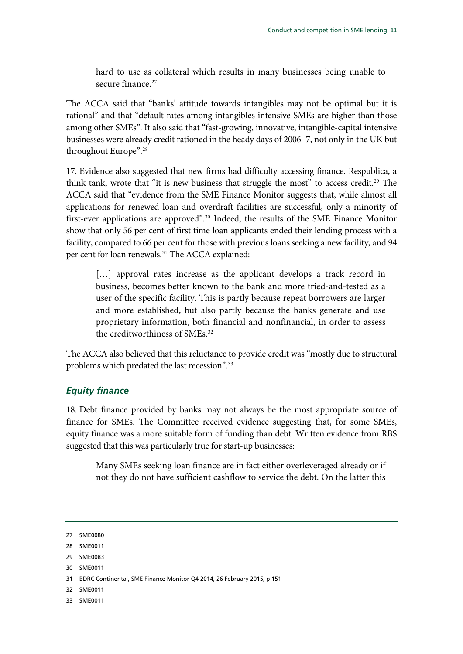hard to use as collateral which results in many businesses being unable to secure finance.<sup>[27](#page-12-1)</sup>

The ACCA said that "banks' attitude towards intangibles may not be optimal but it is rational" and that "default rates among intangibles intensive SMEs are higher than those among other SMEs". It also said that "fast-growing, innovative, intangible-capital intensive businesses were already credit rationed in the heady days of 2006–7, not only in the UK but throughout Europe"[.28](#page-12-2)

17. Evidence also suggested that new firms had difficulty accessing finance. Respublica, a think tank, wrote that "it is new business that struggle the most" to access credit.<sup>[29](#page-12-3)</sup> The ACCA said that "evidence from the SME Finance Monitor suggests that, while almost all applications for renewed loan and overdraft facilities are successful, only a minority of first-ever applications are approved".<sup>[30](#page-12-4)</sup> Indeed, the results of the SME Finance Monitor show that only 56 per cent of first time loan applicants ended their lending process with a facility, compared to 66 per cent for those with previous loans seeking a new facility, and 94 per cent for loan renewals.<sup>[31](#page-12-5)</sup> The ACCA explained:

[...] approval rates increase as the applicant develops a track record in business, becomes better known to the bank and more tried-and-tested as a user of the specific facility. This is partly because repeat borrowers are larger and more established, but also partly because the banks generate and use proprietary information, both financial and nonfinancial, in order to assess the creditworthiness of SMEs.<sup>[32](#page-12-6)</sup>

The ACCA also believed that this reluctance to provide credit was "mostly due to structural problems which predated the last recession". [33](#page-12-7)

### <span id="page-12-0"></span>*Equity finance*

18. Debt finance provided by banks may not always be the most appropriate source of finance for SMEs. The Committee received evidence suggesting that, for some SMEs, equity finance was a more suitable form of funding than debt. Written evidence from RBS suggested that this was particularly true for start-up businesses:

Many SMEs seeking loan finance are in fact either overleveraged already or if not they do not have sufficient cashflow to service the debt. On the latter this

- <span id="page-12-2"></span>28 SME0011
- <span id="page-12-3"></span>29 SME0083
- <span id="page-12-4"></span>30 SME0011
- <span id="page-12-5"></span>31 BDRC Continental, SME Finance Monitor Q4 2014, 26 February 2015, p 151
- <span id="page-12-6"></span>32 SME0011
- <span id="page-12-7"></span>33 SME0011

<span id="page-12-1"></span><sup>27</sup> SME0080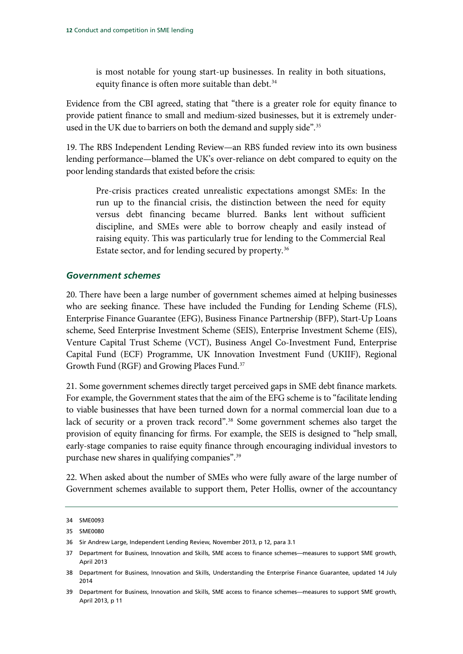is most notable for young start-up businesses. In reality in both situations, equity finance is often more suitable than debt.<sup>[34](#page-13-1)</sup>

Evidence from the CBI agreed, stating that "there is a greater role for equity finance to provide patient finance to small and medium-sized businesses, but it is extremely underused in the UK due to barriers on both the demand and supply side".<sup>35</sup>

19. The RBS Independent Lending Review—an RBS funded review into its own business lending performance—blamed the UK's over-reliance on debt compared to equity on the poor lending standards that existed before the crisis:

Pre-crisis practices created unrealistic expectations amongst SMEs: In the run up to the financial crisis, the distinction between the need for equity versus debt financing became blurred. Banks lent without sufficient discipline, and SMEs were able to borrow cheaply and easily instead of raising equity. This was particularly true for lending to the Commercial Real Estate sector, and for lending secured by property.[36](#page-13-3)

#### <span id="page-13-0"></span>*Government schemes*

20. There have been a large number of government schemes aimed at helping businesses who are seeking finance. These have included the Funding for Lending Scheme (FLS), Enterprise Finance Guarantee (EFG), Business Finance Partnership (BFP), Start-Up Loans scheme, Seed Enterprise Investment Scheme (SEIS), Enterprise Investment Scheme (EIS), Venture Capital Trust Scheme (VCT), Business Angel Co-Investment Fund, Enterprise Capital Fund (ECF) Programme, UK Innovation Investment Fund (UKIIF), Regional Growth Fund (RGF) and Growing Places Fund.<sup>37</sup>

21. Some government schemes directly target perceived gaps in SME debt finance markets. For example, the Government states that the aim of the EFG scheme is to "facilitate lending to viable businesses that have been turned down for a normal commercial loan due to a lack of security or a proven track record"[.38](#page-13-5) Some government schemes also target the provision of equity financing for firms. For example, the SEIS is designed to "help small, early-stage companies to raise equity finance through encouraging individual investors to purchase new shares in qualifying companies".<sup>39</sup>

22. When asked about the number of SMEs who were fully aware of the large number of Government schemes available to support them, Peter Hollis, owner of the accountancy

<span id="page-13-1"></span><sup>34</sup> SME0093

<span id="page-13-2"></span><sup>35</sup> SME0080

<span id="page-13-3"></span><sup>36</sup> Sir Andrew Large, Independent Lending Review, November 2013, p 12, para 3.1

<span id="page-13-4"></span><sup>37</sup> Department for Business, Innovation and Skills, SME access to finance schemes—measures to support SME growth, April 2013

<span id="page-13-5"></span><sup>38</sup> Department for Business, Innovation and Skills, Understanding the Enterprise Finance Guarantee, updated 14 July 2014

<span id="page-13-6"></span><sup>39</sup> Department for Business, Innovation and Skills, SME access to finance schemes—measures to support SME growth, April 2013, p 11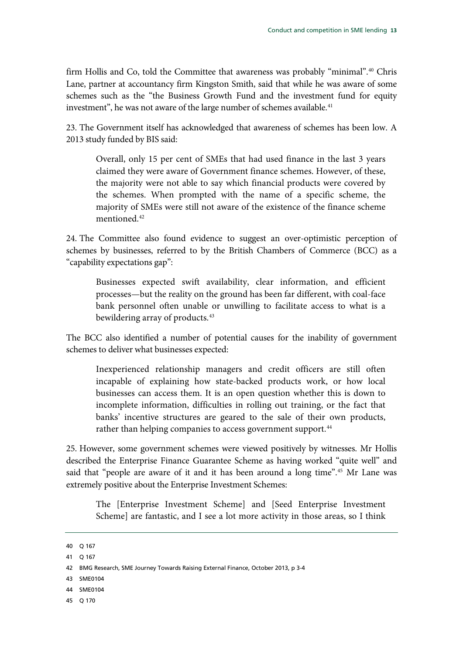firm Hollis and Co, told the Committee that awareness was probably "minimal".<sup>[40](#page-14-0)</sup> Chris Lane, partner at accountancy firm Kingston Smith, said that while he was aware of some schemes such as the "the Business Growth Fund and the investment fund for equity investment", he was not aware of the large number of schemes available.<sup>[41](#page-14-1)</sup>

23. The Government itself has acknowledged that awareness of schemes has been low. A 2013 study funded by BIS said:

Overall, only 15 per cent of SMEs that had used finance in the last 3 years claimed they were aware of Government finance schemes. However, of these, the majority were not able to say which financial products were covered by the schemes. When prompted with the name of a specific scheme, the majority of SMEs were still not aware of the existence of the finance scheme mentioned. [42](#page-14-2)

24. The Committee also found evidence to suggest an over-optimistic perception of schemes by businesses, referred to by the British Chambers of Commerce (BCC) as a "capability expectations gap":

Businesses expected swift availability, clear information, and efficient processes—but the reality on the ground has been far different, with coal-face bank personnel often unable or unwilling to facilitate access to what is a bewildering array of products.<sup>[43](#page-14-3)</sup>

The BCC also identified a number of potential causes for the inability of government schemes to deliver what businesses expected:

Inexperienced relationship managers and credit officers are still often incapable of explaining how state-backed products work, or how local businesses can access them. It is an open question whether this is down to incomplete information, difficulties in rolling out training, or the fact that banks' incentive structures are geared to the sale of their own products, rather than helping companies to access government support.<sup>[44](#page-14-4)</sup>

25. However, some government schemes were viewed positively by witnesses. Mr Hollis described the Enterprise Finance Guarantee Scheme as having worked "quite well" and said that "people are aware of it and it has been around a long time".[45](#page-14-5) Mr Lane was extremely positive about the Enterprise Investment Schemes:

The [Enterprise Investment Scheme] and [Seed Enterprise Investment Scheme] are fantastic, and I see a lot more activity in those areas, so I think

- <span id="page-14-3"></span>43 SME0104
- <span id="page-14-4"></span>44 SME0104
- <span id="page-14-5"></span>45 Q 170

<span id="page-14-0"></span><sup>40</sup> Q 167

<span id="page-14-1"></span><sup>41</sup> Q 167

<span id="page-14-2"></span><sup>42</sup> BMG Research[, SME Journey Towards Raising External Finance,](http://british-business-bank.co.uk/wp-content/uploads/2013/10/SME-Journey-Towards-Raising-Finance.pdf) October 2013, p 3-4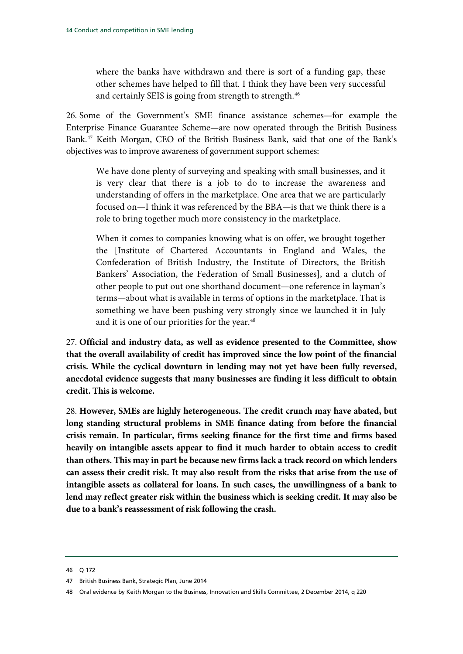where the banks have withdrawn and there is sort of a funding gap, these other schemes have helped to fill that. I think they have been very successful and certainly SEIS is going from strength to strength.<sup>[46](#page-15-0)</sup>

26. Some of the Government's SME finance assistance schemes—for example the Enterprise Finance Guarantee Scheme—are now operated through the British Business Bank[.47](#page-15-1) Keith Morgan, CEO of the British Business Bank, said that one of the Bank's objectives was to improve awareness of government support schemes:

We have done plenty of surveying and speaking with small businesses, and it is very clear that there is a job to do to increase the awareness and understanding of offers in the marketplace. One area that we are particularly focused on—I think it was referenced by the BBA—is that we think there is a role to bring together much more consistency in the marketplace.

When it comes to companies knowing what is on offer, we brought together the [Institute of Chartered Accountants in England and Wales, the Confederation of British Industry, the Institute of Directors, the British Bankers' Association, the Federation of Small Businesses], and a clutch of other people to put out one shorthand document—one reference in layman's terms—about what is available in terms of options in the marketplace. That is something we have been pushing very strongly since we launched it in July and it is one of our priorities for the year.<sup>[48](#page-15-2)</sup>

27. **Official and industry data, as well as evidence presented to the Committee, show that the overall availability of credit has improved since the low point of the financial crisis. While the cyclical downturn in lending may not yet have been fully reversed, anecdotal evidence suggests that many businesses are finding it less difficult to obtain credit. This is welcome.**

28. **However, SMEs are highly heterogeneous. The credit crunch may have abated, but long standing structural problems in SME finance dating from before the financial crisis remain. In particular, firms seeking finance for the first time and firms based heavily on intangible assets appear to find it much harder to obtain access to credit than others. This may in part be because new firms lack a track record on which lenders can assess their credit risk. It may also result from the risks that arise from the use of intangible assets as collateral for loans. In such cases, the unwillingness of a bank to lend may reflect greater risk within the business which is seeking credit. It may also be due to a bank's reassessment of risk following the crash.**

<span id="page-15-0"></span><sup>46</sup> Q 172

<span id="page-15-1"></span><sup>47</sup> British Business Bank, Strategic Plan, June 2014

<span id="page-15-2"></span><sup>48</sup> Oral evidence by Keith Morgan to the Business, Innovation and Skills Committee, 2 December 2014, q 220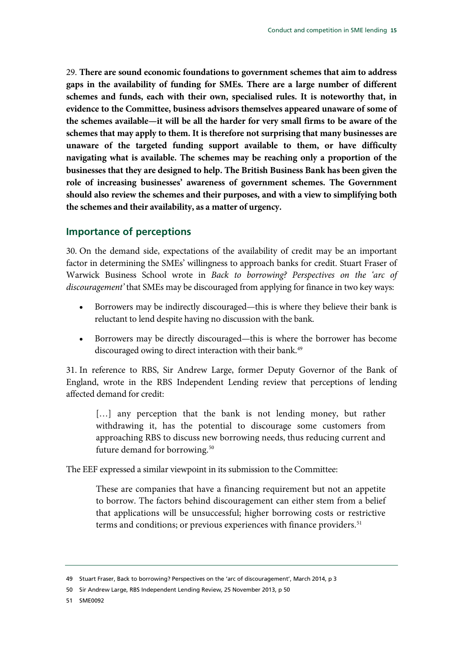29. **There are sound economic foundations to government schemes that aim to address gaps in the availability of funding for SMEs. There are a large number of different schemes and funds, each with their own, specialised rules. It is noteworthy that, in evidence to the Committee, business advisors themselves appeared unaware of some of the schemes available—it will be all the harder for very small firms to be aware of the schemes that may apply to them. It is therefore not surprising that many businesses are unaware of the targeted funding support available to them, or have difficulty navigating what is available. The schemes may be reaching only a proportion of the businesses that they are designed to help. The British Business Bank has been given the role of increasing businesses' awareness of government schemes. The Government should also review the schemes and their purposes, and with a view to simplifying both the schemes and their availability, as a matter of urgency.**

#### <span id="page-16-0"></span>**Importance of perceptions**

30. On the demand side, expectations of the availability of credit may be an important factor in determining the SMEs' willingness to approach banks for credit. Stuart Fraser of Warwick Business School wrote in *Back to borrowing? Perspectives on the 'arc of discouragement'* that SMEs may be discouraged from applying for finance in two key ways:

- Borrowers may be indirectly discouraged—this is where they believe their bank is reluctant to lend despite having no discussion with the bank.
- Borrowers may be directly discouraged—this is where the borrower has become discouraged owing to direct interaction with their bank.<sup>[49](#page-16-1)</sup>

31. In reference to RBS, Sir Andrew Large, former Deputy Governor of the Bank of England, wrote in the RBS Independent Lending review that perceptions of lending affected demand for credit:

[...] any perception that the bank is not lending money, but rather withdrawing it, has the potential to discourage some customers from approaching RBS to discuss new borrowing needs, thus reducing current and future demand for borrowing.<sup>[50](#page-16-2)</sup>

The EEF expressed a similar viewpoint in its submission to the Committee:

These are companies that have a financing requirement but not an appetite to borrow. The factors behind discouragement can either stem from a belief that applications will be unsuccessful; higher borrowing costs or restrictive terms and conditions; or previous experiences with finance providers. [51](#page-16-3)

<span id="page-16-3"></span>51 SME0092

<span id="page-16-1"></span><sup>49</sup> Stuart Fraser, Back to borrowing? Perspectives on the 'arc of discouragement', March 2014, p 3

<span id="page-16-2"></span><sup>50</sup> Sir Andrew Large, RBS Independent Lending Review, 25 November 2013, p 50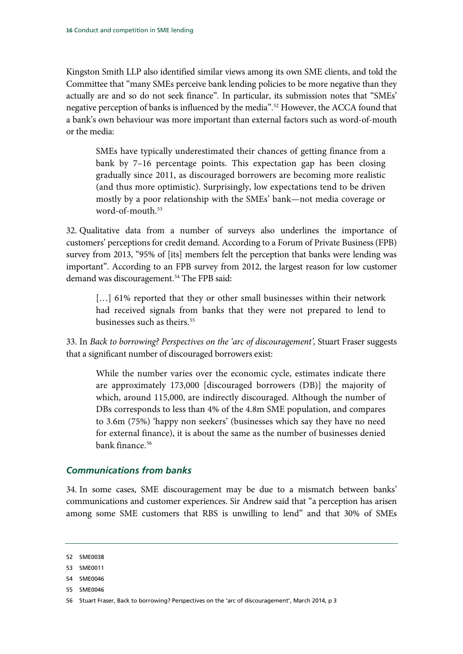Kingston Smith LLP also identified similar views among its own SME clients, and told the Committee that "many SMEs perceive bank lending policies to be more negative than they actually are and so do not seek finance". In particular, its submission notes that "SMEs' negative perception of banks is influenced by the media".[52](#page-17-1) However, the ACCA found that a bank's own behaviour was more important than external factors such as word-of-mouth or the media:

SMEs have typically underestimated their chances of getting finance from a bank by 7–16 percentage points. This expectation gap has been closing gradually since 2011, as discouraged borrowers are becoming more realistic (and thus more optimistic). Surprisingly, low expectations tend to be driven mostly by a poor relationship with the SMEs' bank—not media coverage or word-of-mouth.<sup>[53](#page-17-2)</sup>

32. Qualitative data from a number of surveys also underlines the importance of customers' perceptions for credit demand. According to a Forum of Private Business (FPB) survey from 2013, "95% of [its] members felt the perception that banks were lending was important". According to an FPB survey from 2012, the largest reason for low customer demand was discouragement.<sup>54</sup> The FPB said:

[...] 61% reported that they or other small businesses within their network had received signals from banks that they were not prepared to lend to businesses such as theirs.<sup>[55](#page-17-4)</sup>

33. In *Back to borrowing? Perspectives on the 'arc of discouragement',* Stuart Fraser suggests that a significant number of discouraged borrowers exist:

While the number varies over the economic cycle, estimates indicate there are approximately 173,000 [discouraged borrowers (DB)] the majority of which, around 115,000, are indirectly discouraged. Although the number of DBs corresponds to less than 4% of the 4.8m SME population, and compares to 3.6m (75%) 'happy non seekers' (businesses which say they have no need for external finance), it is about the same as the number of businesses denied bank finance.<sup>[56](#page-17-5)</sup>

### <span id="page-17-0"></span>*Communications from banks*

34. In some cases, SME discouragement may be due to a mismatch between banks' communications and customer experiences. Sir Andrew said that "a perception has arisen among some SME customers that RBS is unwilling to lend" and that 30% of SMEs

<span id="page-17-1"></span><sup>52</sup> SME0038

<span id="page-17-2"></span><sup>53</sup> SME0011

<span id="page-17-3"></span><sup>54</sup> SME0046

<span id="page-17-4"></span><sup>55</sup> SME0046

<span id="page-17-5"></span><sup>56</sup> Stuart Fraser, Back to borrowing? Perspectives on the 'arc of discouragement', March 2014, p 3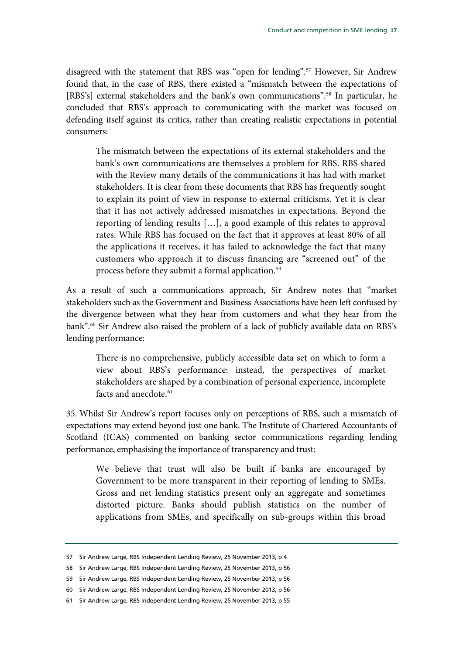disagreed with the statement that RBS was "open for lending".<sup>57</sup> However, Sir Andrew found that, in the case of RBS, there existed a "mismatch between the expectations of [RBS's] external stakeholders and the bank's own communications"[.58](#page-18-1) In particular, he concluded that RBS's approach to communicating with the market was focused on defending itself against its critics, rather than creating realistic expectations in potential consumers:

The mismatch between the expectations of its external stakeholders and the bank's own communications are themselves a problem for RBS. RBS shared with the Review many details of the communications it has had with market stakeholders. It is clear from these documents that RBS has frequently sought to explain its point of view in response to external criticisms. Yet it is clear that it has not actively addressed mismatches in expectations. Beyond the reporting of lending results […], a good example of this relates to approval rates. While RBS has focused on the fact that it approves at least 80% of all the applications it receives, it has failed to acknowledge the fact that many customers who approach it to discuss financing are "screened out" of the process before they submit a formal application.[59](#page-18-2)

As a result of such a communications approach, Sir Andrew notes that "market stakeholders such as the Government and Business Associations have been left confused by the divergence between what they hear from customers and what they hear from the bank".<sup>[60](#page-18-3)</sup> Sir Andrew also raised the problem of a lack of publicly available data on RBS's lending performance:

There is no comprehensive, publicly accessible data set on which to form a view about RBS's performance: instead, the perspectives of market stakeholders are shaped by a combination of personal experience, incomplete facts and anecdote.<sup>61</sup>

35. Whilst Sir Andrew's report focuses only on perceptions of RBS, such a mismatch of expectations may extend beyond just one bank. The Institute of Chartered Accountants of Scotland (ICAS) commented on banking sector communications regarding lending performance, emphasising the importance of transparency and trust:

We believe that trust will also be built if banks are encouraged by Government to be more transparent in their reporting of lending to SMEs. Gross and net lending statistics present only an aggregate and sometimes distorted picture. Banks should publish statistics on the number of applications from SMEs, and specifically on sub-groups within this broad

<span id="page-18-0"></span><sup>57</sup> Sir Andrew Large, RBS Independent Lending Review, 25 November 2013, p 4

<span id="page-18-1"></span><sup>58</sup> Sir Andrew Large, RBS Independent Lending Review, 25 November 2013, p 56

<span id="page-18-2"></span><sup>59</sup> Sir Andrew Large, RBS Independent Lending Review, 25 November 2013, p 56

<span id="page-18-3"></span><sup>60</sup> Sir Andrew Large, RBS Independent Lending Review, 25 November 2013, p 56

<span id="page-18-4"></span><sup>61</sup> Sir Andrew Large, RBS Independent Lending Review, 25 November 2013, p 55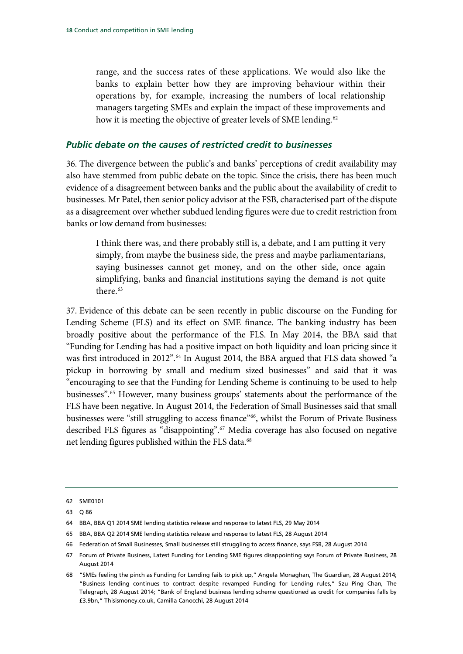range, and the success rates of these applications. We would also like the banks to explain better how they are improving behaviour within their operations by, for example, increasing the numbers of local relationship managers targeting SMEs and explain the impact of these improvements and how it is meeting the objective of greater levels of SME lending.<sup>[62](#page-19-1)</sup>

#### <span id="page-19-0"></span>*Public debate on the causes of restricted credit to businesses*

36. The divergence between the public's and banks' perceptions of credit availability may also have stemmed from public debate on the topic. Since the crisis, there has been much evidence of a disagreement between banks and the public about the availability of credit to businesses. Mr Patel, then senior policy advisor at the FSB, characterised part of the dispute as a disagreement over whether subdued lending figures were due to credit restriction from banks or low demand from businesses:

I think there was, and there probably still is, a debate, and I am putting it very simply, from maybe the business side, the press and maybe parliamentarians, saying businesses cannot get money, and on the other side, once again simplifying, banks and financial institutions saying the demand is not quite there.<sup>[63](#page-19-2)</sup>

37. Evidence of this debate can be seen recently in public discourse on the Funding for Lending Scheme (FLS) and its effect on SME finance. The banking industry has been broadly positive about the performance of the FLS. In May 2014, the BBA said that "Funding for Lending has had a positive impact on both liquidity and loan pricing since it was first introduced in 2012".<sup>[64](#page-19-3)</sup> In August 2014, the BBA argued that FLS data showed "a pickup in borrowing by small and medium sized businesses" and said that it was "encouraging to see that the Funding for Lending Scheme is continuing to be used to help businesses"[.65](#page-19-4) However, many business groups' statements about the performance of the FLS have been negative. In August 2014, the Federation of Small Businesses said that small businesses were "still struggling to access finance"<sup>66</sup>, whilst the Forum of Private Business described FLS figures as "disappointing".[67](#page-19-6) Media coverage has also focused on negative net lending figures published within the FLS data.<sup>[68](#page-19-7)</sup>

<span id="page-19-1"></span><sup>62</sup> SME0101

<span id="page-19-2"></span><sup>63</sup> Q 86

<span id="page-19-3"></span><sup>64</sup> BBA, BBA Q1 2014 SME lending statistics release and response to latest FLS, 29 May 2014

<span id="page-19-4"></span><sup>65</sup> BBA, BBA Q2 2014 SME lending statistics release and response to latest FLS, 28 August 2014

<span id="page-19-5"></span><sup>66</sup> Federation of Small Businesses, Small businesses still struggling to access finance, says FSB, 28 August 2014

<span id="page-19-6"></span><sup>67</sup> Forum of Private Business, Latest Funding for Lending SME figures disappointing says Forum of Private Business, 28 August 2014

<span id="page-19-7"></span><sup>68</sup> "SMEs feeling the pinch as Funding for Lending fails to pick up," Angela Monaghan, The Guardian, 28 August 2014; "Business lending continues to contract despite revamped Funding for Lending rules," Szu Ping Chan, The Telegraph, 28 August 2014; "Bank of England business lending scheme questioned as credit for companies falls by £3.9bn," Thisismoney.co.uk, Camilla Canocchi, 28 August 2014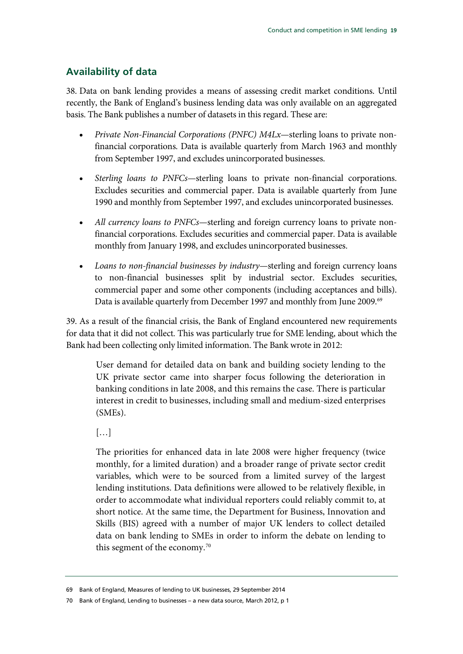## <span id="page-20-0"></span>**Availability of data**

38. Data on bank lending provides a means of assessing credit market conditions. Until recently, the Bank of England's business lending data was only available on an aggregated basis. The Bank publishes a number of datasets in this regard. These are:

- *Private Non-Financial Corporations (PNFC) M4Lx*—sterling loans to private nonfinancial corporations. Data is available quarterly from March 1963 and monthly from September 1997, and excludes unincorporated businesses.
- *Sterling loans to PNFCs—*sterling loans to private non-financial corporations. Excludes securities and commercial paper. Data is available quarterly from June 1990 and monthly from September 1997, and excludes unincorporated businesses.
- *All currency loans to PNFCs—*sterling and foreign currency loans to private nonfinancial corporations. Excludes securities and commercial paper. Data is available monthly from January 1998, and excludes unincorporated businesses.
- *Loans to non-financial businesses by industry—*sterling and foreign currency loans to non-financial businesses split by industrial sector. Excludes securities, commercial paper and some other components (including acceptances and bills). Data is available quarterly from December 1997 and monthly from June 2009.<sup>69</sup>

39. As a result of the financial crisis, the Bank of England encountered new requirements for data that it did not collect. This was particularly true for SME lending, about which the Bank had been collecting only limited information. The Bank wrote in 2012:

User demand for detailed data on bank and building society lending to the UK private sector came into sharper focus following the deterioration in banking conditions in late 2008, and this remains the case. There is particular interest in credit to businesses, including small and medium-sized enterprises (SMEs).

 $[\dots]$ 

The priorities for enhanced data in late 2008 were higher frequency (twice monthly, for a limited duration) and a broader range of private sector credit variables, which were to be sourced from a limited survey of the largest lending institutions. Data definitions were allowed to be relatively flexible, in order to accommodate what individual reporters could reliably commit to, at short notice. At the same time, the Department for Business, Innovation and Skills (BIS) agreed with a number of major UK lenders to collect detailed data on bank lending to SMEs in order to inform the debate on lending to this segment of the economy.<sup>[70](#page-20-2)</sup>

<span id="page-20-1"></span><sup>69</sup> Bank of England, Measures of lending to UK businesses, 29 September 2014

<span id="page-20-2"></span><sup>70</sup> Bank of England, Lending to businesses – a new data source, March 2012, p 1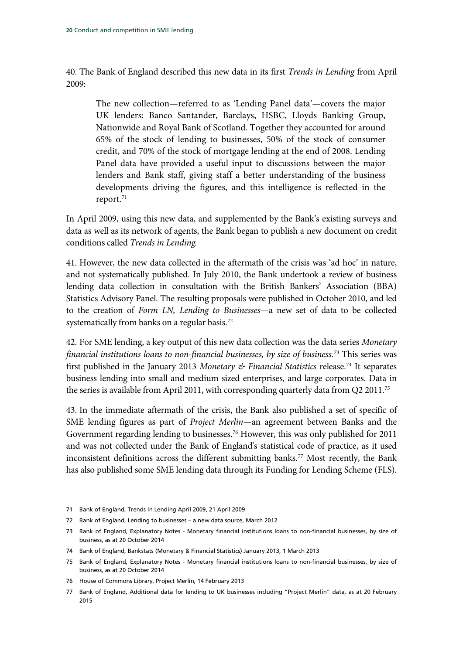40. The Bank of England described this new data in its first *Trends in Lending* from April 2009:

The new collection—referred to as 'Lending Panel data'—covers the major UK lenders: Banco Santander, Barclays, HSBC, Lloyds Banking Group, Nationwide and Royal Bank of Scotland. Together they accounted for around 65% of the stock of lending to businesses, 50% of the stock of consumer credit, and 70% of the stock of mortgage lending at the end of 2008. Lending Panel data have provided a useful input to discussions between the major lenders and Bank staff, giving staff a better understanding of the business developments driving the figures, and this intelligence is reflected in the report.<sup>[71](#page-21-0)</sup>

In April 2009, using this new data, and supplemented by the Bank's existing surveys and data as well as its network of agents, the Bank began to publish a new document on credit conditions called *Trends in Lending.*

41. However, the new data collected in the aftermath of the crisis was 'ad hoc' in nature, and not systematically published. In July 2010, the Bank undertook a review of business lending data collection in consultation with the British Bankers' Association (BBA) Statistics Advisory Panel. The resulting proposals were published in October 2010, and led to the creation of *Form LN, Lending to Businesses—*a new set of data to be collected systematically from banks on a regular basis.<sup>[72](#page-21-1)</sup>

42. For SME lending, a key output of this new data collection was the data series *Monetary financial institutions loans to non-financial businesses, by size of business. [73](#page-21-2)* This series was first published in the January 2013 *Monetary & Financial Statistics* release[.74](#page-21-3) It separates business lending into small and medium sized enterprises, and large corporates. Data in the series is available from April 2011, with corresponding quarterly data from Q2 2011.<sup>[75](#page-21-4)</sup>

43. In the immediate aftermath of the crisis, the Bank also published a set of specific of SME lending figures as part of *Project Merlin*—an agreement between Banks and the Government regarding lending to businesses.<sup>76</sup> However, this was only published for 2011 and was not collected under the Bank of England's statistical code of practice, as it used inconsistent definitions across the different submitting banks.<sup>77</sup> Most recently, the Bank has also published some SME lending data through its Funding for Lending Scheme (FLS).

<span id="page-21-0"></span><sup>71</sup> Bank of England, Trends in Lending April 2009, 21 April 2009

<span id="page-21-1"></span><sup>72</sup> Bank of England, Lending to businesses – a new data source, March 2012

<span id="page-21-2"></span><sup>73</sup> Bank of England, Explanatory Notes - Monetary financial institutions loans to non-financial businesses, by size of business, as at 20 October 2014

<span id="page-21-3"></span><sup>74</sup> Bank of England, Bankstats (Monetary & Financial Statistics) January 2013, 1 March 2013

<span id="page-21-4"></span><sup>75</sup> Bank of England, Explanatory Notes - Monetary financial institutions loans to non-financial businesses, by size of business, as at 20 October 2014

<span id="page-21-5"></span><sup>76</sup> House of Commons Library, Project Merlin, 14 February 2013

<span id="page-21-6"></span><sup>77</sup> Bank of England, Additional data for lending to UK businesses including "Project Merlin" data, as at 20 February 2015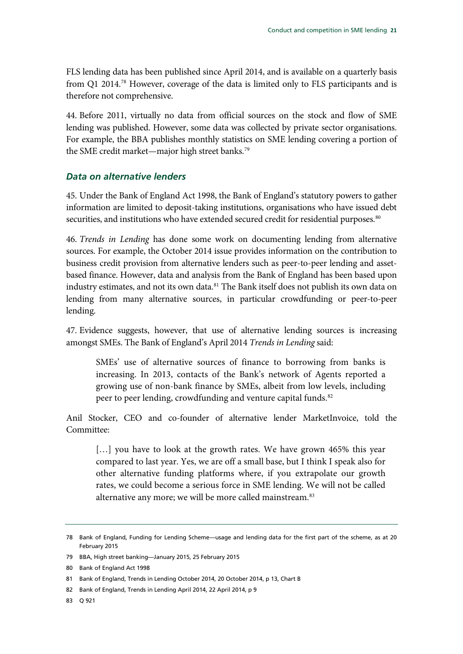FLS lending data has been published since April 2014, and is available on a quarterly basis from Q1 2014.<sup>[78](#page-22-1)</sup> However, coverage of the data is limited only to FLS participants and is therefore not comprehensive.

44. Before 2011, virtually no data from official sources on the stock and flow of SME lending was published. However, some data was collected by private sector organisations. For example, the BBA publishes monthly statistics on SME lending covering a portion of the SME credit market—major high street banks.<sup>79</sup>

#### <span id="page-22-0"></span>*Data on alternative lenders*

45. Under the Bank of England Act 1998, the Bank of England's statutory powers to gather information are limited to deposit-taking institutions, organisations who have issued debt securities, and institutions who have extended secured credit for residential purposes.<sup>[80](#page-22-3)</sup>

46. *Trends in Lending* has done some work on documenting lending from alternative sources. For example, the October 2014 issue provides information on the contribution to business credit provision from alternative lenders such as peer-to-peer lending and assetbased finance. However, data and analysis from the Bank of England has been based upon industry estimates, and not its own data.<sup>[81](#page-22-4)</sup> The Bank itself does not publish its own data on lending from many alternative sources, in particular crowdfunding or peer-to-peer lending.

47. Evidence suggests, however, that use of alternative lending sources is increasing amongst SMEs. The Bank of England's April 2014 *Trends in Lending* said:

SMEs' use of alternative sources of finance to borrowing from banks is increasing. In 2013, contacts of the Bank's network of Agents reported a growing use of non-bank finance by SMEs, albeit from low levels, including peer to peer lending, crowdfunding and venture capital funds.<sup>[82](#page-22-5)</sup>

Anil Stocker, CEO and co-founder of alternative lender MarketInvoice, told the Committee:

[...] you have to look at the growth rates. We have grown 465% this year compared to last year. Yes, we are off a small base, but I think I speak also for other alternative funding platforms where, if you extrapolate our growth rates, we could become a serious force in SME lending. We will not be called alternative any more; we will be more called mainstream.<sup>[83](#page-22-6)</sup>

<span id="page-22-1"></span><sup>78</sup> Bank of England, Funding for Lending Scheme—usage and lending data for the first part of the scheme, as at 20 February 2015

<span id="page-22-2"></span><sup>79</sup> BBA, High street banking—January 2015, 25 February 2015

<span id="page-22-3"></span><sup>80</sup> Bank of England Act 1998

<span id="page-22-4"></span><sup>81</sup> Bank of England, Trends in Lending October 2014, 20 October 2014, p 13, Chart B

<span id="page-22-5"></span><sup>82</sup> Bank of England, Trends in Lending April 2014, 22 April 2014, p 9

<span id="page-22-6"></span><sup>83</sup> Q 921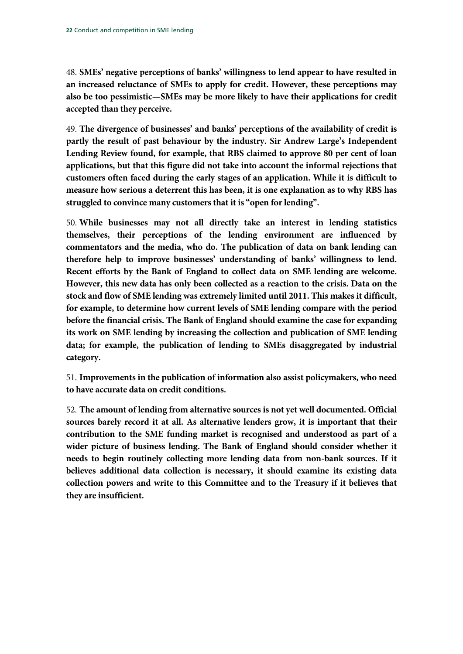48. **SMEs' negative perceptions of banks' willingness to lend appear to have resulted in an increased reluctance of SMEs to apply for credit. However, these perceptions may also be too pessimistic—SMEs may be more likely to have their applications for credit accepted than they perceive.**

49. **The divergence of businesses' and banks' perceptions of the availability of credit is partly the result of past behaviour by the industry. Sir Andrew Large's Independent Lending Review found, for example, that RBS claimed to approve 80 per cent of loan applications, but that this figure did not take into account the informal rejections that customers often faced during the early stages of an application. While it is difficult to measure how serious a deterrent this has been, it is one explanation as to why RBS has struggled to convince many customers that it is "open for lending".**

50. **While businesses may not all directly take an interest in lending statistics themselves, their perceptions of the lending environment are influenced by commentators and the media, who do. The publication of data on bank lending can therefore help to improve businesses' understanding of banks' willingness to lend. Recent efforts by the Bank of England to collect data on SME lending are welcome. However, this new data has only been collected as a reaction to the crisis. Data on the stock and flow of SME lending was extremely limited until 2011. This makes it difficult, for example, to determine how current levels of SME lending compare with the period before the financial crisis. The Bank of England should examine the case for expanding its work on SME lending by increasing the collection and publication of SME lending data; for example, the publication of lending to SMEs disaggregated by industrial category.**

51. **Improvements in the publication of information also assist policymakers, who need to have accurate data on credit conditions.**

52. **The amount of lending from alternative sources is not yet well documented. Official sources barely record it at all. As alternative lenders grow, it is important that their contribution to the SME funding market is recognised and understood as part of a wider picture of business lending. The Bank of England should consider whether it needs to begin routinely collecting more lending data from non-bank sources. If it believes additional data collection is necessary, it should examine its existing data collection powers and write to this Committee and to the Treasury if it believes that they are insufficient.**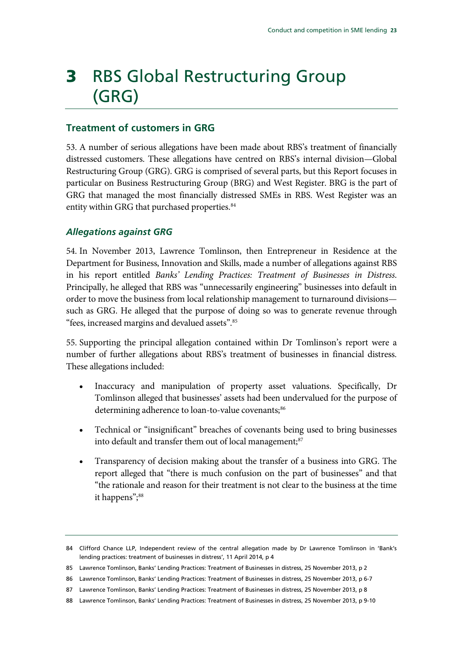# <span id="page-24-0"></span>3 RBS Global Restructuring Group (GRG)

### <span id="page-24-1"></span>**Treatment of customers in GRG**

53. A number of serious allegations have been made about RBS's treatment of financially distressed customers. These allegations have centred on RBS's internal division—Global Restructuring Group (GRG). GRG is comprised of several parts, but this Report focuses in particular on Business Restructuring Group (BRG) and West Register. BRG is the part of GRG that managed the most financially distressed SMEs in RBS. West Register was an entity within GRG that purchased properties.<sup>[84](#page-24-3)</sup>

#### <span id="page-24-2"></span>*Allegations against GRG*

54. In November 2013, Lawrence Tomlinson, then Entrepreneur in Residence at the Department for Business, Innovation and Skills, made a number of allegations against RBS in his report entitled *Banks' Lending Practices: Treatment of Businesses in Distress*. Principally, he alleged that RBS was "unnecessarily engineering" businesses into default in order to move the business from local relationship management to turnaround divisions such as GRG. He alleged that the purpose of doing so was to generate revenue through "fees, increased margins and devalued assets".[85](#page-24-4)

55. Supporting the principal allegation contained within Dr Tomlinson's report were a number of further allegations about RBS's treatment of businesses in financial distress. These allegations included:

- Inaccuracy and manipulation of property asset valuations. Specifically, Dr Tomlinson alleged that businesses' assets had been undervalued for the purpose of determining adherence to loan-to-value covenants;<sup>[86](#page-24-5)</sup>
- Technical or "insignificant" breaches of covenants being used to bring businesses into default and transfer them out of local management;<sup>87</sup>
- Transparency of decision making about the transfer of a business into GRG. The report alleged that "there is much confusion on the part of businesses" and that "the rationale and reason for their treatment is not clear to the business at the time it happens";<sup>[88](#page-24-7)</sup>

<span id="page-24-3"></span><sup>84</sup> Clifford Chance LLP, Independent review of the central allegation made by Dr Lawrence Tomlinson in 'Bank's lending practices: treatment of businesses in distress', 11 April 2014, p 4

<span id="page-24-4"></span><sup>85</sup> Lawrence Tomlinson, Banks' Lending Practices: Treatment of Businesses in distress, 25 November 2013, p 2

<span id="page-24-5"></span><sup>86</sup> Lawrence Tomlinson, Banks' Lending Practices: Treatment of Businesses in distress, 25 November 2013, p 6-7

<span id="page-24-6"></span><sup>87</sup> Lawrence Tomlinson, Banks' Lending Practices: Treatment of Businesses in distress, 25 November 2013, p 8

<span id="page-24-7"></span><sup>88</sup> Lawrence Tomlinson, Banks' Lending Practices: Treatment of Businesses in distress, 25 November 2013, p 9-10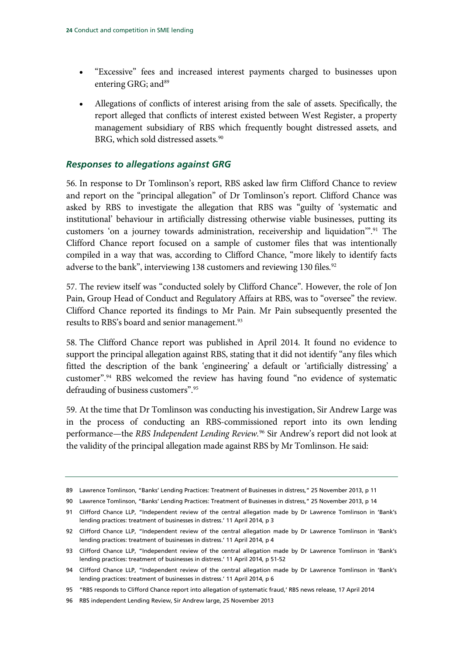- "Excessive" fees and increased interest payments charged to businesses upon entering GRG; and<sup>[89](#page-25-1)</sup>
- Allegations of conflicts of interest arising from the sale of assets. Specifically, the report alleged that conflicts of interest existed between West Register, a property management subsidiary of RBS which frequently bought distressed assets, and BRG, which sold distressed assets.<sup>[90](#page-25-2)</sup>

#### <span id="page-25-0"></span>*Responses to allegations against GRG*

56. In response to Dr Tomlinson's report, RBS asked law firm Clifford Chance to review and report on the "principal allegation" of Dr Tomlinson's report. Clifford Chance was asked by RBS to investigate the allegation that RBS was "guilty of 'systematic and institutional' behaviour in artificially distressing otherwise viable businesses, putting its customers 'on a journey towards administration, receivership and liquidation'".[91](#page-25-3) The Clifford Chance report focused on a sample of customer files that was intentionally compiled in a way that was, according to Clifford Chance, "more likely to identify facts adverse to the bank", interviewing 138 customers and reviewing 130 files.<sup>[92](#page-25-4)</sup>

57. The review itself was "conducted solely by Clifford Chance". However, the role of Jon Pain, Group Head of Conduct and Regulatory Affairs at RBS, was to "oversee" the review. Clifford Chance reported its findings to Mr Pain. Mr Pain subsequently presented the results to RBS's board and senior management.<sup>[93](#page-25-5)</sup>

58. The Clifford Chance report was published in April 2014. It found no evidence to support the principal allegation against RBS, stating that it did not identify "any files which fitted the description of the bank 'engineering' a default or 'artificially distressing' a customer".[94](#page-25-6) RBS welcomed the review has having found "no evidence of systematic defrauding of business customers". [95](#page-25-7)

59. At the time that Dr Tomlinson was conducting his investigation, Sir Andrew Large was in the process of conducting an RBS-commissioned report into its own lending performance—the *RBS Independent Lending Review.*[96](#page-25-8) Sir Andrew's report did not look at the validity of the principal allegation made against RBS by Mr Tomlinson. He said:

<span id="page-25-1"></span><sup>89</sup> Lawrence Tomlinson, "Banks' Lending Practices: Treatment of Businesses in distress," 25 November 2013, p 11

<span id="page-25-2"></span><sup>90</sup> Lawrence Tomlinson, "Banks' Lending Practices: Treatment of Businesses in distress," 25 November 2013, p 14

<span id="page-25-3"></span><sup>91</sup> Clifford Chance LLP, "Independent review of the central allegation made by Dr Lawrence Tomlinson in 'Bank's lending practices: treatment of businesses in distress.' 11 April 2014, p 3

<span id="page-25-4"></span><sup>92</sup> Clifford Chance LLP, "Independent review of the central allegation made by Dr Lawrence Tomlinson in 'Bank's lending practices: treatment of businesses in distress.' 11 April 2014, p 4

<span id="page-25-5"></span><sup>93</sup> Clifford Chance LLP, "Independent review of the central allegation made by Dr Lawrence Tomlinson in 'Bank's lending practices: treatment of businesses in distress.' 11 April 2014, p 51-52

<span id="page-25-6"></span><sup>94</sup> Clifford Chance LLP, "Independent review of the central allegation made by Dr Lawrence Tomlinson in 'Bank's lending practices: treatment of businesses in distress.' 11 April 2014, p 6

<span id="page-25-7"></span><sup>95</sup> "RBS responds to Clifford Chance report into allegation of systematic fraud,' RBS news release, 17 April 2014

<span id="page-25-8"></span><sup>96</sup> RBS independent Lending Review, Sir Andrew large, 25 November 2013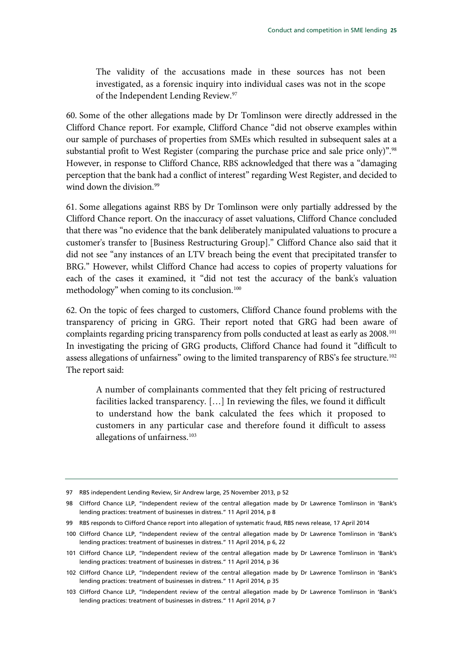The validity of the accusations made in these sources has not been investigated, as a forensic inquiry into individual cases was not in the scope of the Independent Lending Review.<sup>[97](#page-26-0)</sup>

60. Some of the other allegations made by Dr Tomlinson were directly addressed in the Clifford Chance report. For example, Clifford Chance "did not observe examples within our sample of purchases of properties from SMEs which resulted in subsequent sales at a substantial profit to West Register (comparing the purchase price and sale price only)".<sup>[98](#page-26-1)</sup> However, in response to Clifford Chance, RBS acknowledged that there was a "damaging perception that the bank had a conflict of interest" regarding West Register, and decided to wind down the division.<sup>99</sup>

61. Some allegations against RBS by Dr Tomlinson were only partially addressed by the Clifford Chance report. On the inaccuracy of asset valuations, Clifford Chance concluded that there was "no evidence that the bank deliberately manipulated valuations to procure a customer's transfer to [Business Restructuring Group]." Clifford Chance also said that it did not see "any instances of an LTV breach being the event that precipitated transfer to BRG." However, whilst Clifford Chance had access to copies of property valuations for each of the cases it examined, it "did not test the accuracy of the bank's valuation methodology" when coming to its conclusion.<sup>100</sup>

62. On the topic of fees charged to customers, Clifford Chance found problems with the transparency of pricing in GRG. Their report noted that GRG had been aware of complaints regarding pricing transparency from polls conducted at least as early as 2008[.101](#page-26-4) In investigating the pricing of GRG products, Clifford Chance had found it "difficult to assess allegations of unfairness" owing to the limited transparency of RBS's fee structure.<sup>102</sup> The report said:

A number of complainants commented that they felt pricing of restructured facilities lacked transparency. […] In reviewing the files, we found it difficult to understand how the bank calculated the fees which it proposed to customers in any particular case and therefore found it difficult to assess allegations of unfairness.<sup>[103](#page-26-6)</sup>

<span id="page-26-0"></span><sup>97</sup> RBS independent Lending Review, Sir Andrew large, 25 November 2013, p 52

<span id="page-26-1"></span><sup>98</sup> Clifford Chance LLP, "Independent review of the central allegation made by Dr Lawrence Tomlinson in 'Bank's lending practices: treatment of businesses in distress." 11 April 2014, p 8

<span id="page-26-3"></span><span id="page-26-2"></span><sup>99</sup> RBS responds to Clifford Chance report into allegation of systematic fraud, RBS news release, 17 April 2014

<sup>100</sup> Clifford Chance LLP, "Independent review of the central allegation made by Dr Lawrence Tomlinson in 'Bank's lending practices: treatment of businesses in distress." 11 April 2014, p 6, 22

<span id="page-26-4"></span><sup>101</sup> Clifford Chance LLP, "Independent review of the central allegation made by Dr Lawrence Tomlinson in 'Bank's lending practices: treatment of businesses in distress." 11 April 2014, p 36

<span id="page-26-5"></span><sup>102</sup> Clifford Chance LLP, "Independent review of the central allegation made by Dr Lawrence Tomlinson in 'Bank's lending practices: treatment of businesses in distress." 11 April 2014, p 35

<span id="page-26-6"></span><sup>103</sup> Clifford Chance LLP, "Independent review of the central allegation made by Dr Lawrence Tomlinson in 'Bank's lending practices: treatment of businesses in distress." 11 April 2014, p 7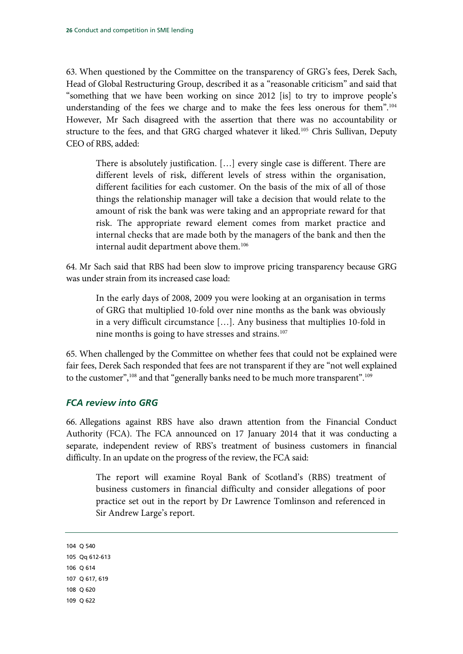63. When questioned by the Committee on the transparency of GRG's fees, Derek Sach, Head of Global Restructuring Group, described it as a "reasonable criticism" and said that "something that we have been working on since 2012 [is] to try to improve people's understanding of the fees we charge and to make the fees less onerous for them"[.104](#page-27-1) However, Mr Sach disagreed with the assertion that there was no accountability or structure to the fees, and that GRG charged whatever it liked.<sup>[105](#page-27-2)</sup> Chris Sullivan, Deputy CEO of RBS, added:

There is absolutely justification. […] every single case is different. There are different levels of risk, different levels of stress within the organisation, different facilities for each customer. On the basis of the mix of all of those things the relationship manager will take a decision that would relate to the amount of risk the bank was were taking and an appropriate reward for that risk. The appropriate reward element comes from market practice and internal checks that are made both by the managers of the bank and then the internal audit department above them.<sup>[106](#page-27-3)</sup>

64. Mr Sach said that RBS had been slow to improve pricing transparency because GRG was under strain from its increased case load:

In the early days of 2008, 2009 you were looking at an organisation in terms of GRG that multiplied 10-fold over nine months as the bank was obviously in a very difficult circumstance […]. Any business that multiplies 10-fold in nine months is going to have stresses and strains.<sup>[107](#page-27-4)</sup>

65. When challenged by the Committee on whether fees that could not be explained were fair fees, Derek Sach responded that fees are not transparent if they are "not well explained to the customer",<sup>[108](#page-27-5)</sup> and that "generally banks need to be much more transparent".<sup>[109](#page-27-6)</sup>

### <span id="page-27-0"></span>*FCA review into GRG*

66. Allegations against RBS have also drawn attention from the Financial Conduct Authority (FCA). The FCA announced on 17 January 2014 that it was conducting a separate, independent review of RBS's treatment of business customers in financial difficulty. In an update on the progress of the review, the FCA said:

The report will examine Royal Bank of Scotland's (RBS) treatment of business customers in financial difficulty and consider allegations of poor practice set out in the report by Dr Lawrence Tomlinson and referenced in Sir Andrew Large's report.

```
104 Q 540
105 Qq 612-613
106 Q 614
107 Q 617, 619
108 Q 620
109 Q 622
```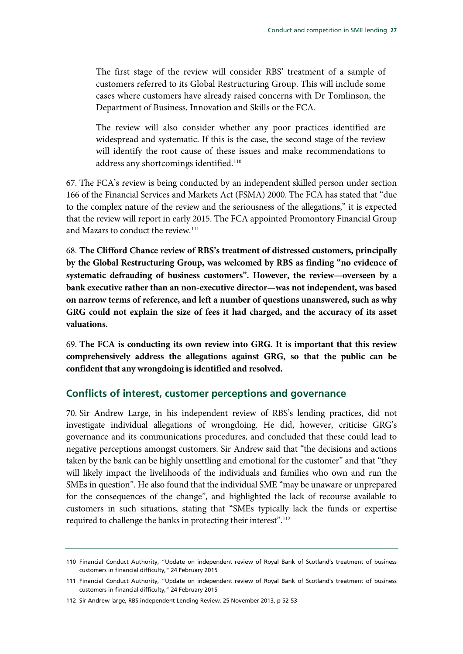The first stage of the review will consider RBS' treatment of a sample of customers referred to its Global Restructuring Group. This will include some cases where customers have already raised concerns with Dr Tomlinson, the Department of Business, Innovation and Skills or the FCA.

The review will also consider whether any poor practices identified are widespread and systematic. If this is the case, the second stage of the review will identify the root cause of these issues and make recommendations to address any shortcomings identified.<sup>[110](#page-28-1)</sup>

67. The FCA's review is being conducted by an independent skilled person under section 166 of the Financial Services and Markets Act (FSMA) 2000. The FCA has stated that "due to the complex nature of the review and the seriousness of the allegations," it is expected that the review will report in early 2015. The FCA appointed Promontory Financial Group and Mazars to conduct the review.<sup>[111](#page-28-2)</sup>

68. **The Clifford Chance review of RBS's treatment of distressed customers, principally by the Global Restructuring Group, was welcomed by RBS as finding "no evidence of systematic defrauding of business customers". However, the review—overseen by a bank executive rather than an non-executive director—was not independent, was based on narrow terms of reference, and left a number of questions unanswered, such as why GRG could not explain the size of fees it had charged, and the accuracy of its asset valuations.**

69. **The FCA is conducting its own review into GRG. It is important that this review comprehensively address the allegations against GRG, so that the public can be confident that any wrongdoing is identified and resolved.**

### <span id="page-28-0"></span>**Conflicts of interest, customer perceptions and governance**

70. Sir Andrew Large, in his independent review of RBS's lending practices, did not investigate individual allegations of wrongdoing. He did, however, criticise GRG's governance and its communications procedures, and concluded that these could lead to negative perceptions amongst customers. Sir Andrew said that "the decisions and actions taken by the bank can be highly unsettling and emotional for the customer" and that "they will likely impact the livelihoods of the individuals and families who own and run the SMEs in question". He also found that the individual SME "may be unaware or unprepared for the consequences of the change", and highlighted the lack of recourse available to customers in such situations, stating that "SMEs typically lack the funds or expertise required to challenge the banks in protecting their interest".<sup>[112](#page-28-3)</sup>

<span id="page-28-3"></span>112 Sir Andrew large, RBS independent Lending Review, 25 November 2013, p 52-53

<span id="page-28-1"></span><sup>110</sup> Financial Conduct Authority, "Update on independent review of Royal Bank of Scotland's treatment of business customers in financial difficulty," 24 February 2015

<span id="page-28-2"></span><sup>111</sup> Financial Conduct Authority, "Update on independent review of Royal Bank of Scotland's treatment of business customers in financial difficulty," 24 February 2015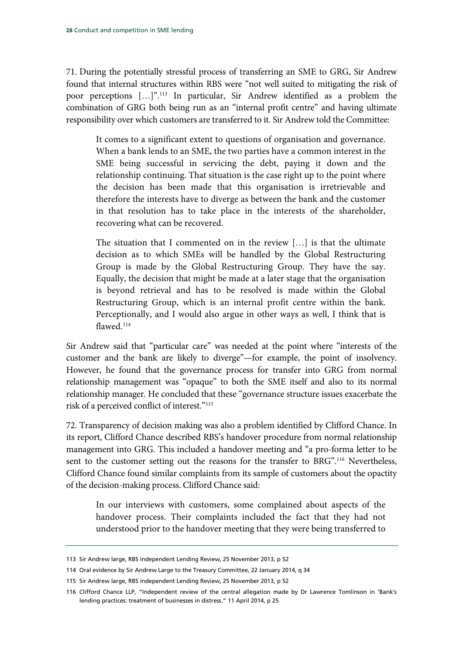71. During the potentially stressful process of transferring an SME to GRG, Sir Andrew found that internal structures within RBS were "not well suited to mitigating the risk of poor perceptions […]".[113](#page-29-0) In particular, Sir Andrew identified as a problem the combination of GRG both being run as an "internal profit centre" and having ultimate responsibility over which customers are transferred to it. Sir Andrew told the Committee:

It comes to a significant extent to questions of organisation and governance. When a bank lends to an SME, the two parties have a common interest in the SME being successful in servicing the debt, paying it down and the relationship continuing. That situation is the case right up to the point where the decision has been made that this organisation is irretrievable and therefore the interests have to diverge as between the bank and the customer in that resolution has to take place in the interests of the shareholder, recovering what can be recovered.

The situation that I commented on in the review […] is that the ultimate decision as to which SMEs will be handled by the Global Restructuring Group is made by the Global Restructuring Group. They have the say. Equally, the decision that might be made at a later stage that the organisation is beyond retrieval and has to be resolved is made within the Global Restructuring Group, which is an internal profit centre within the bank. Perceptionally, and I would also argue in other ways as well, I think that is flawed. [114](#page-29-1)

Sir Andrew said that "particular care" was needed at the point where "interests of the customer and the bank are likely to diverge"—for example, the point of insolvency. However, he found that the governance process for transfer into GRG from normal relationship management was "opaque" to both the SME itself and also to its normal relationship manager. He concluded that these "governance structure issues exacerbate the risk of a perceived conflict of interest.["115](#page-29-2)

72. Transparency of decision making was also a problem identified by Clifford Chance. In its report, Clifford Chance described RBS's handover procedure from normal relationship management into GRG. This included a handover meeting and "a pro-forma letter to be sent to the customer setting out the reasons for the transfer to BRG".<sup>[116](#page-29-3)</sup> Nevertheless, Clifford Chance found similar complaints from its sample of customers about the opactity of the decision-making process. Clifford Chance said:

In our interviews with customers, some complained about aspects of the handover process. Their complaints included the fact that they had not understood prior to the handover meeting that they were being transferred to

<span id="page-29-0"></span><sup>113</sup> Sir Andrew large, RBS independent Lending Review, 25 November 2013, p 52

<span id="page-29-1"></span><sup>114</sup> Oral evidence by Sir Andrew Large to the Treasury Committee, 22 January 2014, q 34

<span id="page-29-2"></span><sup>115</sup> Sir Andrew large, RBS independent Lending Review, 25 November 2013, p 52

<span id="page-29-3"></span><sup>116</sup> Clifford Chance LLP, "Independent review of the central allegation made by Dr Lawrence Tomlinson in 'Bank's lending practices: treatment of businesses in distress." 11 April 2014, p 25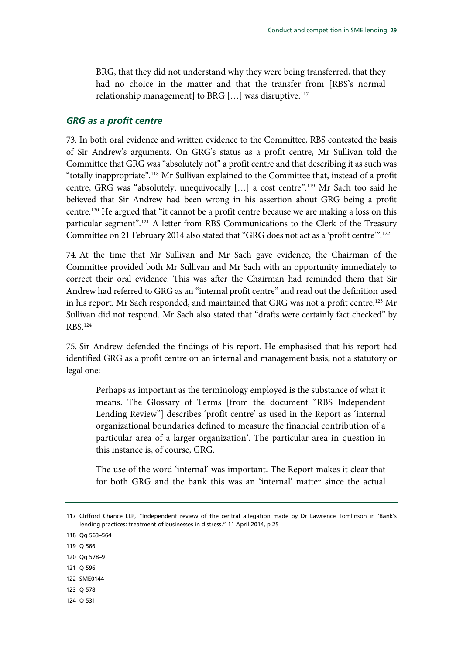BRG, that they did not understand why they were being transferred, that they had no choice in the matter and that the transfer from [RBS's normal relationship management] to BRG  $[...]$  was disruptive.<sup>[117](#page-30-1)</sup>

#### <span id="page-30-0"></span>*GRG as a profit centre*

73. In both oral evidence and written evidence to the Committee, RBS contested the basis of Sir Andrew's arguments. On GRG's status as a profit centre, Mr Sullivan told the Committee that GRG was "absolutely not" a profit centre and that describing it as such was "totally inappropriate".[118](#page-30-2) Mr Sullivan explained to the Committee that, instead of a profit centre, GRG was "absolutely, unequivocally […] a cost centre".[119](#page-30-3) Mr Sach too said he believed that Sir Andrew had been wrong in his assertion about GRG being a profit centre.<sup>[120](#page-30-4)</sup> He argued that "it cannot be a profit centre because we are making a loss on this particular segment".<sup>[121](#page-30-5)</sup> A letter from RBS Communications to the Clerk of the Treasury Committee on 21 February 2014 also stated that "GRG does not act as a 'profit centre'".<sup>[122](#page-30-6)</sup>

74. At the time that Mr Sullivan and Mr Sach gave evidence, the Chairman of the Committee provided both Mr Sullivan and Mr Sach with an opportunity immediately to correct their oral evidence. This was after the Chairman had reminded them that Sir Andrew had referred to GRG as an "internal profit centre" and read out the definition used in his report. Mr Sach responded, and maintained that GRG was not a profit centre.<sup>123</sup> Mr Sullivan did not respond. Mr Sach also stated that "drafts were certainly fact checked" by RBS.[124](#page-30-8)

75. Sir Andrew defended the findings of his report. He emphasised that his report had identified GRG as a profit centre on an internal and management basis, not a statutory or legal one:

Perhaps as important as the terminology employed is the substance of what it means. The Glossary of Terms [from the document "RBS Independent Lending Review"] describes 'profit centre' as used in the Report as 'internal organizational boundaries defined to measure the financial contribution of a particular area of a larger organization'. The particular area in question in this instance is, of course, GRG.

The use of the word 'internal' was important. The Report makes it clear that for both GRG and the bank this was an 'internal' matter since the actual

<span id="page-30-2"></span>118 Qq 563–564

- <span id="page-30-3"></span>119 Q 566
- <span id="page-30-4"></span>120 Qq 578–9
- <span id="page-30-5"></span>121 Q 596
- <span id="page-30-6"></span>122 SME0144
- <span id="page-30-7"></span>123 Q 578
- <span id="page-30-8"></span>124 Q 531

<span id="page-30-1"></span><sup>117</sup> Clifford Chance LLP, "Independent review of the central allegation made by Dr Lawrence Tomlinson in 'Bank's lending practices: treatment of businesses in distress." 11 April 2014, p 25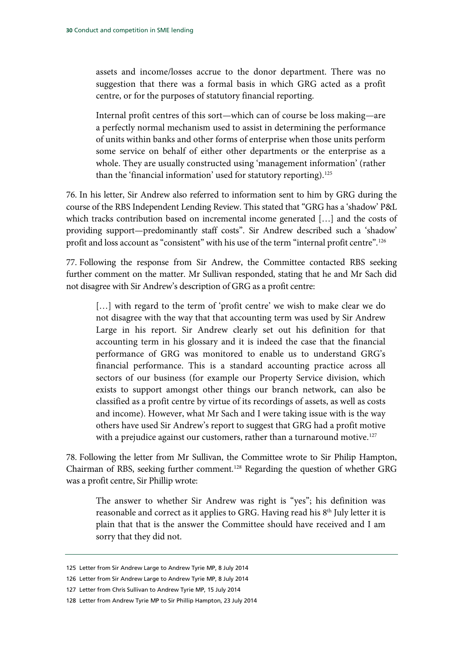assets and income/losses accrue to the donor department. There was no suggestion that there was a formal basis in which GRG acted as a profit centre, or for the purposes of statutory financial reporting.

Internal profit centres of this sort—which can of course be loss making—are a perfectly normal mechanism used to assist in determining the performance of units within banks and other forms of enterprise when those units perform some service on behalf of either other departments or the enterprise as a whole. They are usually constructed using 'management information' (rather than the 'financial information' used for statutory reporting).<sup>125</sup>

76. In his letter, Sir Andrew also referred to information sent to him by GRG during the course of the RBS Independent Lending Review. This stated that "GRG has a 'shadow' P&L which tracks contribution based on incremental income generated […] and the costs of providing support—predominantly staff costs". Sir Andrew described such a 'shadow' profit and loss account as "consistent" with his use of the term "internal profit centre".<sup>[126](#page-31-1)</sup>

77. Following the response from Sir Andrew, the Committee contacted RBS seeking further comment on the matter. Mr Sullivan responded, stating that he and Mr Sach did not disagree with Sir Andrew's description of GRG as a profit centre:

[...] with regard to the term of 'profit centre' we wish to make clear we do not disagree with the way that that accounting term was used by Sir Andrew Large in his report. Sir Andrew clearly set out his definition for that accounting term in his glossary and it is indeed the case that the financial performance of GRG was monitored to enable us to understand GRG's financial performance. This is a standard accounting practice across all sectors of our business (for example our Property Service division, which exists to support amongst other things our branch network, can also be classified as a profit centre by virtue of its recordings of assets, as well as costs and income). However, what Mr Sach and I were taking issue with is the way others have used Sir Andrew's report to suggest that GRG had a profit motive with a prejudice against our customers, rather than a turnaround motive.<sup>[127](#page-31-2)</sup>

78. Following the letter from Mr Sullivan, the Committee wrote to Sir Philip Hampton, Chairman of RBS, seeking further comment.[128](#page-31-3) Regarding the question of whether GRG was a profit centre, Sir Phillip wrote:

The answer to whether Sir Andrew was right is "yes"; his definition was reasonable and correct as it applies to GRG. Having read his 8<sup>th</sup> July letter it is plain that that is the answer the Committee should have received and I am sorry that they did not.

<span id="page-31-1"></span><span id="page-31-0"></span><sup>125</sup> Letter from Sir Andrew Large to Andrew Tyrie MP, 8 July 2014

<sup>126</sup> Letter from Sir Andrew Large to Andrew Tyrie MP, 8 July 2014

<span id="page-31-2"></span><sup>127</sup> Letter from Chris Sullivan to Andrew Tyrie MP, 15 July 2014

<span id="page-31-3"></span><sup>128</sup> Letter from Andrew Tyrie MP to Sir Phillip Hampton, 23 July 2014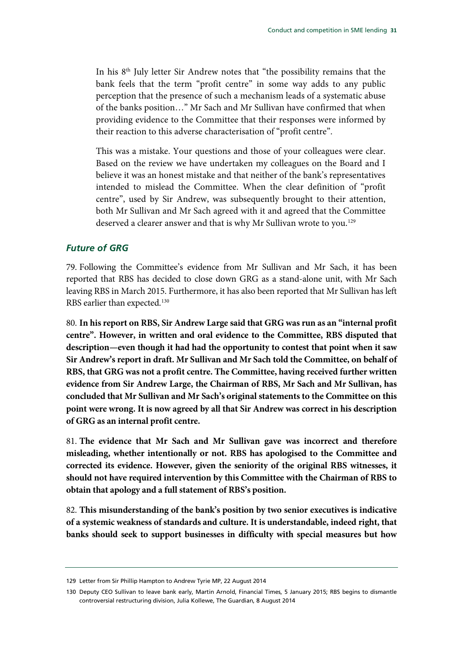In his 8<sup>th</sup> July letter Sir Andrew notes that "the possibility remains that the bank feels that the term "profit centre" in some way adds to any public perception that the presence of such a mechanism leads of a systematic abuse of the banks position…" Mr Sach and Mr Sullivan have confirmed that when providing evidence to the Committee that their responses were informed by their reaction to this adverse characterisation of "profit centre".

This was a mistake. Your questions and those of your colleagues were clear. Based on the review we have undertaken my colleagues on the Board and I believe it was an honest mistake and that neither of the bank's representatives intended to mislead the Committee. When the clear definition of "profit centre", used by Sir Andrew, was subsequently brought to their attention, both Mr Sullivan and Mr Sach agreed with it and agreed that the Committee deserved a clearer answer and that is why Mr Sullivan wrote to you.<sup>129</sup>

### <span id="page-32-0"></span>*Future of GRG*

79. Following the Committee's evidence from Mr Sullivan and Mr Sach, it has been reported that RBS has decided to close down GRG as a stand-alone unit, with Mr Sach leaving RBS in March 2015. Furthermore, it has also been reported that Mr Sullivan has left RBS earlier than expected.<sup>[130](#page-32-2)</sup>

80. **In his report on RBS, Sir Andrew Large said that GRG was run as an "internal profit centre". However, in written and oral evidence to the Committee, RBS disputed that description—even though it had had the opportunity to contest that point when it saw Sir Andrew's report in draft. Mr Sullivan and Mr Sach told the Committee, on behalf of RBS, that GRG was not a profit centre. The Committee, having received further written evidence from Sir Andrew Large, the Chairman of RBS, Mr Sach and Mr Sullivan, has concluded that Mr Sullivan and Mr Sach's original statements to the Committee on this point were wrong. It is now agreed by all that Sir Andrew was correct in his description of GRG as an internal profit centre.**

81. **The evidence that Mr Sach and Mr Sullivan gave was incorrect and therefore misleading, whether intentionally or not. RBS has apologised to the Committee and corrected its evidence. However, given the seniority of the original RBS witnesses, it should not have required intervention by this Committee with the Chairman of RBS to obtain that apology and a full statement of RBS's position.**

82. **This misunderstanding of the bank's position by two senior executives is indicative of a systemic weakness of standards and culture. It is understandable, indeed right, that banks should seek to support businesses in difficulty with special measures but how** 

<span id="page-32-1"></span><sup>129</sup> Letter from Sir Phillip Hampton to Andrew Tyrie MP, 22 August 2014

<span id="page-32-2"></span><sup>130</sup> Deputy CEO Sullivan to leave bank early, Martin Arnold, Financial Times, 5 January 2015; RBS begins to dismantle controversial restructuring division, Julia Kollewe, The Guardian, 8 August 2014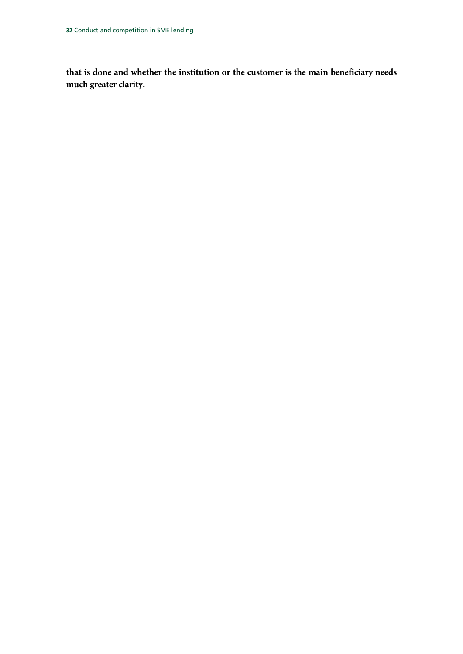**that is done and whether the institution or the customer is the main beneficiary needs much greater clarity.**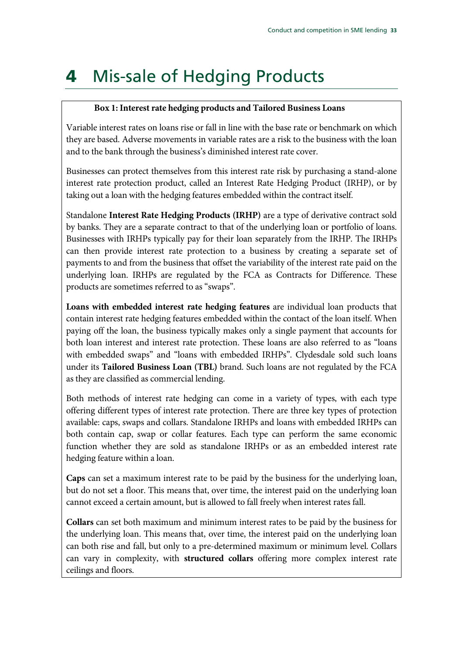# <span id="page-34-0"></span>4 Mis-sale of Hedging Products

### **Box 1: Interest rate hedging products and Tailored Business Loans**

Variable interest rates on loans rise or fall in line with the base rate or benchmark on which they are based. Adverse movements in variable rates are a risk to the business with the loan and to the bank through the business's diminished interest rate cover.

Businesses can protect themselves from this interest rate risk by purchasing a stand-alone interest rate protection product, called an Interest Rate Hedging Product (IRHP), or by taking out a loan with the hedging features embedded within the contract itself.

Standalone **Interest Rate Hedging Products (IRHP)** are a type of derivative contract sold by banks. They are a separate contract to that of the underlying loan or portfolio of loans. Businesses with IRHPs typically pay for their loan separately from the IRHP. The IRHPs can then provide interest rate protection to a business by creating a separate set of payments to and from the business that offset the variability of the interest rate paid on the underlying loan. IRHPs are regulated by the FCA as Contracts for Difference. These products are sometimes referred to as "swaps".

**Loans with embedded interest rate hedging features** are individual loan products that contain interest rate hedging features embedded within the contact of the loan itself. When paying off the loan, the business typically makes only a single payment that accounts for both loan interest and interest rate protection. These loans are also referred to as "loans with embedded swaps" and "loans with embedded IRHPs". Clydesdale sold such loans under its **Tailored Business Loan (TBL)** brand. Such loans are not regulated by the FCA as they are classified as commercial lending.

Both methods of interest rate hedging can come in a variety of types, with each type offering different types of interest rate protection. There are three key types of protection available: caps, swaps and collars. Standalone IRHPs and loans with embedded IRHPs can both contain cap, swap or collar features. Each type can perform the same economic function whether they are sold as standalone IRHPs or as an embedded interest rate hedging feature within a loan.

**Caps** can set a maximum interest rate to be paid by the business for the underlying loan, but do not set a floor. This means that, over time, the interest paid on the underlying loan cannot exceed a certain amount, but is allowed to fall freely when interest rates fall.

**Collars** can set both maximum and minimum interest rates to be paid by the business for the underlying loan. This means that, over time, the interest paid on the underlying loan can both rise and fall, but only to a pre-determined maximum or minimum level. Collars can vary in complexity, with **structured collars** offering more complex interest rate ceilings and floors.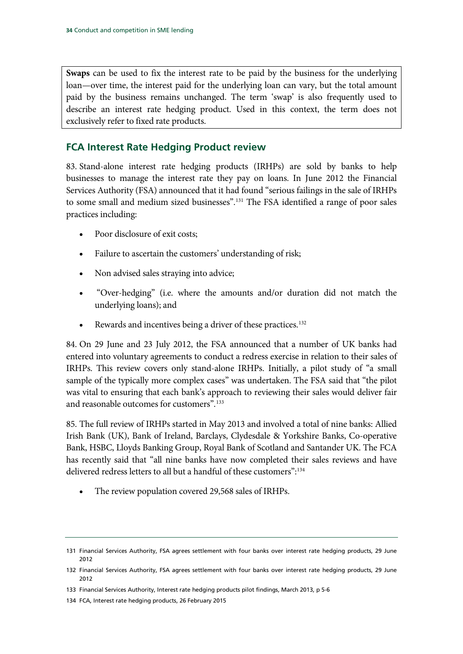**Swaps** can be used to fix the interest rate to be paid by the business for the underlying loan—over time, the interest paid for the underlying loan can vary, but the total amount paid by the business remains unchanged. The term 'swap' is also frequently used to describe an interest rate hedging product. Used in this context, the term does not exclusively refer to fixed rate products.

## <span id="page-35-0"></span>**FCA Interest Rate Hedging Product review**

83. Stand-alone interest rate hedging products (IRHPs) are sold by banks to help businesses to manage the interest rate they pay on loans. In June 2012 the Financial Services Authority (FSA) announced that it had found "serious failings in the sale of IRHPs to some small and medium sized businesses".[131](#page-35-1) The FSA identified a range of poor sales practices including:

- Poor disclosure of exit costs;
- Failure to ascertain the customers' understanding of risk;
- Non advised sales straying into advice;
- "Over-hedging" (i.e. where the amounts and/or duration did not match the underlying loans); and
- Rewards and incentives being a driver of these practices.<sup>[132](#page-35-2)</sup>

84. On 29 June and 23 July 2012, the FSA announced that a number of UK banks had entered into voluntary agreements to conduct a redress exercise in relation to their sales of IRHPs. This review covers only stand-alone IRHPs. Initially, a pilot study of "a small sample of the typically more complex cases" was undertaken. The FSA said that "the pilot was vital to ensuring that each bank's approach to reviewing their sales would deliver fair and reasonable outcomes for customers".[133](#page-35-3)

85. The full review of IRHPs started in May 2013 and involved a total of nine banks: Allied Irish Bank (UK), Bank of Ireland, Barclays, Clydesdale & Yorkshire Banks, Co-operative Bank, HSBC, Lloyds Banking Group, Royal Bank of Scotland and Santander UK. The FCA has recently said that "all nine banks have now completed their sales reviews and have delivered redress letters to all but a handful of these customers":[134](#page-35-4)

The review population covered 29,568 sales of IRHPs.

<span id="page-35-1"></span><sup>131</sup> Financial Services Authority, FSA agrees settlement with four banks over interest rate hedging products, 29 June 2012

<span id="page-35-2"></span><sup>132</sup> Financial Services Authority, FSA agrees settlement with four banks over interest rate hedging products, 29 June 2012

<span id="page-35-3"></span><sup>133</sup> Financial Services Authority, Interest rate hedging products pilot findings, March 2013, p 5-6

<span id="page-35-4"></span><sup>134</sup> FCA, Interest rate hedging products, 26 February 2015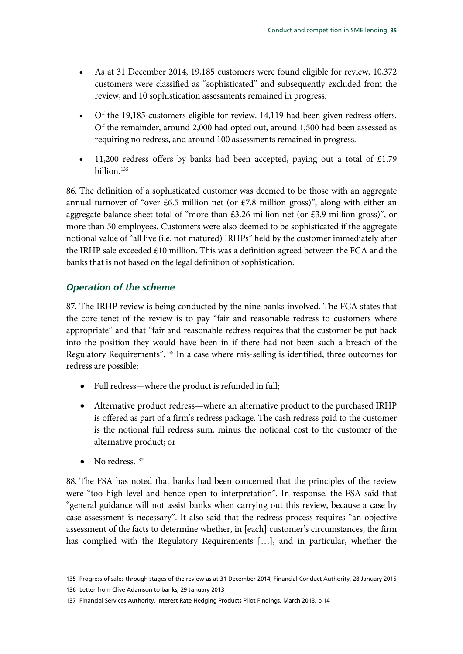- As at 31 December 2014, 19,185 customers were found eligible for review, 10,372 customers were classified as "sophisticated" and subsequently excluded from the review, and 10 sophistication assessments remained in progress.
- Of the 19,185 customers eligible for review. 14,119 had been given redress offers. Of the remainder, around 2,000 had opted out, around 1,500 had been assessed as requiring no redress, and around 100 assessments remained in progress.
- 11,200 redress offers by banks had been accepted, paying out a total of  $£1.79$ billion.<sup>135</sup>

86. The definition of a sophisticated customer was deemed to be those with an aggregate annual turnover of "over £6.5 million net (or  $£7.8$  million gross)", along with either an aggregate balance sheet total of "more than £3.26 million net (or £3.9 million gross)", or more than 50 employees. Customers were also deemed to be sophisticated if the aggregate notional value of "all live (i.e. not matured) IRHPs" held by the customer immediately after the IRHP sale exceeded  $£10$  million. This was a definition agreed between the FCA and the banks that is not based on the legal definition of sophistication.

# *Operation of the scheme*

87. The IRHP review is being conducted by the nine banks involved. The FCA states that the core tenet of the review is to pay "fair and reasonable redress to customers where appropriate" and that "fair and reasonable redress requires that the customer be put back into the position they would have been in if there had not been such a breach of the Regulatory Requirements".<sup>[136](#page-36-1)</sup> In a case where mis-selling is identified, three outcomes for redress are possible:

- Full redress—where the product is refunded in full;
- Alternative product redress—where an alternative product to the purchased IRHP is offered as part of a firm's redress package. The cash redress paid to the customer is the notional full redress sum, minus the notional cost to the customer of the alternative product; or
- No redress. $137$

88. The FSA has noted that banks had been concerned that the principles of the review were "too high level and hence open to interpretation". In response, the FSA said that "general guidance will not assist banks when carrying out this review, because a case by case assessment is necessary". It also said that the redress process requires "an objective assessment of the facts to determine whether, in [each] customer's circumstances, the firm has complied with the Regulatory Requirements […], and in particular, whether the

<span id="page-36-0"></span><sup>135</sup> Progress of sales through stages of the review as at 31 December 2014, Financial Conduct Authority, 28 January 2015

<span id="page-36-1"></span><sup>136</sup> Letter from Clive Adamson to banks, 29 January 2013

<span id="page-36-2"></span><sup>137</sup> Financial Services Authority, Interest Rate Hedging Products Pilot Findings, March 2013, p 14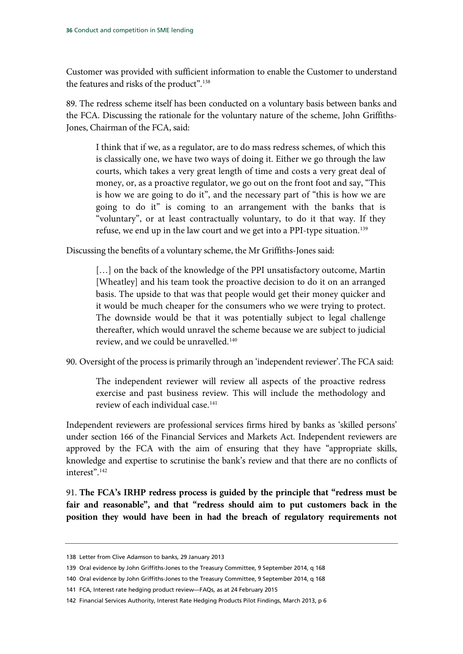Customer was provided with sufficient information to enable the Customer to understand the features and risks of the product".<sup>[138](#page-37-0)</sup>

89. The redress scheme itself has been conducted on a voluntary basis between banks and the FCA. Discussing the rationale for the voluntary nature of the scheme, John Griffiths-Jones, Chairman of the FCA, said:

I think that if we, as a regulator, are to do mass redress schemes, of which this is classically one, we have two ways of doing it. Either we go through the law courts, which takes a very great length of time and costs a very great deal of money, or, as a proactive regulator, we go out on the front foot and say, "This is how we are going to do it", and the necessary part of "this is how we are going to do it" is coming to an arrangement with the banks that is "voluntary", or at least contractually voluntary, to do it that way. If they refuse, we end up in the law court and we get into a PPI-type situation.<sup>[139](#page-37-1)</sup>

Discussing the benefits of a voluntary scheme, the Mr Griffiths-Jones said:

[...] on the back of the knowledge of the PPI unsatisfactory outcome, Martin [Wheatley] and his team took the proactive decision to do it on an arranged basis. The upside to that was that people would get their money quicker and it would be much cheaper for the consumers who we were trying to protect. The downside would be that it was potentially subject to legal challenge thereafter, which would unravel the scheme because we are subject to judicial review, and we could be unravelled.[140](#page-37-2)

90. Oversight of the process is primarily through an 'independent reviewer'.The FCA said:

The independent reviewer will review all aspects of the proactive redress exercise and past business review. This will include the methodology and review of each individual case.<sup>[141](#page-37-3)</sup>

Independent reviewers are professional services firms hired by banks as 'skilled persons' under section 166 of the Financial Services and Markets Act. Independent reviewers are approved by the FCA with the aim of ensuring that they have "appropriate skills, knowledge and expertise to scrutinise the bank's review and that there are no conflicts of interest".[142](#page-37-4)

91. **The FCA's IRHP redress process is guided by the principle that "redress must be fair and reasonable", and that "redress should aim to put customers back in the position they would have been in had the breach of regulatory requirements not** 

<span id="page-37-0"></span><sup>138</sup> Letter from Clive Adamson to banks, 29 January 2013

<span id="page-37-1"></span><sup>139</sup> Oral evidence by John Griffiths-Jones to the Treasury Committee, 9 September 2014, q 168

<span id="page-37-2"></span><sup>140</sup> Oral evidence by John Griffiths-Jones to the Treasury Committee, 9 September 2014, q 168

<span id="page-37-3"></span><sup>141</sup> FCA, Interest rate hedging product review—FAQs, as at 24 February 2015

<span id="page-37-4"></span><sup>142</sup> Financial Services Authority, Interest Rate Hedging Products Pilot Findings, March 2013, p 6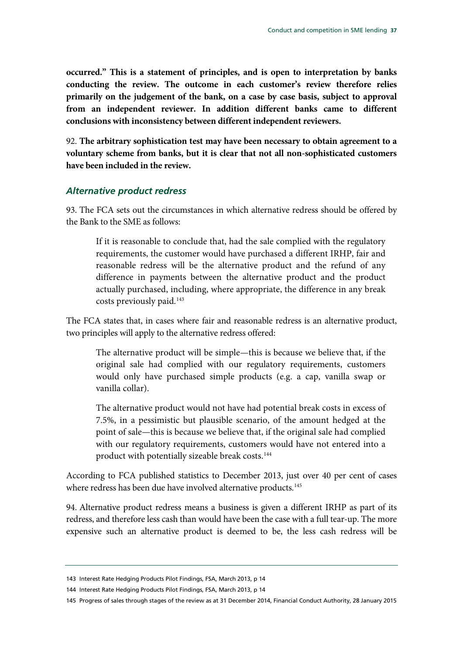**occurred." This is a statement of principles, and is open to interpretation by banks conducting the review. The outcome in each customer's review therefore relies primarily on the judgement of the bank, on a case by case basis, subject to approval from an independent reviewer. In addition different banks came to different conclusions with inconsistency between different independent reviewers.**

92. **The arbitrary sophistication test may have been necessary to obtain agreement to a voluntary scheme from banks, but it is clear that not all non-sophisticated customers have been included in the review.**

#### *Alternative product redress*

93. The FCA sets out the circumstances in which alternative redress should be offered by the Bank to the SME as follows:

If it is reasonable to conclude that, had the sale complied with the regulatory requirements, the customer would have purchased a different IRHP, fair and reasonable redress will be the alternative product and the refund of any difference in payments between the alternative product and the product actually purchased, including, where appropriate, the difference in any break costs previously paid.<sup>[143](#page-38-0)</sup>

The FCA states that, in cases where fair and reasonable redress is an alternative product, two principles will apply to the alternative redress offered:

The alternative product will be simple—this is because we believe that, if the original sale had complied with our regulatory requirements, customers would only have purchased simple products (e.g. a cap, vanilla swap or vanilla collar).

The alternative product would not have had potential break costs in excess of 7.5%, in a pessimistic but plausible scenario, of the amount hedged at the point of sale—this is because we believe that, if the original sale had complied with our regulatory requirements, customers would have not entered into a product with potentially sizeable break costs.<sup>[144](#page-38-1)</sup>

According to FCA published statistics to December 2013, just over 40 per cent of cases where redress has been due have involved alternative products.<sup>145</sup>

94. Alternative product redress means a business is given a different IRHP as part of its redress, and therefore less cash than would have been the case with a full tear-up. The more expensive such an alternative product is deemed to be, the less cash redress will be

<span id="page-38-0"></span><sup>143</sup> Interest Rate Hedging Products Pilot Findings, FSA, March 2013, p 14

<span id="page-38-1"></span><sup>144</sup> Interest Rate Hedging Products Pilot Findings, FSA, March 2013, p 14

<span id="page-38-2"></span><sup>145</sup> Progress of sales through stages of the review as at 31 December 2014, Financial Conduct Authority, 28 January 2015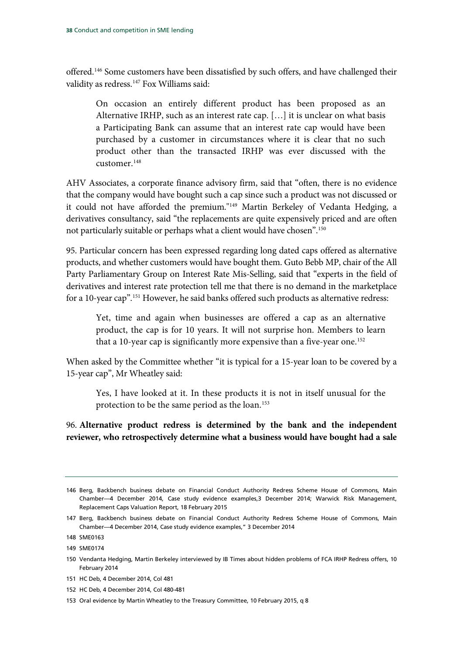offered.<sup>146</sup> Some customers have been dissatisfied by such offers, and have challenged their validity as redress.<sup>[147](#page-39-1)</sup> Fox Williams said:

On occasion an entirely different product has been proposed as an Alternative IRHP, such as an interest rate cap. […] it is unclear on what basis a Participating Bank can assume that an interest rate cap would have been purchased by a customer in circumstances where it is clear that no such product other than the transacted IRHP was ever discussed with the customer.[148](#page-39-2)

AHV Associates, a corporate finance advisory firm, said that "often, there is no evidence that the company would have bought such a cap since such a product was not discussed or it could not have afforded the premium."[149](#page-39-3) Martin Berkeley of Vedanta Hedging, a derivatives consultancy, said "the replacements are quite expensively priced and are often not particularly suitable or perhaps what a client would have chosen"[.150](#page-39-4)

95. Particular concern has been expressed regarding long dated caps offered as alternative products, and whether customers would have bought them. Guto Bebb MP, chair of the All Party Parliamentary Group on Interest Rate Mis-Selling, said that "experts in the field of derivatives and interest rate protection tell me that there is no demand in the marketplace for a 10-year cap".<sup>[151](#page-39-5)</sup> However, he said banks offered such products as alternative redress:

Yet, time and again when businesses are offered a cap as an alternative product, the cap is for 10 years. It will not surprise hon. Members to learn that a 10-year cap is significantly more expensive than a five-year one.<sup>[152](#page-39-6)</sup>

When asked by the Committee whether "it is typical for a 15-year loan to be covered by a 15-year cap", Mr Wheatley said:

Yes, I have looked at it. In these products it is not in itself unusual for the protection to be the same period as the loan.<sup>[153](#page-39-7)</sup>

96. **Alternative product redress is determined by the bank and the independent reviewer, who retrospectively determine what a business would have bought had a sale** 

<span id="page-39-0"></span><sup>146</sup> Berg, Backbench business debate on Financial Conduct Authority Redress Scheme House of Commons, Main Chamber—4 December 2014, Case study evidence examples,3 December 2014; Warwick Risk Management, Replacement Caps Valuation Report, 18 February 2015

<span id="page-39-1"></span><sup>147</sup> Berg, Backbench business debate on Financial Conduct Authority Redress Scheme House of Commons, Main Chamber—4 December 2014, Case study evidence examples," 3 December 2014

<span id="page-39-2"></span><sup>148</sup> SME0163

<span id="page-39-3"></span><sup>149</sup> SME0174

<span id="page-39-4"></span><sup>150</sup> Vendanta Hedging, Martin Berkeley interviewed by IB Times about hidden problems of FCA IRHP Redress offers, 10 February 2014

<span id="page-39-5"></span><sup>151</sup> HC Deb, 4 December 2014, Col 481

<span id="page-39-6"></span><sup>152</sup> HC Deb, 4 December 2014, Col 480-481

<span id="page-39-7"></span><sup>153</sup> Oral evidence by Martin Wheatley to the Treasury Committee, 10 February 2015, q 8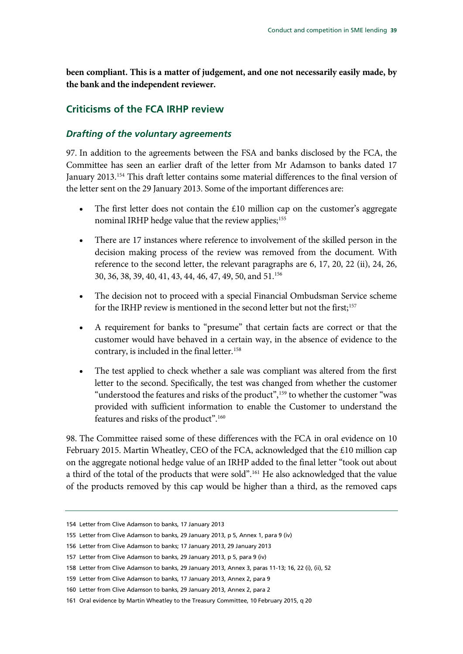**been compliant. This is a matter of judgement, and one not necessarily easily made, by the bank and the independent reviewer.**

# **Criticisms of the FCA IRHP review**

#### *Drafting of the voluntary agreements*

97. In addition to the agreements between the FSA and banks disclosed by the FCA, the Committee has seen an earlier draft of the letter from Mr Adamson to banks dated 17 January 2013. [154](#page-40-0) This draft letter contains some material differences to the final version of the letter sent on the 29 January 2013. Some of the important differences are:

- The first letter does not contain the  $£10$  million cap on the customer's aggregate nominal IRHP hedge value that the review applies;<sup>[155](#page-40-1)</sup>
- There are 17 instances where reference to involvement of the skilled person in the decision making process of the review was removed from the document. With reference to the second letter, the relevant paragraphs are 6, 17, 20, 22 (ii), 24, 26, 30, 36, 38, 39, 40, 41, 43, 44, 46, 47, 49, 50, and 51.[156](#page-40-2)
- The decision not to proceed with a special Financial Ombudsman Service scheme for the IRHP review is mentioned in the second letter but not the first;<sup>[157](#page-40-3)</sup>
- A requirement for banks to "presume" that certain facts are correct or that the customer would have behaved in a certain way, in the absence of evidence to the contrary, is included in the final letter.<sup>158</sup>
- The test applied to check whether a sale was compliant was altered from the first letter to the second. Specifically, the test was changed from whether the customer "understood the features and risks of the product", [159](#page-40-5) to whether the customer "was provided with sufficient information to enable the Customer to understand the features and risks of the product".[160](#page-40-6)

98. The Committee raised some of these differences with the FCA in oral evidence on 10 February 2015. Martin Wheatley, CEO of the FCA, acknowledged that the £10 million cap on the aggregate notional hedge value of an IRHP added to the final letter "took out about a third of the total of the products that were sold".[161](#page-40-7) He also acknowledged that the value of the products removed by this cap would be higher than a third, as the removed caps

<span id="page-40-0"></span><sup>154</sup> Letter from Clive Adamson to banks, 17 January 2013

<span id="page-40-1"></span><sup>155</sup> Letter from Clive Adamson to banks, 29 January 2013, p 5, Annex 1, para 9 (iv)

<span id="page-40-2"></span><sup>156</sup> Letter from Clive Adamson to banks; 17 January 2013, 29 January 2013

<span id="page-40-3"></span><sup>157</sup> Letter from Clive Adamson to banks, 29 January 2013, p 5, para 9 (iv)

<span id="page-40-4"></span><sup>158</sup> Letter from Clive Adamson to banks, 29 January 2013, Annex 3, paras 11-13; 16, 22 (i), (ii), 52

<span id="page-40-5"></span><sup>159</sup> Letter from Clive Adamson to banks, 17 January 2013, Annex 2, para 9

<span id="page-40-6"></span><sup>160</sup> Letter from Clive Adamson to banks, 29 January 2013, Annex 2, para 2

<span id="page-40-7"></span><sup>161</sup> Oral evidence by Martin Wheatley to the Treasury Committee, 10 February 2015, q 20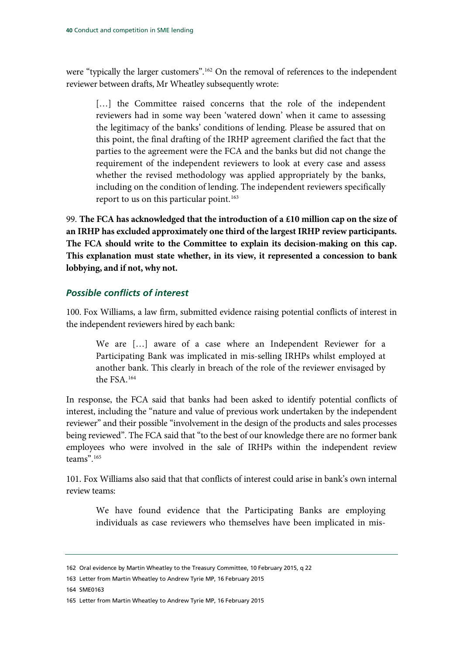were "typically the larger customers".<sup>[162](#page-41-0)</sup> On the removal of references to the independent reviewer between drafts, Mr Wheatley subsequently wrote:

[...] the Committee raised concerns that the role of the independent reviewers had in some way been 'watered down' when it came to assessing the legitimacy of the banks' conditions of lending. Please be assured that on this point, the final drafting of the IRHP agreement clarified the fact that the parties to the agreement were the FCA and the banks but did not change the requirement of the independent reviewers to look at every case and assess whether the revised methodology was applied appropriately by the banks, including on the condition of lending. The independent reviewers specifically report to us on this particular point.<sup>[163](#page-41-1)</sup>

99. **The FCA has acknowledged that the introduction of a £10 million cap on the size of an IRHP has excluded approximately one third of the largest IRHP review participants. The FCA should write to the Committee to explain its decision-making on this cap. This explanation must state whether, in its view, it represented a concession to bank lobbying, and if not, why not.**

### *Possible conflicts of interest*

100. Fox Williams, a law firm, submitted evidence raising potential conflicts of interest in the independent reviewers hired by each bank:

We are […] aware of a case where an Independent Reviewer for a Participating Bank was implicated in mis-selling IRHPs whilst employed at another bank. This clearly in breach of the role of the reviewer envisaged by the FSA.[164](#page-41-2)

In response, the FCA said that banks had been asked to identify potential conflicts of interest, including the "nature and value of previous work undertaken by the independent reviewer" and their possible "involvement in the design of the products and sales processes being reviewed". The FCA said that "to the best of our knowledge there are no former bank employees who were involved in the sale of IRHPs within the independent review teams"[.165](#page-41-3)

101. Fox Williams also said that that conflicts of interest could arise in bank's own internal review teams:

We have found evidence that the Participating Banks are employing individuals as case reviewers who themselves have been implicated in mis-

<span id="page-41-1"></span>163 Letter from Martin Wheatley to Andrew Tyrie MP, 16 February 2015

<span id="page-41-2"></span>164 SME0163

<span id="page-41-0"></span><sup>162</sup> Oral evidence by Martin Wheatley to the Treasury Committee, 10 February 2015, q 22

<span id="page-41-3"></span><sup>165</sup> Letter from Martin Wheatley to Andrew Tyrie MP, 16 February 2015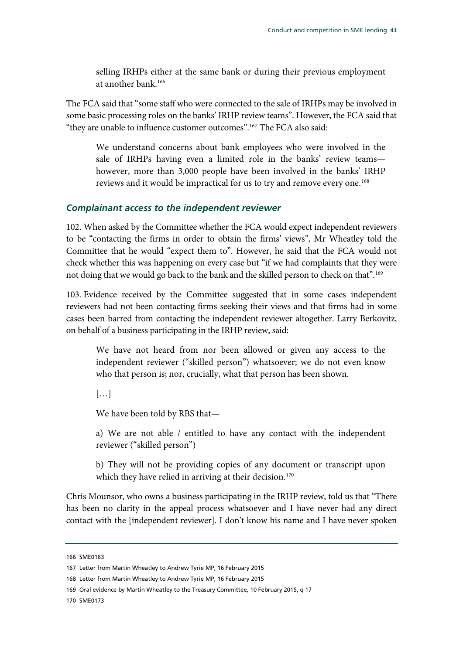selling IRHPs either at the same bank or during their previous employment at another bank[.166](#page-42-0)

The FCA said that "some staff who were connected to the sale of IRHPs may be involved in some basic processing roles on the banks' IRHP review teams". However, the FCA said that "they are unable to influence customer outcomes".[167](#page-42-1) The FCA also said:

We understand concerns about bank employees who were involved in the sale of IRHPs having even a limited role in the banks' review teams however, more than 3,000 people have been involved in the banks' IRHP reviews and it would be impractical for us to try and remove every one.<sup>[168](#page-42-2)</sup>

#### *Complainant access to the independent reviewer*

102. When asked by the Committee whether the FCA would expect independent reviewers to be "contacting the firms in order to obtain the firms' views", Mr Wheatley told the Committee that he would "expect them to". However, he said that the FCA would not check whether this was happening on every case but "if we had complaints that they were not doing that we would go back to the bank and the skilled person to check on that". [169](#page-42-3)

103. Evidence received by the Committee suggested that in some cases independent reviewers had not been contacting firms seeking their views and that firms had in some cases been barred from contacting the independent reviewer altogether. Larry Berkovitz, on behalf of a business participating in the IRHP review, said:

We have not heard from nor been allowed or given any access to the independent reviewer ("skilled person") whatsoever; we do not even know who that person is; nor, crucially, what that person has been shown.

[…]

We have been told by RBS that—

a) We are not able / entitled to have any contact with the independent reviewer ("skilled person")

b) They will not be providing copies of any document or transcript upon which they have relied in arriving at their decision.<sup>[170](#page-42-4)</sup>

Chris Mounsor, who owns a business participating in the IRHP review, told us that "There has been no clarity in the appeal process whatsoever and I have never had any direct contact with the [independent reviewer]. I don't know his name and I have never spoken

<span id="page-42-0"></span><sup>166</sup> SME0163

<span id="page-42-2"></span><span id="page-42-1"></span><sup>167</sup> Letter from Martin Wheatley to Andrew Tyrie MP, 16 February 2015

<sup>168</sup> Letter from Martin Wheatley to Andrew Tyrie MP, 16 February 2015

<span id="page-42-3"></span><sup>169</sup> Oral evidence by Martin Wheatley to the Treasury Committee, 10 February 2015, q 17

<span id="page-42-4"></span><sup>170</sup> SME0173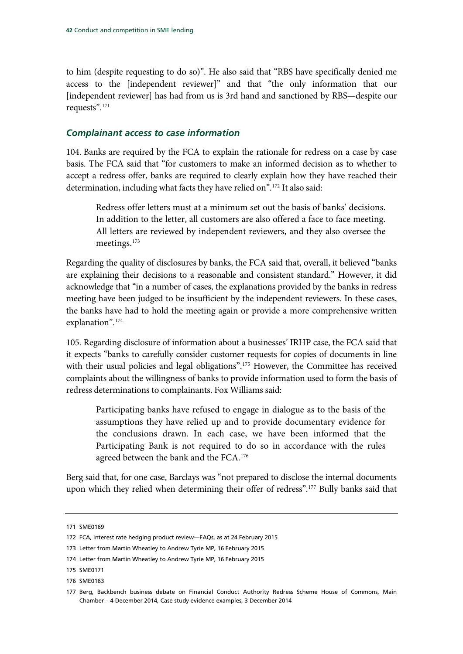to him (despite requesting to do so)". He also said that "RBS have specifically denied me access to the [independent reviewer]" and that "the only information that our [independent reviewer] has had from us is 3rd hand and sanctioned by RBS—despite our requests"[.171](#page-43-0)

### *Complainant access to case information*

104. Banks are required by the FCA to explain the rationale for redress on a case by case basis. The FCA said that "for customers to make an informed decision as to whether to accept a redress offer, banks are required to clearly explain how they have reached their determination, including what facts they have relied on".<sup>[172](#page-43-1)</sup> It also said:

Redress offer letters must at a minimum set out the basis of banks' decisions. In addition to the letter, all customers are also offered a face to face meeting. All letters are reviewed by independent reviewers, and they also oversee the meetings.[173](#page-43-2)

Regarding the quality of disclosures by banks, the FCA said that, overall, it believed "banks are explaining their decisions to a reasonable and consistent standard." However, it did acknowledge that "in a number of cases, the explanations provided by the banks in redress meeting have been judged to be insufficient by the independent reviewers. In these cases, the banks have had to hold the meeting again or provide a more comprehensive written explanation".[174](#page-43-3)

105. Regarding disclosure of information about a businesses' IRHP case, the FCA said that it expects "banks to carefully consider customer requests for copies of documents in line with their usual policies and legal obligations".<sup>[175](#page-43-4)</sup> However, the Committee has received complaints about the willingness of banks to provide information used to form the basis of redress determinations to complainants. Fox Williams said:

Participating banks have refused to engage in dialogue as to the basis of the assumptions they have relied up and to provide documentary evidence for the conclusions drawn. In each case, we have been informed that the Participating Bank is not required to do so in accordance with the rules agreed between the bank and the FCA.[176](#page-43-5)

Berg said that, for one case, Barclays was "not prepared to disclose the internal documents upon which they relied when determining their offer of redress".[177](#page-43-6) Bully banks said that

<span id="page-43-0"></span><sup>171</sup> SME0169

<span id="page-43-1"></span><sup>172</sup> FCA, Interest rate hedging product review—FAQs, as at 24 February 2015

<span id="page-43-2"></span><sup>173</sup> Letter from Martin Wheatley to Andrew Tyrie MP, 16 February 2015

<span id="page-43-3"></span><sup>174</sup> Letter from Martin Wheatley to Andrew Tyrie MP, 16 February 2015

<span id="page-43-4"></span><sup>175</sup> SME0171

<span id="page-43-5"></span><sup>176</sup> SME0163

<span id="page-43-6"></span><sup>177</sup> Berg, Backbench business debate on Financial Conduct Authority Redress Scheme House of Commons, Main Chamber – 4 December 2014, Case study evidence examples, 3 December 2014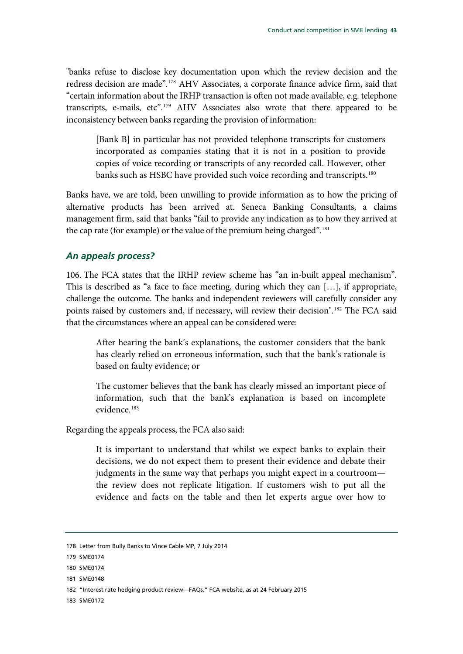"banks refuse to disclose key documentation upon which the review decision and the redress decision are made".[178](#page-44-0) AHV Associates, a corporate finance advice firm, said that "certain information about the IRHP transaction is often not made available, e.g. telephone transcripts, e-mails, etc".[179](#page-44-1) AHV Associates also wrote that there appeared to be inconsistency between banks regarding the provision of information:

[Bank B] in particular has not provided telephone transcripts for customers incorporated as companies stating that it is not in a position to provide copies of voice recording or transcripts of any recorded call. However, other banks such as HSBC have provided such voice recording and transcripts.<sup>[180](#page-44-2)</sup>

Banks have, we are told, been unwilling to provide information as to how the pricing of alternative products has been arrived at. Seneca Banking Consultants, a claims management firm, said that banks "fail to provide any indication as to how they arrived at the cap rate (for example) or the value of the premium being charged".[181](#page-44-3)

## *An appeals process?*

106. The FCA states that the IRHP review scheme has "an in-built appeal mechanism". This is described as "a face to face meeting, during which they can […], if appropriate, challenge the outcome. The banks and independent reviewers will carefully consider any points raised by customers and, if necessary, will review their decision".[182](#page-44-4) The FCA said that the circumstances where an appeal can be considered were:

After hearing the bank's explanations, the customer considers that the bank has clearly relied on erroneous information, such that the bank's rationale is based on faulty evidence; or

The customer believes that the bank has clearly missed an important piece of information, such that the bank's explanation is based on incomplete evidence.<sup>[183](#page-44-5)</sup>

Regarding the appeals process, the FCA also said:

It is important to understand that whilst we expect banks to explain their decisions, we do not expect them to present their evidence and debate their judgments in the same way that perhaps you might expect in a courtroom the review does not replicate litigation. If customers wish to put all the evidence and facts on the table and then let experts argue over how to

<span id="page-44-3"></span>181 SME0148

<span id="page-44-0"></span><sup>178</sup> Letter from Bully Banks to Vince Cable MP, 7 July 2014

<span id="page-44-1"></span><sup>179</sup> SME0174

<span id="page-44-2"></span><sup>180</sup> SME0174

<span id="page-44-4"></span><sup>182</sup> "Interest rate hedging product review—FAQs," FCA website, as at 24 February 2015

<span id="page-44-5"></span><sup>183</sup> SME0172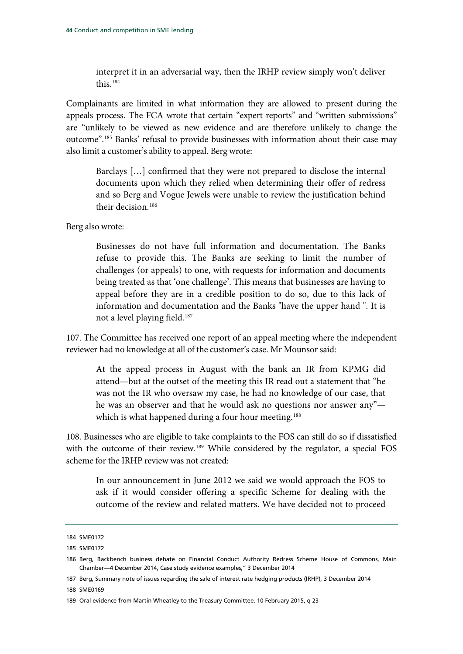interpret it in an adversarial way, then the IRHP review simply won't deliver this.[184](#page-45-0)

Complainants are limited in what information they are allowed to present during the appeals process. The FCA wrote that certain "expert reports" and "written submissions" are "unlikely to be viewed as new evidence and are therefore unlikely to change the outcome".[185](#page-45-1) Banks' refusal to provide businesses with information about their case may also limit a customer's ability to appeal. Berg wrote:

Barclays […] confirmed that they were not prepared to disclose the internal documents upon which they relied when determining their offer of redress and so Berg and Vogue Jewels were unable to review the justification behind their decision.[186](#page-45-2)

Berg also wrote:

Businesses do not have full information and documentation. The Banks refuse to provide this. The Banks are seeking to limit the number of challenges (or appeals) to one, with requests for information and documents being treated as that 'one challenge'. This means that businesses are having to appeal before they are in a credible position to do so, due to this lack of information and documentation and the Banks "have the upper hand ". It is not a level playing field.<sup>[187](#page-45-3)</sup>

107. The Committee has received one report of an appeal meeting where the independent reviewer had no knowledge at all of the customer's case. Mr Mounsor said:

At the appeal process in August with the bank an IR from KPMG did attend—but at the outset of the meeting this IR read out a statement that "he was not the IR who oversaw my case, he had no knowledge of our case, that he was an observer and that he would ask no questions nor answer any"— which is what happened during a four hour meeting.<sup>[188](#page-45-4)</sup>

108. Businesses who are eligible to take complaints to the FOS can still do so if dissatisfied with the outcome of their review.<sup>[189](#page-45-5)</sup> While considered by the regulator, a special FOS scheme for the IRHP review was not created:

In our announcement in June 2012 we said we would approach the FOS to ask if it would consider offering a specific Scheme for dealing with the outcome of the review and related matters. We have decided not to proceed

<span id="page-45-4"></span>188 SME0169

<span id="page-45-0"></span><sup>184</sup> SME0172

<span id="page-45-1"></span><sup>185</sup> SME0172

<span id="page-45-2"></span><sup>186</sup> Berg, Backbench business debate on Financial Conduct Authority Redress Scheme House of Commons, Main Chamber—4 December 2014, Case study evidence examples," 3 December 2014

<span id="page-45-3"></span><sup>187</sup> Berg, Summary note of issues regarding the sale of interest rate hedging products (IRHP), 3 December 2014

<span id="page-45-5"></span><sup>189</sup> Oral evidence from Martin Wheatley to the Treasury Committee, 10 February 2015, q 23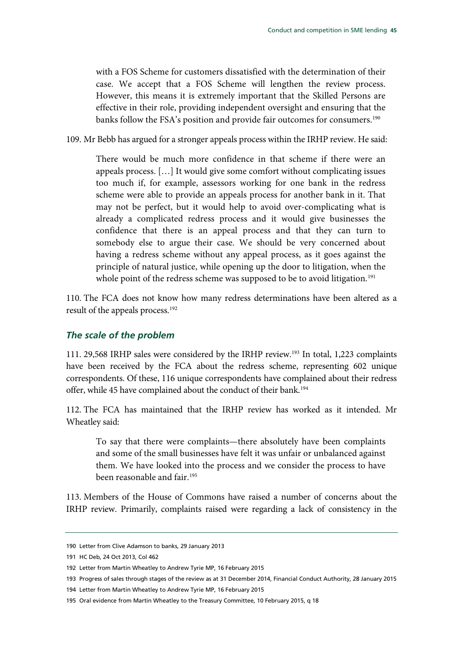with a FOS Scheme for customers dissatisfied with the determination of their case. We accept that a FOS Scheme will lengthen the review process. However, this means it is extremely important that the Skilled Persons are effective in their role, providing independent oversight and ensuring that the banks follow the FSA's position and provide fair outcomes for consumers.<sup>[190](#page-46-0)</sup>

109. Mr Bebb has argued for a stronger appeals process within the IRHP review. He said:

There would be much more confidence in that scheme if there were an appeals process. […] It would give some comfort without complicating issues too much if, for example, assessors working for one bank in the redress scheme were able to provide an appeals process for another bank in it. That may not be perfect, but it would help to avoid over-complicating what is already a complicated redress process and it would give businesses the confidence that there is an appeal process and that they can turn to somebody else to argue their case. We should be very concerned about having a redress scheme without any appeal process, as it goes against the principle of natural justice, while opening up the door to litigation, when the whole point of the redress scheme was supposed to be to avoid litigation.<sup>[191](#page-46-1)</sup>

110. The FCA does not know how many redress determinations have been altered as a result of the appeals process.[192](#page-46-2)

#### *The scale of the problem*

111. 29,568 IRHP sales were considered by the IRHP review.[193](#page-46-3) In total, 1,223 complaints have been received by the FCA about the redress scheme, representing 602 unique correspondents. Of these, 116 unique correspondents have complained about their redress offer, while 45 have complained about the conduct of their bank.<sup>194</sup>

112. The FCA has maintained that the IRHP review has worked as it intended. Mr Wheatley said:

To say that there were complaints—there absolutely have been complaints and some of the small businesses have felt it was unfair or unbalanced against them. We have looked into the process and we consider the process to have been reasonable and fair.<sup>[195](#page-46-5)</sup>

113. Members of the House of Commons have raised a number of concerns about the IRHP review. Primarily, complaints raised were regarding a lack of consistency in the

<span id="page-46-0"></span><sup>190</sup> Letter from Clive Adamson to banks, 29 January 2013

<span id="page-46-1"></span><sup>191</sup> HC Deb, 24 Oct 2013, Col 462

<span id="page-46-2"></span><sup>192</sup> Letter from Martin Wheatley to Andrew Tyrie MP, 16 February 2015

<span id="page-46-3"></span><sup>193</sup> Progress of sales through stages of the review as at 31 December 2014, Financial Conduct Authority, 28 January 2015

<span id="page-46-4"></span><sup>194</sup> Letter from Martin Wheatley to Andrew Tyrie MP, 16 February 2015

<span id="page-46-5"></span><sup>195</sup> Oral evidence from Martin Wheatley to the Treasury Committee, 10 February 2015, q 18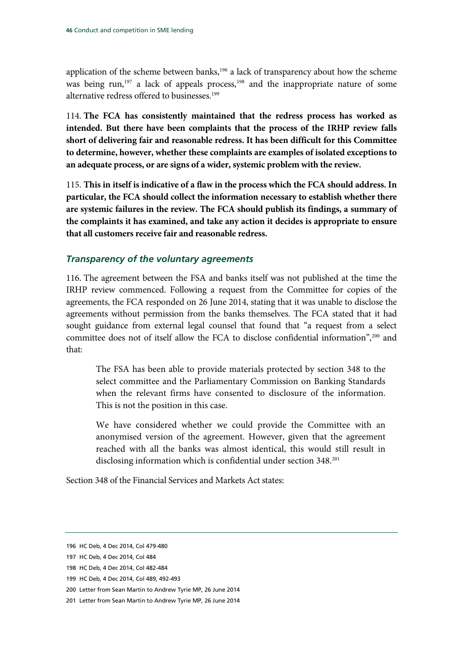application of the scheme between banks,<sup>[196](#page-47-0)</sup> a lack of transparency about how the scheme was being run,<sup>[197](#page-47-1)</sup> a lack of appeals process,<sup>198</sup> and the inappropriate nature of some alternative redress offered to businesses.<sup>[199](#page-47-3)</sup>

114. **The FCA has consistently maintained that the redress process has worked as intended. But there have been complaints that the process of the IRHP review falls short of delivering fair and reasonable redress. It has been difficult for this Committee to determine, however, whether these complaints are examples of isolated exceptions to an adequate process, or are signs of a wider, systemic problem with the review.**

115. **This in itself is indicative of a flaw in the process which the FCA should address. In particular, the FCA should collect the information necessary to establish whether there are systemic failures in the review. The FCA should publish its findings, a summary of the complaints it has examined, and take any action it decides is appropriate to ensure that all customers receive fair and reasonable redress.**

#### *Transparency of the voluntary agreements*

116. The agreement between the FSA and banks itself was not published at the time the IRHP review commenced. Following a request from the Committee for copies of the agreements, the FCA responded on 26 June 2014, stating that it was unable to disclose the agreements without permission from the banks themselves. The FCA stated that it had sought guidance from external legal counsel that found that "a request from a select committee does not of itself allow the FCA to disclose confidential information", [200](#page-47-4) and that:

The FSA has been able to provide materials protected by section 348 to the select committee and the Parliamentary Commission on Banking Standards when the relevant firms have consented to disclosure of the information. This is not the position in this case.

We have considered whether we could provide the Committee with an anonymised version of the agreement. However, given that the agreement reached with all the banks was almost identical, this would still result in disclosing information which is confidential under section 348.[201](#page-47-5)

Section 348 of the Financial Services and Markets Act states:

<span id="page-47-0"></span><sup>196</sup> HC Deb, 4 Dec 2014, Col 479-480

<span id="page-47-1"></span><sup>197</sup> HC Deb, 4 Dec 2014, Col 484

<span id="page-47-2"></span><sup>198</sup> HC Deb, 4 Dec 2014, Col 482-484

<span id="page-47-3"></span><sup>199</sup> HC Deb, 4 Dec 2014, Col 489, 492-493

<span id="page-47-4"></span><sup>200</sup> Letter from Sean Martin to Andrew Tyrie MP, 26 June 2014

<span id="page-47-5"></span><sup>201</sup> Letter from Sean Martin to Andrew Tyrie MP, 26 June 2014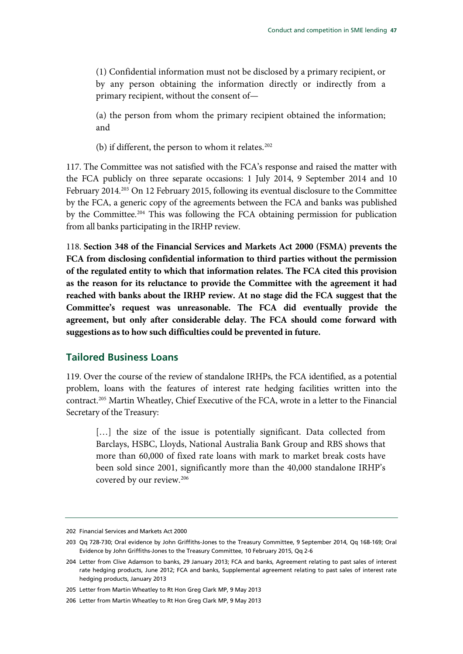(1) Confidential information must not be disclosed by a primary recipient, or by any person obtaining the information directly or indirectly from a primary recipient, without the consent of—

(a) the person from whom the primary recipient obtained the information; and

(b) if different, the person to whom it relates.<sup>[202](#page-48-0)</sup>

117. The Committee was not satisfied with the FCA's response and raised the matter with the FCA publicly on three separate occasions: 1 July 2014, 9 September 2014 and 10 February 2014.<sup>[203](#page-48-1)</sup> On 12 February 2015, following its eventual disclosure to the Committee by the FCA, a generic copy of the agreements between the FCA and banks was published by the Committee[.204](#page-48-2) This was following the FCA obtaining permission for publication from all banks participating in the IRHP review.

118. **Section 348 of the Financial Services and Markets Act 2000 (FSMA) prevents the FCA from disclosing confidential information to third parties without the permission of the regulated entity to which that information relates. The FCA cited this provision as the reason for its reluctance to provide the Committee with the agreement it had reached with banks about the IRHP review. At no stage did the FCA suggest that the Committee's request was unreasonable. The FCA did eventually provide the agreement, but only after considerable delay. The FCA should come forward with suggestions as to how such difficulties could be prevented in future.**

## **Tailored Business Loans**

119. Over the course of the review of standalone IRHPs, the FCA identified, as a potential problem, loans with the features of interest rate hedging facilities written into the contract.[205](#page-48-3) Martin Wheatley, Chief Executive of the FCA, wrote in a letter to the Financial Secretary of the Treasury:

[...] the size of the issue is potentially significant. Data collected from Barclays, HSBC, Lloyds, National Australia Bank Group and RBS shows that more than 60,000 of fixed rate loans with mark to market break costs have been sold since 2001, significantly more than the 40,000 standalone IRHP's covered by our review.[206](#page-48-4)

<span id="page-48-0"></span><sup>202</sup> Financial Services and Markets Act 2000

<span id="page-48-1"></span><sup>203</sup> Qq 728-730; Oral evidence by John Griffiths-Jones to the Treasury Committee, 9 September 2014, Qq 168-169; Oral Evidence by John Griffiths-Jones to the Treasury Committee, 10 February 2015, Qq 2-6

<span id="page-48-2"></span><sup>204</sup> Letter from Clive Adamson to banks, 29 January 2013; FCA and banks, Agreement relating to past sales of interest rate hedging products, June 2012; FCA and banks, Supplemental agreement relating to past sales of interest rate hedging products, January 2013

<span id="page-48-3"></span><sup>205</sup> Letter from Martin Wheatley to Rt Hon Greg Clark MP, 9 May 2013

<span id="page-48-4"></span><sup>206</sup> Letter from Martin Wheatley to Rt Hon Greg Clark MP, 9 May 2013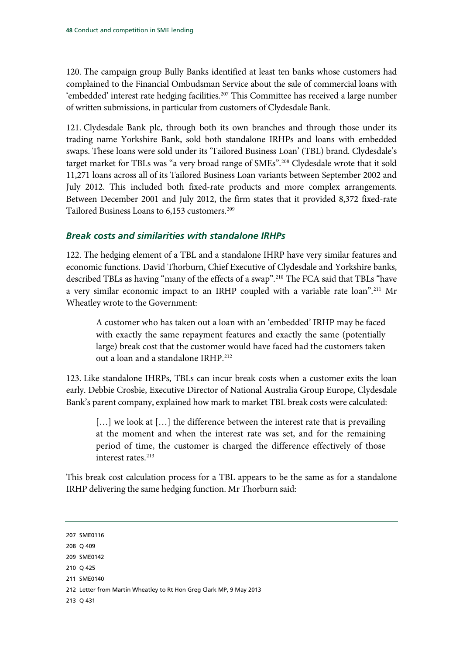120. The campaign group Bully Banks identified at least ten banks whose customers had complained to the Financial Ombudsman Service about the sale of commercial loans with 'embedded' interest rate hedging facilities.<sup>[207](#page-49-0)</sup> This Committee has received a large number of written submissions, in particular from customers of Clydesdale Bank.

121. Clydesdale Bank plc, through both its own branches and through those under its trading name Yorkshire Bank, sold both standalone IRHPs and loans with embedded swaps. These loans were sold under its 'Tailored Business Loan' (TBL) brand. Clydesdale's target market for TBLs was "a very broad range of SMEs".<sup>[208](#page-49-1)</sup> Clydesdale wrote that it sold 11,271 loans across all of its Tailored Business Loan variants between September 2002 and July 2012. This included both fixed-rate products and more complex arrangements. Between December 2001 and July 2012, the firm states that it provided 8,372 fixed-rate Tailored Business Loans to 6,153 customers. [209](#page-49-2)

## *Break costs and similarities with standalone IRHPs*

122. The hedging element of a TBL and a standalone IHRP have very similar features and economic functions. David Thorburn, Chief Executive of Clydesdale and Yorkshire banks, described TBLs as having "many of the effects of a swap".<sup>[210](#page-49-3)</sup> The FCA said that TBLs "have a very similar economic impact to an IRHP coupled with a variable rate loan".<sup>211</sup> Mr Wheatley wrote to the Government:

A customer who has taken out a loan with an 'embedded' IRHP may be faced with exactly the same repayment features and exactly the same (potentially large) break cost that the customer would have faced had the customers taken out a loan and a standalone IRHP.<sup>[212](#page-49-5)</sup>

123. Like standalone IHRPs, TBLs can incur break costs when a customer exits the loan early. Debbie Crosbie, Executive Director of National Australia Group Europe, Clydesdale Bank's parent company, explained how mark to market TBL break costs were calculated:

[...] we look at [...] the difference between the interest rate that is prevailing at the moment and when the interest rate was set, and for the remaining period of time, the customer is charged the difference effectively of those interest rates.<sup>213</sup>

This break cost calculation process for a TBL appears to be the same as for a standalone IRHP delivering the same hedging function. Mr Thorburn said:

- <span id="page-49-1"></span>208 Q 409
- <span id="page-49-2"></span>209 SME0142
- <span id="page-49-3"></span>210 Q 425
- <span id="page-49-4"></span>211 SME0140
- <span id="page-49-5"></span>212 Letter from Martin Wheatley to Rt Hon Greg Clark MP, 9 May 2013
- <span id="page-49-6"></span>213 Q 431

<span id="page-49-0"></span><sup>207</sup> SME0116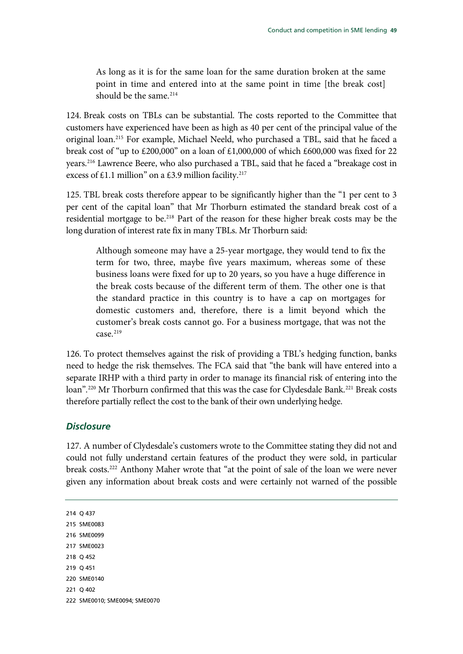As long as it is for the same loan for the same duration broken at the same point in time and entered into at the same point in time [the break cost] should be the same. $214$ 

124. Break costs on TBLs can be substantial. The costs reported to the Committee that customers have experienced have been as high as 40 per cent of the principal value of the original loan.[215](#page-50-1) For example, Michael Neeld, who purchased a TBL, said that he faced a break cost of "up to £200,000" on a loan of £1,000,000 of which £600,000 was fixed for 22 years.[216](#page-50-2) Lawrence Beere, who also purchased a TBL, said that he faced a "breakage cost in excess of £1.1 million" on a £3.9 million facility.<sup>217</sup>

125. TBL break costs therefore appear to be significantly higher than the "1 per cent to 3 per cent of the capital loan" that Mr Thorburn estimated the standard break cost of a residential mortgage to be.<sup>[218](#page-50-4)</sup> Part of the reason for these higher break costs may be the long duration of interest rate fix in many TBLs. Mr Thorburn said:

Although someone may have a 25-year mortgage, they would tend to fix the term for two, three, maybe five years maximum, whereas some of these business loans were fixed for up to 20 years, so you have a huge difference in the break costs because of the different term of them. The other one is that the standard practice in this country is to have a cap on mortgages for domestic customers and, therefore, there is a limit beyond which the customer's break costs cannot go. For a business mortgage, that was not the  $case.<sup>219</sup>$ 

126. To protect themselves against the risk of providing a TBL's hedging function, banks need to hedge the risk themselves. The FCA said that "the bank will have entered into a separate IRHP with a third party in order to manage its financial risk of entering into the loan".<sup>[220](#page-50-6)</sup> Mr Thorburn confirmed that this was the case for Clydesdale Bank.<sup>221</sup> Break costs therefore partially reflect the cost to the bank of their own underlying hedge.

#### *Disclosure*

127. A number of Clydesdale's customers wrote to the Committee stating they did not and could not fully understand certain features of the product they were sold, in particular break costs.[222](#page-50-8) Anthony Maher wrote that "at the point of sale of the loan we were never given any information about break costs and were certainly not warned of the possible

<span id="page-50-8"></span><span id="page-50-7"></span><span id="page-50-6"></span><span id="page-50-5"></span><span id="page-50-4"></span><span id="page-50-3"></span><span id="page-50-2"></span><span id="page-50-1"></span><span id="page-50-0"></span>214 Q 437 215 SME0083 216 SME0099 217 SME0023 218 Q 452 219 Q 451 220 SME0140 221 Q 402 222 SME0010; SME0094; SME0070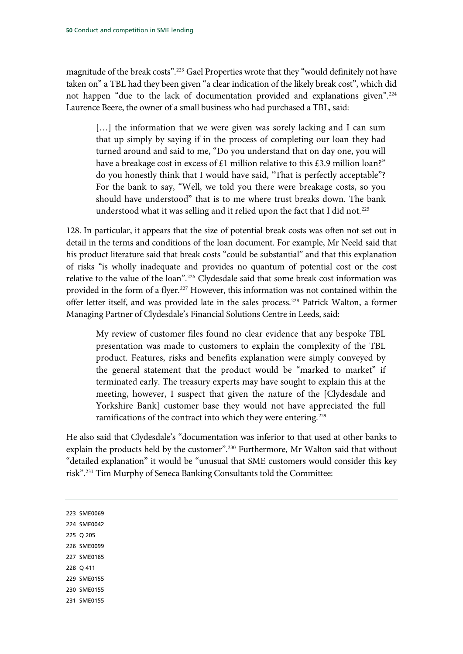magnitude of the break costs".[223](#page-51-0) Gael Properties wrote that they "would definitely not have taken on" a TBL had they been given "a clear indication of the likely break cost", which did not happen "due to the lack of documentation provided and explanations given"[.224](#page-51-1) Laurence Beere, the owner of a small business who had purchased a TBL, said:

[...] the information that we were given was sorely lacking and I can sum that up simply by saying if in the process of completing our loan they had turned around and said to me, "Do you understand that on day one, you will have a breakage cost in excess of £1 million relative to this £3.9 million loan?" do you honestly think that I would have said, "That is perfectly acceptable"? For the bank to say, "Well, we told you there were breakage costs, so you should have understood" that is to me where trust breaks down. The bank understood what it was selling and it relied upon the fact that I did not.<sup>[225](#page-51-2)</sup>

128. In particular, it appears that the size of potential break costs was often not set out in detail in the terms and conditions of the loan document. For example, Mr Neeld said that his product literature said that break costs "could be substantial" and that this explanation of risks "is wholly inadequate and provides no quantum of potential cost or the cost relative to the value of the loan".<sup>[226](#page-51-3)</sup> Clydesdale said that some break cost information was provided in the form of a flyer.<sup>[227](#page-51-4)</sup> However, this information was not contained within the offer letter itself, and was provided late in the sales process.[228](#page-51-5) Patrick Walton, a former Managing Partner of Clydesdale's Financial Solutions Centre in Leeds, said:

My review of customer files found no clear evidence that any bespoke TBL presentation was made to customers to explain the complexity of the TBL product. Features, risks and benefits explanation were simply conveyed by the general statement that the product would be "marked to market" if terminated early. The treasury experts may have sought to explain this at the meeting, however, I suspect that given the nature of the [Clydesdale and Yorkshire Bank] customer base they would not have appreciated the full ramifications of the contract into which they were entering.<sup>[229](#page-51-6)</sup>

He also said that Clydesdale's "documentation was inferior to that used at other banks to explain the products held by the customer".<sup>230</sup> Furthermore, Mr Walton said that without "detailed explanation" it would be "unusual that SME customers would consider this key risk"[.231](#page-51-8) Tim Murphy of Seneca Banking Consultants told the Committee:

<span id="page-51-8"></span><span id="page-51-7"></span><span id="page-51-6"></span><span id="page-51-5"></span><span id="page-51-4"></span><span id="page-51-3"></span><span id="page-51-2"></span><span id="page-51-1"></span><span id="page-51-0"></span>223 SME0069 224 SME0042 225 Q 205 226 SME0099 227 SME0165 228 Q 411 229 SME0155 230 SME0155 231 SME0155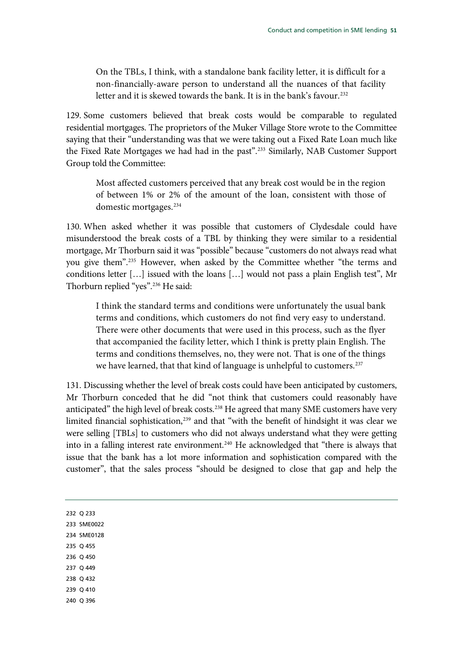On the TBLs, I think, with a standalone bank facility letter, it is difficult for a non-financially-aware person to understand all the nuances of that facility letter and it is skewed towards the bank. It is in the bank's favour.<sup>[232](#page-52-0)</sup>

129. Some customers believed that break costs would be comparable to regulated residential mortgages. The proprietors of the Muker Village Store wrote to the Committee saying that their "understanding was that we were taking out a Fixed Rate Loan much like the Fixed Rate Mortgages we had had in the past".<sup>233</sup> Similarly, NAB Customer Support Group told the Committee:

Most affected customers perceived that any break cost would be in the region of between 1% or 2% of the amount of the loan, consistent with those of domestic mortgages.[234](#page-52-2)

130. When asked whether it was possible that customers of Clydesdale could have misunderstood the break costs of a TBL by thinking they were similar to a residential mortgage, Mr Thorburn said it was "possible" because "customers do not always read what you give them".[235](#page-52-3) However, when asked by the Committee whether "the terms and conditions letter […] issued with the loans […] would not pass a plain English test", Mr Thorburn replied "yes"[.236](#page-52-4) He said:

I think the standard terms and conditions were unfortunately the usual bank terms and conditions, which customers do not find very easy to understand. There were other documents that were used in this process, such as the flyer that accompanied the facility letter, which I think is pretty plain English. The terms and conditions themselves, no, they were not. That is one of the things we have learned, that that kind of language is unhelpful to customers.<sup>[237](#page-52-5)</sup>

<span id="page-52-8"></span><span id="page-52-7"></span><span id="page-52-6"></span><span id="page-52-5"></span><span id="page-52-4"></span><span id="page-52-3"></span><span id="page-52-2"></span><span id="page-52-1"></span><span id="page-52-0"></span>131. Discussing whether the level of break costs could have been anticipated by customers, Mr Thorburn conceded that he did "not think that customers could reasonably have anticipated" the high level of break costs.<sup>[238](#page-52-6)</sup> He agreed that many SME customers have very limited financial sophistication,<sup>239</sup> and that "with the benefit of hindsight it was clear we were selling [TBLs] to customers who did not always understand what they were getting into in a falling interest rate environment.<sup>240</sup> He acknowledged that "there is always that issue that the bank has a lot more information and sophistication compared with the customer", that the sales process "should be designed to close that gap and help the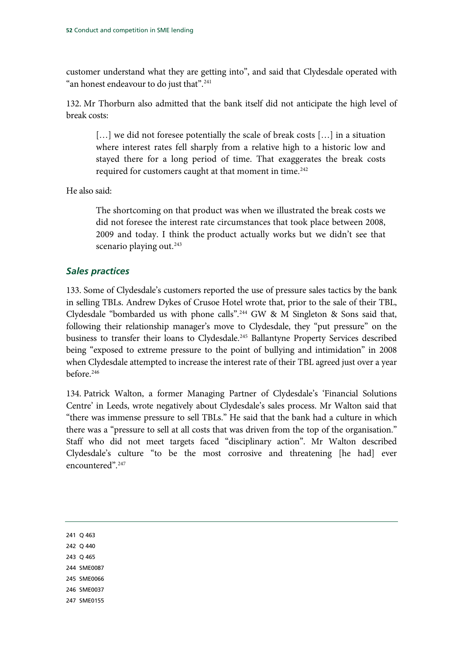customer understand what they are getting into", and said that Clydesdale operated with "an honest endeavour to do just that".<sup>[241](#page-53-0)</sup>

132. Mr Thorburn also admitted that the bank itself did not anticipate the high level of break costs:

[...] we did not foresee potentially the scale of break costs [...] in a situation where interest rates fell sharply from a relative high to a historic low and stayed there for a long period of time. That exaggerates the break costs required for customers caught at that moment in time.<sup>[242](#page-53-1)</sup>

He also said:

The shortcoming on that product was when we illustrated the break costs we did not foresee the interest rate circumstances that took place between 2008, 2009 and today. I think the product actually works but we didn't see that scenario playing out.<sup>[243](#page-53-2)</sup>

# *Sales practices*

133. Some of Clydesdale's customers reported the use of pressure sales tactics by the bank in selling TBLs. Andrew Dykes of Crusoe Hotel wrote that, prior to the sale of their TBL, Clydesdale "bombarded us with phone calls".[244](#page-53-3) GW & M Singleton & Sons said that, following their relationship manager's move to Clydesdale, they "put pressure" on the business to transfer their loans to Clydesdale.<sup>[245](#page-53-4)</sup> Ballantyne Property Services described being "exposed to extreme pressure to the point of bullying and intimidation" in 2008 when Clydesdale attempted to increase the interest rate of their TBL agreed just over a year before.[246](#page-53-5)

134. Patrick Walton, a former Managing Partner of Clydesdale's 'Financial Solutions Centre' in Leeds, wrote negatively about Clydesdale's sales process. Mr Walton said that "there was immense pressure to sell TBLs." He said that the bank had a culture in which there was a "pressure to sell at all costs that was driven from the top of the organisation." Staff who did not meet targets faced "disciplinary action". Mr Walton described Clydesdale's culture "to be the most corrosive and threatening [he had] ever encountered".[247](#page-53-6)

<span id="page-53-0"></span>241 Q 463

- <span id="page-53-1"></span>242 Q 440
- <span id="page-53-2"></span>243 Q 465
- <span id="page-53-3"></span>244 SME0087
- <span id="page-53-4"></span>245 SME0066
- <span id="page-53-5"></span>246 SME0037
- <span id="page-53-6"></span>247 SME0155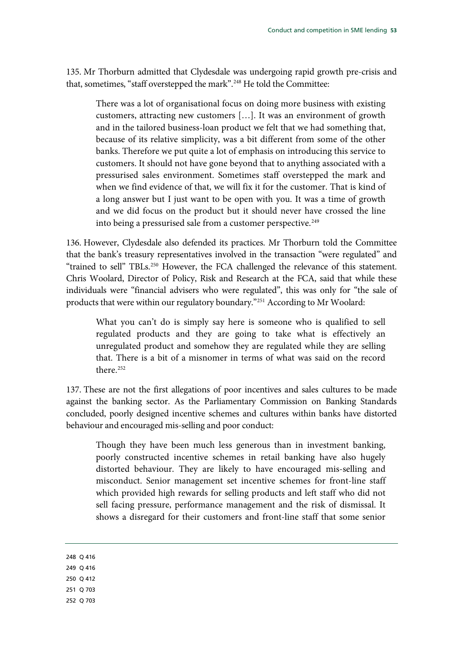135. Mr Thorburn admitted that Clydesdale was undergoing rapid growth pre-crisis and that, sometimes, "staff overstepped the mark".<sup>[248](#page-54-0)</sup> He told the Committee:

There was a lot of organisational focus on doing more business with existing customers, attracting new customers […]. It was an environment of growth and in the tailored business-loan product we felt that we had something that, because of its relative simplicity, was a bit different from some of the other banks. Therefore we put quite a lot of emphasis on introducing this service to customers. It should not have gone beyond that to anything associated with a pressurised sales environment. Sometimes staff overstepped the mark and when we find evidence of that, we will fix it for the customer. That is kind of a long answer but I just want to be open with you. It was a time of growth and we did focus on the product but it should never have crossed the line into being a pressurised sale from a customer perspective.<sup>[249](#page-54-1)</sup>

136. However, Clydesdale also defended its practices. Mr Thorburn told the Committee that the bank's treasury representatives involved in the transaction "were regulated" and "trained to sell" TBLs.<sup>[250](#page-54-2)</sup> However, the FCA challenged the relevance of this statement. Chris Woolard, Director of Policy, Risk and Research at the FCA, said that while these individuals were "financial advisers who were regulated", this was only for "the sale of products that were within our regulatory boundary."[251](#page-54-3) According to Mr Woolard:

What you can't do is simply say here is someone who is qualified to sell regulated products and they are going to take what is effectively an unregulated product and somehow they are regulated while they are selling that. There is a bit of a misnomer in terms of what was said on the record there.<sup>[252](#page-54-4)</sup>

137. These are not the first allegations of poor incentives and sales cultures to be made against the banking sector. As the Parliamentary Commission on Banking Standards concluded, poorly designed incentive schemes and cultures within banks have distorted behaviour and encouraged mis-selling and poor conduct:

Though they have been much less generous than in investment banking, poorly constructed incentive schemes in retail banking have also hugely distorted behaviour. They are likely to have encouraged mis-selling and misconduct. Senior management set incentive schemes for front-line staff which provided high rewards for selling products and left staff who did not sell facing pressure, performance management and the risk of dismissal. It shows a disregard for their customers and front-line staff that some senior

- <span id="page-54-2"></span><span id="page-54-1"></span>250 Q 412
- <span id="page-54-3"></span>251 Q 703
- 
- <span id="page-54-4"></span>252 Q 703

<span id="page-54-0"></span><sup>248</sup> Q 416 249 Q 416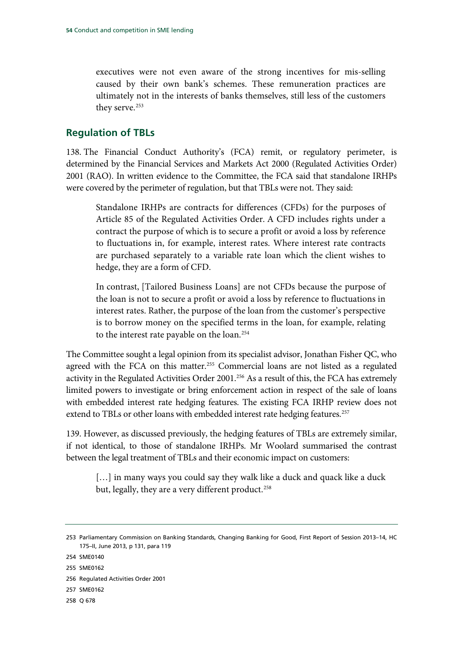executives were not even aware of the strong incentives for mis-selling caused by their own bank's schemes. These remuneration practices are ultimately not in the interests of banks themselves, still less of the customers they serve.<sup>[253](#page-55-0)</sup>

# **Regulation of TBLs**

138. The Financial Conduct Authority's (FCA) remit, or regulatory perimeter, is determined by the Financial Services and Markets Act 2000 (Regulated Activities Order) 2001 (RAO). In written evidence to the Committee, the FCA said that standalone IRHPs were covered by the perimeter of regulation, but that TBLs were not. They said:

Standalone IRHPs are contracts for differences (CFDs) for the purposes of Article 85 of the Regulated Activities Order. A CFD includes rights under a contract the purpose of which is to secure a profit or avoid a loss by reference to fluctuations in, for example, interest rates. Where interest rate contracts are purchased separately to a variable rate loan which the client wishes to hedge, they are a form of CFD.

In contrast, [Tailored Business Loans] are not CFDs because the purpose of the loan is not to secure a profit or avoid a loss by reference to fluctuations in interest rates. Rather, the purpose of the loan from the customer's perspective is to borrow money on the specified terms in the loan, for example, relating to the interest rate payable on the loan.<sup>[254](#page-55-1)</sup>

The Committee sought a legal opinion from its specialist advisor, Jonathan Fisher QC, who agreed with the FCA on this matter.<sup>[255](#page-55-2)</sup> Commercial loans are not listed as a regulated activity in the Regulated Activities Order 2001.<sup>[256](#page-55-3)</sup> As a result of this, the FCA has extremely limited powers to investigate or bring enforcement action in respect of the sale of loans with embedded interest rate hedging features. The existing FCA IRHP review does not extend to TBLs or other loans with embedded interest rate hedging features.<sup>257</sup>

139. However, as discussed previously, the hedging features of TBLs are extremely similar, if not identical, to those of standalone IRHPs. Mr Woolard summarised the contrast between the legal treatment of TBLs and their economic impact on customers:

[...] in many ways you could say they walk like a duck and quack like a duck but, legally, they are a very different product. [258](#page-55-5)

- <span id="page-55-4"></span>257 SME0162
- <span id="page-55-5"></span>258 Q 678

<span id="page-55-0"></span><sup>253</sup> Parliamentary Commission on Banking Standards, Changing Banking for Good, First Report of Session 2013–14, HC 175–II, June 2013, p 131, para 119

<span id="page-55-1"></span><sup>254</sup> SME0140

<span id="page-55-2"></span><sup>255</sup> SME0162

<span id="page-55-3"></span><sup>256</sup> Regulated Activities Order 2001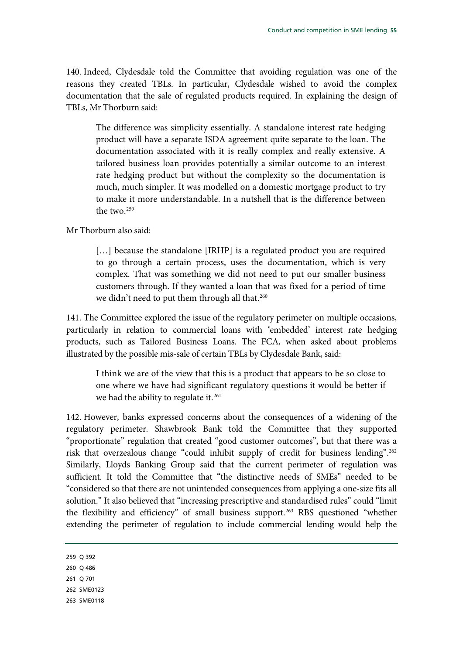140. Indeed, Clydesdale told the Committee that avoiding regulation was one of the reasons they created TBLs. In particular, Clydesdale wished to avoid the complex documentation that the sale of regulated products required. In explaining the design of TBLs, Mr Thorburn said:

The difference was simplicity essentially. A standalone interest rate hedging product will have a separate ISDA agreement quite separate to the loan. The documentation associated with it is really complex and really extensive. A tailored business loan provides potentially a similar outcome to an interest rate hedging product but without the complexity so the documentation is much, much simpler. It was modelled on a domestic mortgage product to try to make it more understandable. In a nutshell that is the difference between the two[.259](#page-56-0)

Mr Thorburn also said:

[...] because the standalone [IRHP] is a regulated product you are required to go through a certain process, uses the documentation, which is very complex. That was something we did not need to put our smaller business customers through. If they wanted a loan that was fixed for a period of time we didn't need to put them through all that.<sup>[260](#page-56-1)</sup>

141. The Committee explored the issue of the regulatory perimeter on multiple occasions, particularly in relation to commercial loans with 'embedded' interest rate hedging products, such as Tailored Business Loans. The FCA, when asked about problems illustrated by the possible mis-sale of certain TBLs by Clydesdale Bank, said:

I think we are of the view that this is a product that appears to be so close to one where we have had significant regulatory questions it would be better if we had the ability to regulate it.<sup>[261](#page-56-2)</sup>

142. However, banks expressed concerns about the consequences of a widening of the regulatory perimeter. Shawbrook Bank told the Committee that they supported "proportionate" regulation that created "good customer outcomes", but that there was a risk that overzealous change "could inhibit supply of credit for business lending"[.262](#page-56-3) Similarly, Lloyds Banking Group said that the current perimeter of regulation was sufficient. It told the Committee that "the distinctive needs of SMEs" needed to be "considered so that there are not unintended consequences from applying a one-size fits all solution." It also believed that "increasing prescriptive and standardised rules" could "limit the flexibility and efficiency" of small business support.<sup>263</sup> RBS questioned "whether extending the perimeter of regulation to include commercial lending would help the

- <span id="page-56-2"></span>261 Q 701
- <span id="page-56-3"></span>262 SME0123
- <span id="page-56-4"></span>263 SME0118

<span id="page-56-0"></span><sup>259</sup> Q 392

<span id="page-56-1"></span><sup>260</sup> Q 486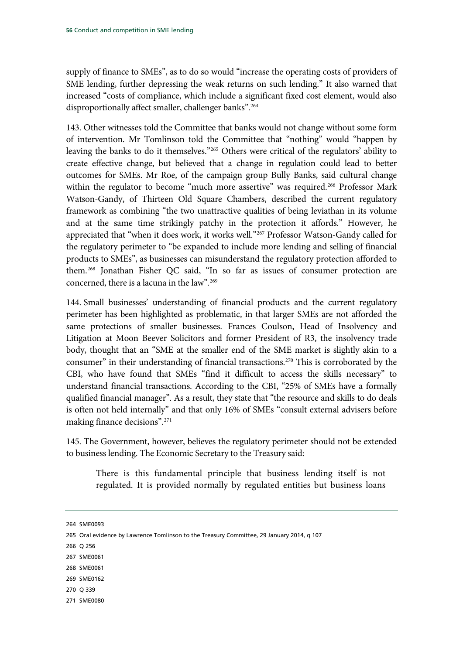supply of finance to SMEs", as to do so would "increase the operating costs of providers of SME lending, further depressing the weak returns on such lending." It also warned that increased "costs of compliance, which include a significant fixed cost element, would also disproportionally affect smaller, challenger banks".<sup>264</sup>

143. Other witnesses told the Committee that banks would not change without some form of intervention. Mr Tomlinson told the Committee that "nothing" would "happen by leaving the banks to do it themselves."[265](#page-57-1) Others were critical of the regulators' ability to create effective change, but believed that a change in regulation could lead to better outcomes for SMEs. Mr Roe, of the campaign group Bully Banks, said cultural change within the regulator to become "much more assertive" was required.<sup>266</sup> Professor Mark Watson-Gandy, of Thirteen Old Square Chambers, described the current regulatory framework as combining "the two unattractive qualities of being leviathan in its volume and at the same time strikingly patchy in the protection it affords." However, he appreciated that "when it does work, it works well.["267](#page-57-3) Professor Watson-Gandy called for the regulatory perimeter to "be expanded to include more lending and selling of financial products to SMEs", as businesses can misunderstand the regulatory protection afforded to them.[268](#page-57-4) Jonathan Fisher QC said, "In so far as issues of consumer protection are concerned, there is a lacuna in the law".<sup>[269](#page-57-5)</sup>

144. Small businesses' understanding of financial products and the current regulatory perimeter has been highlighted as problematic, in that larger SMEs are not afforded the same protections of smaller businesses. Frances Coulson, Head of Insolvency and Litigation at Moon Beever Solicitors and former President of R3, the insolvency trade body, thought that an "SME at the smaller end of the SME market is slightly akin to a consumer" in their understanding of financial transactions.<sup>[270](#page-57-6)</sup> This is corroborated by the CBI, who have found that SMEs "find it difficult to access the skills necessary" to understand financial transactions. According to the CBI, "25% of SMEs have a formally qualified financial manager". As a result, they state that "the resource and skills to do deals is often not held internally" and that only 16% of SMEs "consult external advisers before making finance decisions".[271](#page-57-7)

145. The Government, however, believes the regulatory perimeter should not be extended to business lending. The Economic Secretary to the Treasury said:

There is this fundamental principle that business lending itself is not regulated. It is provided normally by regulated entities but business loans

- <span id="page-57-2"></span>266 Q 256
- <span id="page-57-3"></span>267 SME0061
- <span id="page-57-4"></span>268 SME0061
- <span id="page-57-5"></span>269 SME0162
- <span id="page-57-6"></span>270 Q 339
- <span id="page-57-7"></span>271 SME0080

<span id="page-57-0"></span><sup>264</sup> SME0093

<span id="page-57-1"></span><sup>265</sup> Oral evidence by Lawrence Tomlinson to the Treasury Committee, 29 January 2014, q 107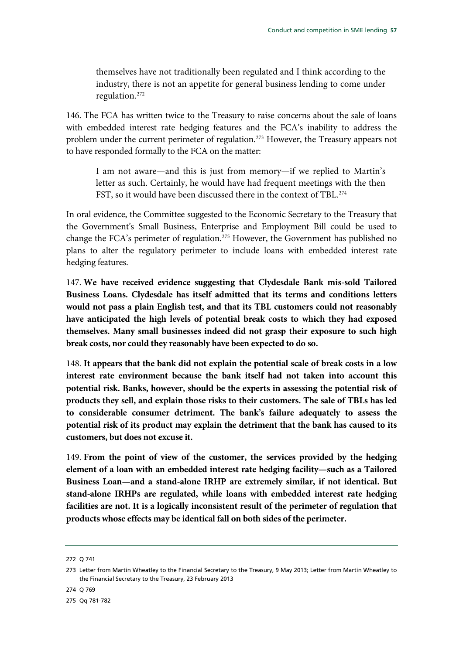themselves have not traditionally been regulated and I think according to the industry, there is not an appetite for general business lending to come under regulation.[272](#page-58-0)

146. The FCA has written twice to the Treasury to raise concerns about the sale of loans with embedded interest rate hedging features and the FCA's inability to address the problem under the current perimeter of regulation.<sup>273</sup> However, the Treasury appears not to have responded formally to the FCA on the matter:

I am not aware—and this is just from memory—if we replied to Martin's letter as such. Certainly, he would have had frequent meetings with the then FST, so it would have been discussed there in the context of TBL.<sup>[274](#page-58-2)</sup>

In oral evidence, the Committee suggested to the Economic Secretary to the Treasury that the Government's Small Business, Enterprise and Employment Bill could be used to change the FCA's perimeter of regulation.<sup>275</sup> However, the Government has published no plans to alter the regulatory perimeter to include loans with embedded interest rate hedging features.

147. **We have received evidence suggesting that Clydesdale Bank mis-sold Tailored Business Loans. Clydesdale has itself admitted that its terms and conditions letters would not pass a plain English test, and that its TBL customers could not reasonably have anticipated the high levels of potential break costs to which they had exposed themselves. Many small businesses indeed did not grasp their exposure to such high break costs, nor could they reasonably have been expected to do so.**

148. **It appears that the bank did not explain the potential scale of break costs in a low interest rate environment because the bank itself had not taken into account this potential risk. Banks, however, should be the experts in assessing the potential risk of products they sell, and explain those risks to their customers. The sale of TBLs has led to considerable consumer detriment. The bank's failure adequately to assess the potential risk of its product may explain the detriment that the bank has caused to its customers, but does not excuse it.**

149. **From the point of view of the customer, the services provided by the hedging element of a loan with an embedded interest rate hedging facility—such as a Tailored Business Loan—and a stand-alone IRHP are extremely similar, if not identical. But stand-alone IRHPs are regulated, while loans with embedded interest rate hedging facilities are not. It is a logically inconsistent result of the perimeter of regulation that products whose effects may be identical fall on both sides of the perimeter.**

<span id="page-58-0"></span><sup>272</sup> Q 741

<span id="page-58-1"></span><sup>273</sup> Letter from Martin Wheatley to the Financial Secretary to the Treasury, 9 May 2013; Letter from Martin Wheatley to the Financial Secretary to the Treasury, 23 February 2013

<span id="page-58-2"></span><sup>274</sup> Q 769

<span id="page-58-3"></span><sup>275</sup> Qq 781-782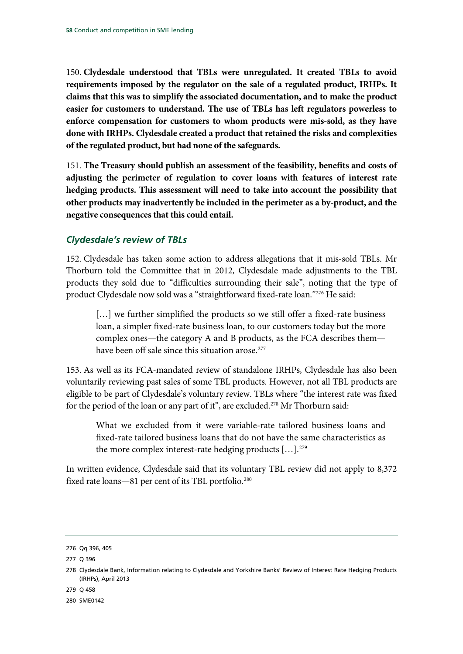150. **Clydesdale understood that TBLs were unregulated. It created TBLs to avoid requirements imposed by the regulator on the sale of a regulated product, IRHPs. It claims that this was to simplify the associated documentation, and to make the product easier for customers to understand. The use of TBLs has left regulators powerless to enforce compensation for customers to whom products were mis-sold, as they have done with IRHPs. Clydesdale created a product that retained the risks and complexities of the regulated product, but had none of the safeguards.**

151. **The Treasury should publish an assessment of the feasibility, benefits and costs of adjusting the perimeter of regulation to cover loans with features of interest rate hedging products. This assessment will need to take into account the possibility that other products may inadvertently be included in the perimeter as a by-product, and the negative consequences that this could entail.**

# *Clydesdale's review of TBLs*

152. Clydesdale has taken some action to address allegations that it mis-sold TBLs. Mr Thorburn told the Committee that in 2012, Clydesdale made adjustments to the TBL products they sold due to "difficulties surrounding their sale", noting that the type of product Clydesdale now sold was a "straightforward fixed-rate loan."[276](#page-59-0) He said:

[...] we further simplified the products so we still offer a fixed-rate business loan, a simpler fixed-rate business loan, to our customers today but the more complex ones—the category A and B products, as the FCA describes them have been off sale since this situation arose. [277](#page-59-1)

153. As well as its FCA-mandated review of standalone IRHPs, Clydesdale has also been voluntarily reviewing past sales of some TBL products. However, not all TBL products are eligible to be part of Clydesdale's voluntary review. TBLs where "the interest rate was fixed for the period of the loan or any part of it", are excluded.<sup>[278](#page-59-2)</sup> Mr Thorburn said:

What we excluded from it were variable-rate tailored business loans and fixed-rate tailored business loans that do not have the same characteristics as the more complex interest-rate hedging products [...].<sup>[279](#page-59-3)</sup>

In written evidence, Clydesdale said that its voluntary TBL review did not apply to 8,372 fixed rate loans—81 per cent of its TBL portfolio.<sup>[280](#page-59-4)</sup>

<span id="page-59-3"></span>279 Q 458

<span id="page-59-4"></span>280 SME0142

<span id="page-59-0"></span><sup>276</sup> Qq 396, 405

<span id="page-59-1"></span><sup>277</sup> Q 396

<span id="page-59-2"></span><sup>278</sup> Clydesdale Bank, Information relating to Clydesdale and Yorkshire Banks' Review of Interest Rate Hedging Products (IRHPs), April 2013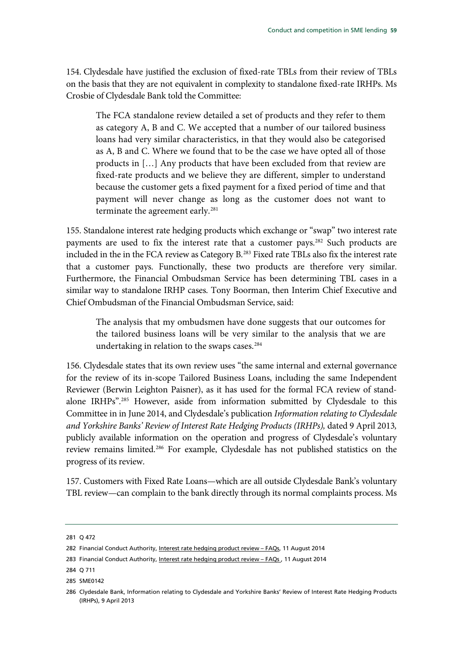154. Clydesdale have justified the exclusion of fixed-rate TBLs from their review of TBLs on the basis that they are not equivalent in complexity to standalone fixed-rate IRHPs. Ms Crosbie of Clydesdale Bank told the Committee:

The FCA standalone review detailed a set of products and they refer to them as category A, B and C. We accepted that a number of our tailored business loans had very similar characteristics, in that they would also be categorised as A, B and C. Where we found that to be the case we have opted all of those products in […] Any products that have been excluded from that review are fixed-rate products and we believe they are different, simpler to understand because the customer gets a fixed payment for a fixed period of time and that payment will never change as long as the customer does not want to terminate the agreement early.<sup>[281](#page-60-0)</sup>

155. Standalone interest rate hedging products which exchange or "swap" two interest rate payments are used to fix the interest rate that a customer pays.<sup>282</sup> Such products are included in the in the FCA review as Category B.<sup>[283](#page-60-2)</sup> Fixed rate TBLs also fix the interest rate that a customer pays. Functionally, these two products are therefore very similar. Furthermore, the Financial Ombudsman Service has been determining TBL cases in a similar way to standalone IRHP cases. Tony Boorman, then Interim Chief Executive and Chief Ombudsman of the Financial Ombudsman Service, said:

The analysis that my ombudsmen have done suggests that our outcomes for the tailored business loans will be very similar to the analysis that we are undertaking in relation to the swaps cases. [284](#page-60-3)

156. Clydesdale states that its own review uses "the same internal and external governance for the review of its in-scope Tailored Business Loans, including the same Independent Reviewer (Berwin Leighton Paisner), as it has used for the formal FCA review of standalone IRHPs".[285](#page-60-4) However, aside from information submitted by Clydesdale to this Committee in in June 2014, and Clydesdale's publication *Information relating to Clydesdale and Yorkshire Banks' Review of Interest Rate Hedging Products (IRHPs),* dated 9 April 2013*,* publicly available information on the operation and progress of Clydesdale's voluntary review remains limited.[286](#page-60-5) For example, Clydesdale has not published statistics on the progress of its review.

157. Customers with Fixed Rate Loans—which are all outside Clydesdale Bank's voluntary TBL review—can complain to the bank directly through its normal complaints process. Ms

<span id="page-60-0"></span><sup>281</sup> Q 472

<span id="page-60-1"></span><sup>282</sup> Financial Conduct Authority, Interest rate hedging product review - FAQs, 11 August 2014

<span id="page-60-2"></span><sup>283</sup> Financial Conduct Authority, Interest rate hedging product review - FAQs, 11 August 2014

<span id="page-60-3"></span><sup>284</sup> Q 711

<span id="page-60-5"></span><span id="page-60-4"></span><sup>285</sup> SME0142

<sup>286</sup> Clydesdale Bank, Information relating to Clydesdale and Yorkshire Banks' Review of Interest Rate Hedging Products (IRHPs), 9 April 2013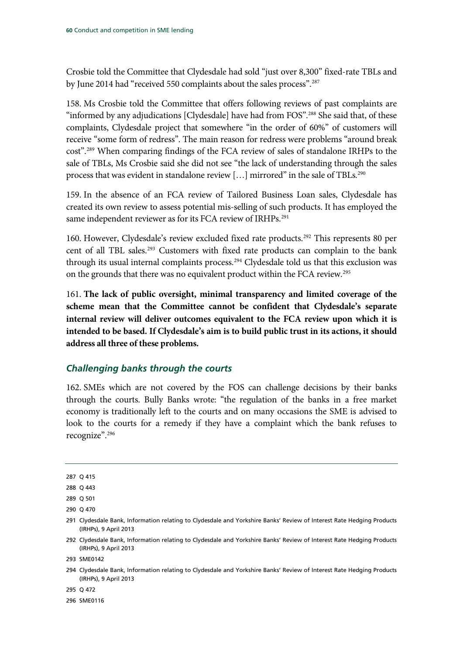Crosbie told the Committee that Clydesdale had sold "just over 8,300" fixed-rate TBLs and by June 2014 had "received 550 complaints about the sales process".<sup>[287](#page-61-0)</sup>

158. Ms Crosbie told the Committee that offers following reviews of past complaints are "informed by any adjudications [Clydesdale] have had from FOS".<sup>[288](#page-61-1)</sup> She said that, of these complaints, Clydesdale project that somewhere "in the order of 60%" of customers will receive "some form of redress". The main reason for redress were problems "around break cost". [289](#page-61-2) When comparing findings of the FCA review of sales of standalone IRHPs to the sale of TBLs, Ms Crosbie said she did not see "the lack of understanding through the sales process that was evident in standalone review [...] mirrored" in the sale of TBLs.<sup>[290](#page-61-3)</sup>

159. In the absence of an FCA review of Tailored Business Loan sales, Clydesdale has created its own review to assess potential mis-selling of such products. It has employed the same independent reviewer as for its FCA review of IRHPs.<sup>[291](#page-61-4)</sup>

160. However, Clydesdale's review excluded fixed rate products.[292](#page-61-5) This represents 80 per cent of all TBL sales.<sup>293</sup> Customers with fixed rate products can complain to the bank through its usual internal complaints process.<sup>[294](#page-61-7)</sup> Clydesdale told us that this exclusion was on the grounds that there was no equivalent product within the FCA review.[295](#page-61-8)

161. **The lack of public oversight, minimal transparency and limited coverage of the scheme mean that the Committee cannot be confident that Clydesdale's separate internal review will deliver outcomes equivalent to the FCA review upon which it is intended to be based. If Clydesdale's aim is to build public trust in its actions, it should address all three of these problems.**

#### *Challenging banks through the courts*

162. SMEs which are not covered by the FOS can challenge decisions by their banks through the courts. Bully Banks wrote: "the regulation of the banks in a free market economy is traditionally left to the courts and on many occasions the SME is advised to look to the courts for a remedy if they have a complaint which the bank refuses to recognize".[296](#page-61-9)

<span id="page-61-7"></span>294 Clydesdale Bank, Information relating to Clydesdale and Yorkshire Banks' Review of Interest Rate Hedging Products (IRHPs), 9 April 2013

<span id="page-61-8"></span>295 Q 472

<span id="page-61-9"></span>296 SME0116

<span id="page-61-0"></span><sup>287</sup> Q 415

<span id="page-61-1"></span><sup>288</sup> Q 443

<span id="page-61-2"></span><sup>289</sup> Q 501

<span id="page-61-3"></span><sup>290</sup> Q 470

<span id="page-61-4"></span><sup>291</sup> Clydesdale Bank, Information relating to Clydesdale and Yorkshire Banks' Review of Interest Rate Hedging Products (IRHPs), 9 April 2013

<span id="page-61-5"></span><sup>292</sup> Clydesdale Bank, Information relating to Clydesdale and Yorkshire Banks' Review of Interest Rate Hedging Products (IRHPs), 9 April 2013

<span id="page-61-6"></span><sup>293</sup> SME0142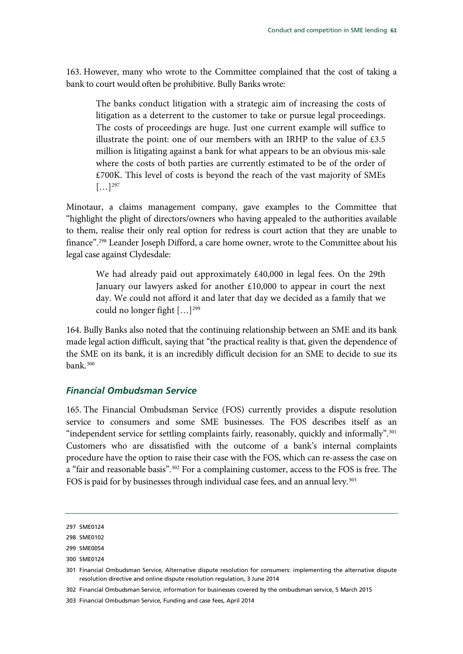163. However, many who wrote to the Committee complained that the cost of taking a bank to court would often be prohibitive. Bully Banks wrote:

The banks conduct litigation with a strategic aim of increasing the costs of litigation as a deterrent to the customer to take or pursue legal proceedings. The costs of proceedings are huge. Just one current example will suffice to illustrate the point: one of our members with an IRHP to the value of  $£3.5$ million is litigating against a bank for what appears to be an obvious mis-sale where the costs of both parties are currently estimated to be of the order of £700K. This level of costs is beyond the reach of the vast majority of SMEs  $[\ldots]^{297}$  $[\ldots]^{297}$  $[\ldots]^{297}$ 

Minotaur, a claims management company, gave examples to the Committee that "highlight the plight of directors/owners who having appealed to the authorities available to them, realise their only real option for redress is court action that they are unable to finance".<sup>[298](#page-62-1)</sup> Leander Joseph Difford, a care home owner, wrote to the Committee about his legal case against Clydesdale:

We had already paid out approximately £40,000 in legal fees. On the 29th January our lawyers asked for another £10,000 to appear in court the next day. We could not afford it and later that day we decided as a family that we could no longer fight […][299](#page-62-2)

164. Bully Banks also noted that the continuing relationship between an SME and its bank made legal action difficult, saying that "the practical reality is that, given the dependence of the SME on its bank, it is an incredibly difficult decision for an SME to decide to sue its bank[.300](#page-62-3)

#### *Financial Ombudsman Service*

165. The Financial Ombudsman Service (FOS) currently provides a dispute resolution service to consumers and some SME businesses. The FOS describes itself as an "independent service for settling complaints fairly, reasonably, quickly and informally"[.301](#page-62-4) Customers who are dissatisfied with the outcome of a bank's internal complaints procedure have the option to raise their case with the FOS, which can re-assess the case on a "fair and reasonable basis".<sup>[302](#page-62-5)</sup> For a complaining customer, access to the FOS is free. The FOS is paid for by businesses through individual case fees, and an annual levy.<sup>[303](#page-62-6)</sup>

<span id="page-62-6"></span>303 Financial Ombudsman Service, Funding and case fees, April 2014

<span id="page-62-0"></span><sup>297</sup> SME0124

<span id="page-62-1"></span><sup>298</sup> SME0102

<span id="page-62-2"></span><sup>299</sup> SME0054

<span id="page-62-3"></span><sup>300</sup> SME0124

<span id="page-62-4"></span><sup>301</sup> Financial Ombudsman Service, Alternative dispute resolution for consumers: implementing the alternative dispute resolution directive and online dispute resolution regulation, 3 June 2014

<span id="page-62-5"></span><sup>302</sup> Financial Ombudsman Service, information for businesses covered by the ombudsman service, 5 March 2015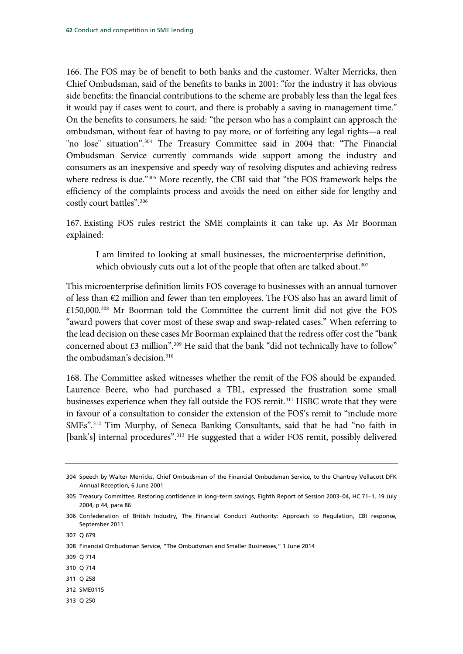166. The FOS may be of benefit to both banks and the customer. Walter Merricks, then Chief Ombudsman, said of the benefits to banks in 2001: "for the industry it has obvious side benefits: the financial contributions to the scheme are probably less than the legal fees it would pay if cases went to court, and there is probably a saving in management time." On the benefits to consumers, he said: "the person who has a complaint can approach the ombudsman, without fear of having to pay more, or of forfeiting any legal rights—a real "no lose" situation".[304](#page-63-0) The Treasury Committee said in 2004 that: "The Financial Ombudsman Service currently commands wide support among the industry and consumers as an inexpensive and speedy way of resolving disputes and achieving redress where redress is due."[305](#page-63-1) More recently, the CBI said that "the FOS framework helps the efficiency of the complaints process and avoids the need on either side for lengthy and costly court battles".[306](#page-63-2)

167. Existing FOS rules restrict the SME complaints it can take up. As Mr Boorman explained:

I am limited to looking at small businesses, the microenterprise definition, which obviously cuts out a lot of the people that often are talked about.<sup>[307](#page-63-3)</sup>

This microenterprise definition limits FOS coverage to businesses with an annual turnover of less than €2 million and fewer than ten employees. The FOS also has an award limit of £150,000.[308](#page-63-4) Mr Boorman told the Committee the current limit did not give the FOS "award powers that cover most of these swap and swap-related cases." When referring to the lead decision on these cases Mr Boorman explained that the redress offer cost the "bank concerned about  $£3$  million".<sup>[309](#page-63-5)</sup> He said that the bank "did not technically have to follow" the ombudsman's decision.[310](#page-63-6)

168. The Committee asked witnesses whether the remit of the FOS should be expanded. Laurence Beere, who had purchased a TBL, expressed the frustration some small businesses experience when they fall outside the FOS remit.<sup>311</sup> HSBC wrote that they were in favour of a consultation to consider the extension of the FOS's remit to "include more SMEs".[312](#page-63-8) Tim Murphy, of Seneca Banking Consultants, said that he had "no faith in [bank's] internal procedures".<sup>313</sup> He suggested that a wider FOS remit, possibly delivered

- <span id="page-63-4"></span>308 Financial Ombudsman Service, "The Ombudsman and Smaller Businesses," 1 June 2014
- <span id="page-63-5"></span>309 Q 714
- <span id="page-63-6"></span>310 Q 714
- <span id="page-63-7"></span>311 Q 258
- <span id="page-63-8"></span>312 SME0115
- <span id="page-63-9"></span>313 Q 250

<span id="page-63-0"></span><sup>304</sup> Speech by Walter Merricks, Chief Ombudsman of the Financial Ombudsman Service, to the Chantrey Vellacott DFK Annual Reception, 6 June 2001

<span id="page-63-1"></span><sup>305</sup> Treasury Committee, Restoring confidence in long–term savings, Eighth Report of Session 2003–04, HC 71–1, 19 July 2004, p 44, para 86

<span id="page-63-2"></span><sup>306</sup> Confederation of British Industry, The Financial Conduct Authority: Approach to Regulation, CBI response, September 2011

<span id="page-63-3"></span><sup>307</sup> Q 679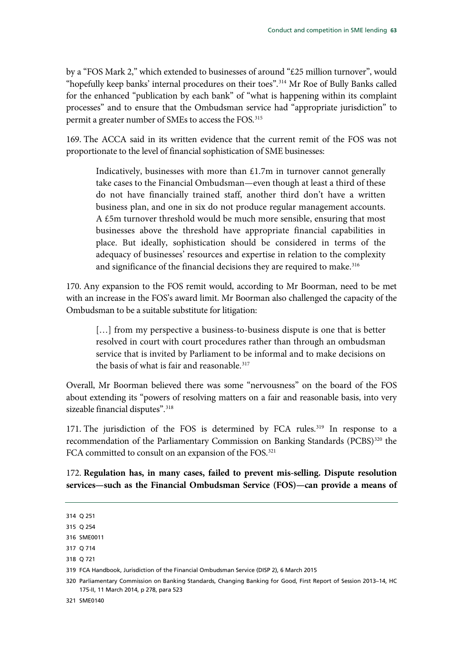by a "FOS Mark 2," which extended to businesses of around "£25 million turnover", would "hopefully keep banks' internal procedures on their toes".<sup>314</sup> Mr Roe of Bully Banks called for the enhanced "publication by each bank" of "what is happening within its complaint processes" and to ensure that the Ombudsman service had "appropriate jurisdiction" to permit a greater number of SMEs to access the FOS.[315](#page-64-1)

169. The ACCA said in its written evidence that the current remit of the FOS was not proportionate to the level of financial sophistication of SME businesses:

Indicatively, businesses with more than  $£1.7m$  in turnover cannot generally take cases to the Financial Ombudsman—even though at least a third of these do not have financially trained staff, another third don't have a written business plan, and one in six do not produce regular management accounts. A £5m turnover threshold would be much more sensible, ensuring that most businesses above the threshold have appropriate financial capabilities in place. But ideally, sophistication should be considered in terms of the adequacy of businesses' resources and expertise in relation to the complexity and significance of the financial decisions they are required to make.<sup>[316](#page-64-2)</sup>

170. Any expansion to the FOS remit would, according to Mr Boorman, need to be met with an increase in the FOS's award limit. Mr Boorman also challenged the capacity of the Ombudsman to be a suitable substitute for litigation:

[...] from my perspective a business-to-business dispute is one that is better resolved in court with court procedures rather than through an ombudsman service that is invited by Parliament to be informal and to make decisions on the basis of what is fair and reasonable.<sup>[317](#page-64-3)</sup>

Overall, Mr Boorman believed there was some "nervousness" on the board of the FOS about extending its "powers of resolving matters on a fair and reasonable basis, into very sizeable financial disputes".<sup>[318](#page-64-4)</sup>

171. The jurisdiction of the FOS is determined by FCA rules.<sup>[319](#page-64-5)</sup> In response to a recommendation of the Parliamentary Commission on Banking Standards (PCBS)<sup>[320](#page-64-6)</sup> the FCA committed to consult on an expansion of the FOS.<sup>[321](#page-64-7)</sup>

172. **Regulation has, in many cases, failed to prevent mis-selling. Dispute resolution services—such as the Financial Ombudsman Service (FOS)—can provide a means of** 

<span id="page-64-7"></span>321 SME0140

<span id="page-64-0"></span><sup>314</sup> Q 251

<span id="page-64-1"></span><sup>315</sup> Q 254

<span id="page-64-2"></span><sup>316</sup> SME0011

<span id="page-64-3"></span><sup>317</sup> Q 714

<span id="page-64-4"></span><sup>318</sup> Q 721

<span id="page-64-5"></span><sup>319</sup> FCA Handbook, Jurisdiction of the Financial Ombudsman Service (DISP 2), 6 March 2015

<span id="page-64-6"></span><sup>320</sup> Parliamentary Commission on Banking Standards, Changing Banking for Good, First Report of Session 2013–14, HC 175-II, 11 March 2014, p 278, para 523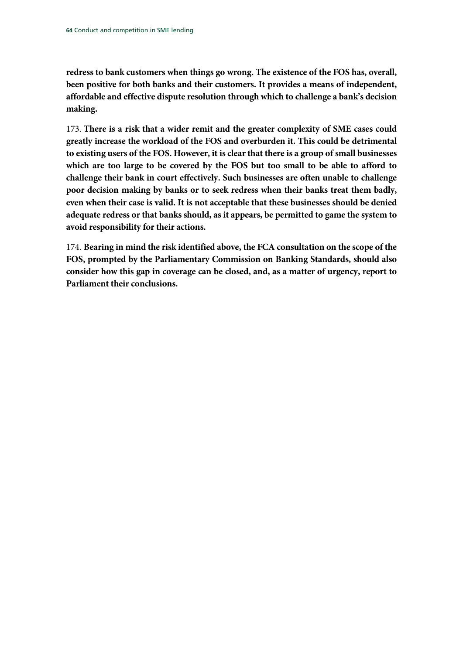**redress to bank customers when things go wrong. The existence of the FOS has, overall, been positive for both banks and their customers. It provides a means of independent, affordable and effective dispute resolution through which to challenge a bank's decision making.** 

173. **There is a risk that a wider remit and the greater complexity of SME cases could greatly increase the workload of the FOS and overburden it. This could be detrimental to existing users of the FOS. However, it is clear that there is a group of small businesses which are too large to be covered by the FOS but too small to be able to afford to challenge their bank in court effectively. Such businesses are often unable to challenge poor decision making by banks or to seek redress when their banks treat them badly, even when their case is valid. It is not acceptable that these businesses should be denied adequate redress or that banks should, as it appears, be permitted to game the system to avoid responsibility for their actions.**

174. **Bearing in mind the risk identified above, the FCA consultation on the scope of the FOS, prompted by the Parliamentary Commission on Banking Standards, should also consider how this gap in coverage can be closed, and, as a matter of urgency, report to Parliament their conclusions.**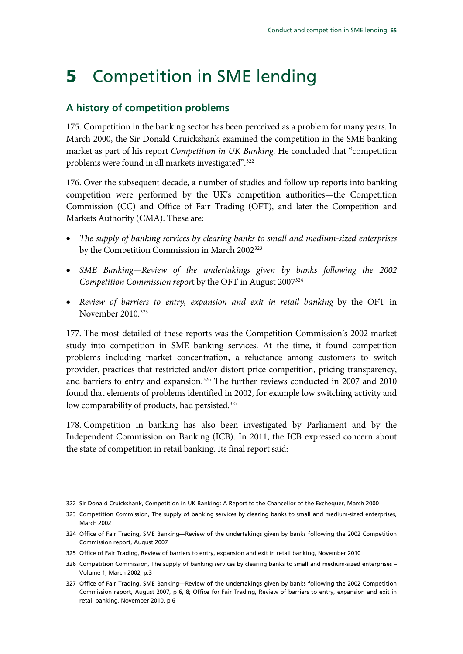# **5** Competition in SME lending

# **A history of competition problems**

175. Competition in the banking sector has been perceived as a problem for many years. In March 2000, the Sir Donald Cruickshank examined the competition in the SME banking market as part of his report *Competition in UK Banking*. He concluded that "competition problems were found in all markets investigated".<sup>[322](#page-66-0)</sup>

176. Over the subsequent decade, a number of studies and follow up reports into banking competition were performed by the UK's competition authorities—the Competition Commission (CC) and Office of Fair Trading (OFT), and later the Competition and Markets Authority (CMA). These are:

- *The supply of banking services by clearing banks to small and medium-sized enterprises* by the Competition Commission in March 2002<sup>323</sup>
- *SME Banking—Review of the undertakings given by banks following the 2002 Competition Commission repor*t by the OFT in August 2007[324](#page-66-2)
- *Review of barriers to entry, expansion and exit in retail banking* by the OFT in November 2010.[325](#page-66-3)

177. The most detailed of these reports was the Competition Commission's 2002 market study into competition in SME banking services. At the time, it found competition problems including market concentration, a reluctance among customers to switch provider, practices that restricted and/or distort price competition, pricing transparency, and barriers to entry and expansion. [326](#page-66-4) The further reviews conducted in 2007 and 2010 found that elements of problems identified in 2002, for example low switching activity and low comparability of products, had persisted.<sup>[327](#page-66-5)</sup>

178. Competition in banking has also been investigated by Parliament and by the Independent Commission on Banking (ICB). In 2011, the ICB expressed concern about the state of competition in retail banking. Its final report said:

<span id="page-66-0"></span><sup>322</sup> Sir Donald Cruickshank, Competition in UK Banking: A Report to the Chancellor of the Exchequer, March 2000

<span id="page-66-1"></span><sup>323</sup> Competition Commission, The supply of banking services by clearing banks to small and medium-sized enterprises, March 2002

<span id="page-66-2"></span><sup>324</sup> Office of Fair Trading, SME Banking—Review of the undertakings given by banks following the 2002 Competition Commission report, August 2007

<span id="page-66-3"></span><sup>325</sup> Office of Fair Trading, Review of barriers to entry, expansion and exit in retail banking, November 2010

<span id="page-66-4"></span><sup>326</sup> Competition Commission, The supply of banking services by clearing banks to small and medium-sized enterprises – Volume 1, March 2002, p.3

<span id="page-66-5"></span><sup>327</sup> Office of Fair Trading, SME Banking—Review of the undertakings given by banks following the 2002 Competition Commission report, August 2007, p 6, 8; Office for Fair Trading, Review of barriers to entry, expansion and exit in retail banking, November 2010, p 6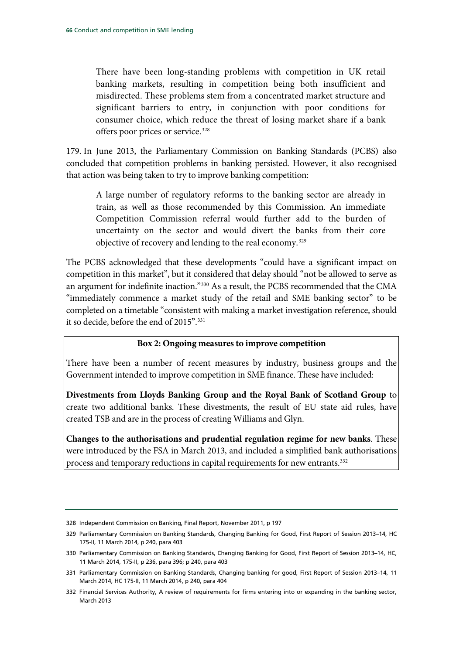There have been long-standing problems with competition in UK retail banking markets, resulting in competition being both insufficient and misdirected. These problems stem from a concentrated market structure and significant barriers to entry, in conjunction with poor conditions for consumer choice, which reduce the threat of losing market share if a bank offers poor prices or service.<sup>[328](#page-67-0)</sup>

179. In June 2013, the Parliamentary Commission on Banking Standards (PCBS) also concluded that competition problems in banking persisted. However, it also recognised that action was being taken to try to improve banking competition:

A large number of regulatory reforms to the banking sector are already in train, as well as those recommended by this Commission. An immediate Competition Commission referral would further add to the burden of uncertainty on the sector and would divert the banks from their core objective of recovery and lending to the real economy.[329](#page-67-1)

The PCBS acknowledged that these developments "could have a significant impact on competition in this market", but it considered that delay should "not be allowed to serve as an argument for indefinite inaction."[330](#page-67-2) As a result, the PCBS recommended that the CMA "immediately commence a market study of the retail and SME banking sector" to be completed on a timetable "consistent with making a market investigation reference, should it so decide, before the end of 2015".[331](#page-67-3)

#### **Box 2: Ongoing measures to improve competition**

There have been a number of recent measures by industry, business groups and the Government intended to improve competition in SME finance. These have included:

**Divestments from Lloyds Banking Group and the Royal Bank of Scotland Group** to create two additional banks. These divestments, the result of EU state aid rules, have created TSB and are in the process of creating Williams and Glyn.

**Changes to the authorisations and prudential regulation regime for new banks**. These were introduced by the FSA in March 2013, and included a simplified bank authorisations process and temporary reductions in capital requirements for new entrants.<sup>332</sup>

<span id="page-67-0"></span><sup>328</sup> Independent Commission on Banking, Final Report, November 2011, p 197

<span id="page-67-1"></span><sup>329</sup> Parliamentary Commission on Banking Standards, Changing Banking for Good, First Report of Session 2013–14, HC 175-II, 11 March 2014, p 240, para 403

<span id="page-67-2"></span><sup>330</sup> Parliamentary Commission on Banking Standards, Changing Banking for Good, First Report of Session 2013–14, HC, 11 March 2014, 175-II, p 236, para 396; p 240, para 403

<span id="page-67-3"></span><sup>331</sup> Parliamentary Commission on Banking Standards, Changing banking for good, First Report of Session 2013–14, 11 March 2014, HC 175-II, 11 March 2014, p 240, para 404

<span id="page-67-4"></span><sup>332</sup> Financial Services Authority, A review of requirements for firms entering into or expanding in the banking sector, March 2013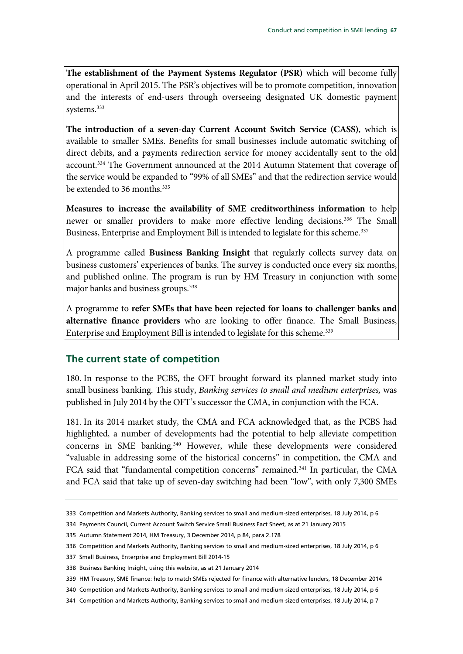**The establishment of the Payment Systems Regulator (PSR)** which will become fully operational in April 2015. The PSR's objectives will be to promote competition, innovation and the interests of end-users through overseeing designated UK domestic payment systems. [333](#page-68-0)

**The introduction of a seven-day Current Account Switch Service (CASS)**, which is available to smaller SMEs. Benefits for small businesses include automatic switching of direct debits, and a payments redirection service for money accidentally sent to the old account.<sup>334</sup> The Government announced at the 2014 Autumn Statement that coverage of the service would be expanded to "99% of all SMEs" and that the redirection service would be extended to 36 months.<sup>[335](#page-68-2)</sup>

**Measures to increase the availability of SME creditworthiness information** to help newer or smaller providers to make more effective lending decisions. [336](#page-68-3) The Small Business, Enterprise and Employment Bill is intended to legislate for this scheme.<sup>[337](#page-68-4)</sup>

A programme called **Business Banking Insight** that regularly collects survey data on business customers' experiences of banks. The survey is conducted once every six months, and published online. The program is run by HM Treasury in conjunction with some major banks and business groups.<sup>338</sup>

A programme to **refer SMEs that have been rejected for loans to challenger banks and alternative finance providers** who are looking to offer finance. The Small Business, Enterprise and Employment Bill is intended to legislate for this scheme.<sup>[339](#page-68-6)</sup>

# **The current state of competition**

180. In response to the PCBS, the OFT brought forward its planned market study into small business banking. This study, *Banking services to small and medium enterprises,* was published in July 2014 by the OFT's successor the CMA, in conjunction with the FCA.

181. In its 2014 market study, the CMA and FCA acknowledged that, as the PCBS had highlighted, a number of developments had the potential to help alleviate competition concerns in SME banking.[340](#page-68-7) However, while these developments were considered "valuable in addressing some of the historical concerns" in competition, the CMA and FCA said that "fundamental competition concerns" remained.<sup>[341](#page-68-8)</sup> In particular, the CMA and FCA said that take up of seven-day switching had been "low", with only 7,300 SMEs

<span id="page-68-0"></span><sup>333</sup> Competition and Markets Authority, Banking services to small and medium-sized enterprises, 18 July 2014, p 6

<span id="page-68-1"></span><sup>334</sup> Payments Council, Current Account Switch Service Small Business Fact Sheet, as at 21 January 2015

<span id="page-68-2"></span><sup>335</sup> Autumn Statement 2014, HM Treasury, 3 December 2014, p 84, para 2.178

<span id="page-68-3"></span><sup>336</sup> Competition and Markets Authority, Banking services to small and medium-sized enterprises, 18 July 2014, p 6

<span id="page-68-4"></span><sup>337</sup> Small Business, Enterprise and Employment Bill 2014-15

<span id="page-68-5"></span><sup>338</sup> Business Banking Insight, using this website, as at 21 January 2014

<span id="page-68-6"></span><sup>339</sup> HM Treasury, SME finance: help to match SMEs rejected for finance with alternative lenders, 18 December 2014

<span id="page-68-7"></span><sup>340</sup> Competition and Markets Authority, Banking services to small and medium-sized enterprises, 18 July 2014, p 6

<span id="page-68-8"></span><sup>341</sup> Competition and Markets Authority, Banking services to small and medium-sized enterprises, 18 July 2014, p 7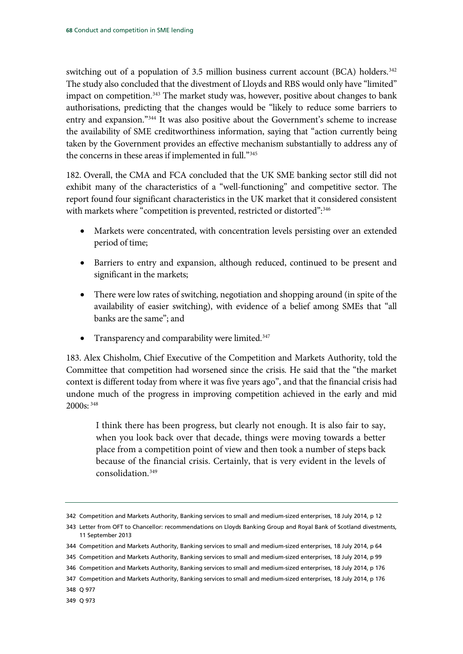switching out of a population of 3.5 million business current account (BCA) holders.<sup>[342](#page-69-0)</sup> The study also concluded that the divestment of Lloyds and RBS would only have "limited" impact on competition.<sup>343</sup> The market study was, however, positive about changes to bank authorisations, predicting that the changes would be "likely to reduce some barriers to entry and expansion."<sup>[344](#page-69-2)</sup> It was also positive about the Government's scheme to increase the availability of SME creditworthiness information, saying that "action currently being taken by the Government provides an effective mechanism substantially to address any of the concerns in these areas if implemented in full.["345](#page-69-3)

182. Overall, the CMA and FCA concluded that the UK SME banking sector still did not exhibit many of the characteristics of a "well-functioning" and competitive sector. The report found four significant characteristics in the UK market that it considered consistent with markets where "competition is prevented, restricted or distorted":<sup>[346](#page-69-4)</sup>

- Markets were concentrated, with concentration levels persisting over an extended period of time;
- Barriers to entry and expansion, although reduced, continued to be present and significant in the markets;
- There were low rates of switching, negotiation and shopping around (in spite of the availability of easier switching), with evidence of a belief among SMEs that "all banks are the same"; and
- Transparency and comparability were limited.<sup>347</sup>

183. Alex Chisholm, Chief Executive of the Competition and Markets Authority, told the Committee that competition had worsened since the crisis. He said that the "the market context is different today from where it was five years ago", and that the financial crisis had undone much of the progress in improving competition achieved in the early and mid 2000s: [348](#page-69-6)

I think there has been progress, but clearly not enough. It is also fair to say, when you look back over that decade, things were moving towards a better place from a competition point of view and then took a number of steps back because of the financial crisis. Certainly, that is very evident in the levels of consolidation.[349](#page-69-7)

<span id="page-69-3"></span>345 Competition and Markets Authority, Banking services to small and medium-sized enterprises, 18 July 2014, p 99

<span id="page-69-0"></span><sup>342</sup> Competition and Markets Authority, Banking services to small and medium-sized enterprises, 18 July 2014, p 12

<span id="page-69-1"></span><sup>343</sup> Letter from OFT to Chancellor: recommendations on Lloyds Banking Group and Royal Bank of Scotland divestments, 11 September 2013

<span id="page-69-2"></span><sup>344</sup> Competition and Markets Authority, Banking services to small and medium-sized enterprises, 18 July 2014, p 64

<span id="page-69-4"></span><sup>346</sup> Competition and Markets Authority, Banking services to small and medium-sized enterprises, 18 July 2014, p 176

<span id="page-69-5"></span><sup>347</sup> Competition and Markets Authority, Banking services to small and medium-sized enterprises, 18 July 2014, p 176

<span id="page-69-6"></span><sup>348</sup> Q 977

<span id="page-69-7"></span><sup>349</sup> Q 973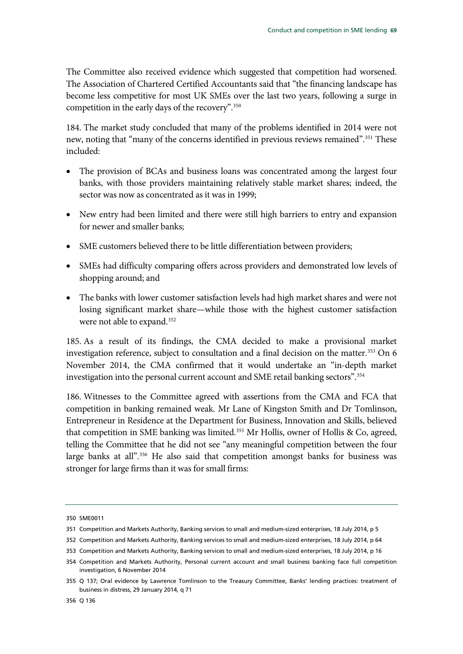The Committee also received evidence which suggested that competition had worsened. The Association of Chartered Certified Accountants said that "the financing landscape has become less competitive for most UK SMEs over the last two years, following a surge in competition in the early days of the recovery".[350](#page-70-0)

184. The market study concluded that many of the problems identified in 2014 were not new, noting that "many of the concerns identified in previous reviews remained".<sup>[351](#page-70-1)</sup> These included:

- The provision of BCAs and business loans was concentrated among the largest four banks, with those providers maintaining relatively stable market shares; indeed, the sector was now as concentrated as it was in 1999;
- New entry had been limited and there were still high barriers to entry and expansion for newer and smaller banks;
- SME customers believed there to be little differentiation between providers;
- SMEs had difficulty comparing offers across providers and demonstrated low levels of shopping around; and
- The banks with lower customer satisfaction levels had high market shares and were not losing significant market share—while those with the highest customer satisfaction were not able to expand[.352](#page-70-2)

185. As a result of its findings, the CMA decided to make a provisional market investigation reference, subject to consultation and a final decision on the matter.<sup>[353](#page-70-3)</sup> On 6 November 2014, the CMA confirmed that it would undertake an "in-depth market investigation into the personal current account and SME retail banking sectors".[354](#page-70-4)

186. Witnesses to the Committee agreed with assertions from the CMA and FCA that competition in banking remained weak. Mr Lane of Kingston Smith and Dr Tomlinson, Entrepreneur in Residence at the Department for Business, Innovation and Skills, believed that competition in SME banking was limited.<sup>[355](#page-70-5)</sup> Mr Hollis, owner of Hollis & Co, agreed, telling the Committee that he did not see "any meaningful competition between the four large banks at all".<sup>356</sup> He also said that competition amongst banks for business was stronger for large firms than it was for small firms:

<span id="page-70-0"></span><sup>350</sup> SME0011

<span id="page-70-1"></span><sup>351</sup> Competition and Markets Authority, Banking services to small and medium-sized enterprises, 18 July 2014, p 5

<span id="page-70-2"></span><sup>352</sup> Competition and Markets Authority, Banking services to small and medium-sized enterprises, 18 July 2014, p 64

<span id="page-70-3"></span><sup>353</sup> Competition and Markets Authority, Banking services to small and medium-sized enterprises, 18 July 2014, p 16

<span id="page-70-4"></span><sup>354</sup> Competition and Markets Authority, Personal current account and small business banking face full competition investigation, 6 November 2014

<span id="page-70-6"></span><span id="page-70-5"></span><sup>355</sup> Q 137; Oral evidence by Lawrence Tomlinson to the Treasury Committee, Banks' lending practices: treatment of business in distress, 29 January 2014, q 71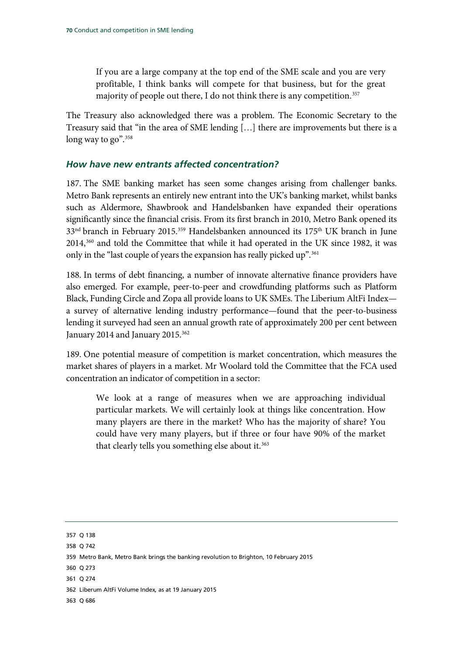If you are a large company at the top end of the SME scale and you are very profitable, I think banks will compete for that business, but for the great majority of people out there, I do not think there is any competition.<sup>[357](#page-71-0)</sup>

The Treasury also acknowledged there was a problem. The Economic Secretary to the Treasury said that "in the area of SME lending […] there are improvements but there is a long way to go".<sup>[358](#page-71-1)</sup>

## *How have new entrants affected concentration?*

187. The SME banking market has seen some changes arising from challenger banks. Metro Bank represents an entirely new entrant into the UK's banking market, whilst banks such as Aldermore, Shawbrook and Handelsbanken have expanded their operations significantly since the financial crisis. From its first branch in 2010, Metro Bank opened its 33<sup>nd</sup> branch in February 2015.<sup>[359](#page-71-2)</sup> Handelsbanken announced its 175<sup>th</sup> UK branch in June 2014,[360](#page-71-3) and told the Committee that while it had operated in the UK since 1982, it was only in the "last couple of years the expansion has really picked up".<sup>361</sup>

188. In terms of debt financing, a number of innovate alternative finance providers have also emerged. For example, peer-to-peer and crowdfunding platforms such as Platform Black, Funding Circle and Zopa all provide loans to UK SMEs. The Liberium AltFi Index a survey of alternative lending industry performance—found that the peer-to-business lending it surveyed had seen an annual growth rate of approximately 200 per cent between January 2014 and January 2015.<sup>[362](#page-71-5)</sup>

189. One potential measure of competition is market concentration, which measures the market shares of players in a market. Mr Woolard told the Committee that the FCA used concentration an indicator of competition in a sector:

We look at a range of measures when we are approaching individual particular markets. We will certainly look at things like concentration. How many players are there in the market? Who has the majority of share? You could have very many players, but if three or four have 90% of the market that clearly tells you something else about it.<sup>[363](#page-71-6)</sup>

<span id="page-71-3"></span>360 Q 273

<span id="page-71-0"></span><sup>357</sup> Q 138

<span id="page-71-1"></span><sup>358</sup> Q 742

<span id="page-71-2"></span><sup>359</sup> Metro Bank, Metro Bank brings the banking revolution to Brighton, 10 February 2015

<span id="page-71-4"></span><sup>361</sup> Q 274

<span id="page-71-5"></span><sup>362</sup> Liberum AltFi Volume Index*,* as at 19 January 2015

<span id="page-71-6"></span><sup>363</sup> Q 686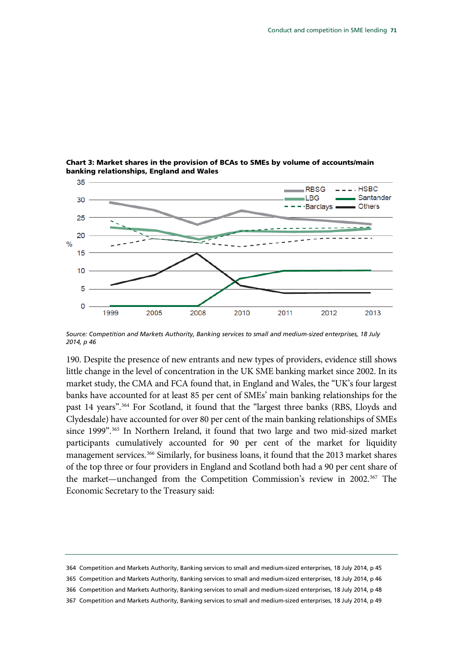

Chart 3: Market shares in the provision of BCAs to SMEs by volume of accounts/main banking relationships, England and Wales

*Source: Competition and Markets Authority, Banking services to small and medium-sized enterprises, 18 July 2014, p 46*

190. Despite the presence of new entrants and new types of providers, evidence still shows little change in the level of concentration in the UK SME banking market since 2002. In its market study, the CMA and FCA found that, in England and Wales, the "UK's four largest banks have accounted for at least 85 per cent of SMEs' main banking relationships for the past 14 years".[364](#page-72-0) For Scotland, it found that the "largest three banks (RBS, Lloyds and Clydesdale) have accounted for over 80 per cent of the main banking relationships of SMEs since 1999".<sup>[365](#page-72-1)</sup> In Northern Ireland, it found that two large and two mid-sized market participants cumulatively accounted for 90 per cent of the market for liquidity management services.<sup>[366](#page-72-2)</sup> Similarly, for business loans, it found that the 2013 market shares of the top three or four providers in England and Scotland both had a 90 per cent share of the market—unchanged from the Competition Commission's review in 2002.<sup>[367](#page-72-3)</sup> The Economic Secretary to the Treasury said:

<span id="page-72-3"></span><span id="page-72-2"></span><span id="page-72-1"></span><span id="page-72-0"></span><sup>364</sup> Competition and Markets Authority, Banking services to small and medium-sized enterprises, 18 July 2014, p 45 365 Competition and Markets Authority, Banking services to small and medium-sized enterprises, 18 July 2014, p 46 366 Competition and Markets Authority, Banking services to small and medium-sized enterprises, 18 July 2014, p 48 367 Competition and Markets Authority, Banking services to small and medium-sized enterprises, 18 July 2014, p 49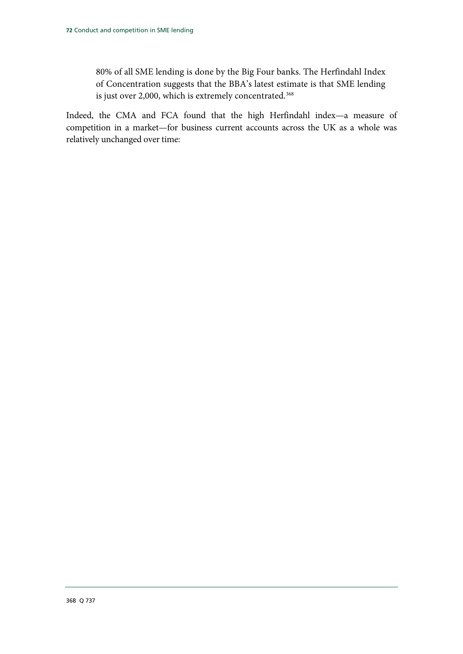80% of all SME lending is done by the Big Four banks. The Herfindahl Index of Concentration suggests that the BBA's latest estimate is that SME lending is just over 2,000, which is extremely concentrated. [368](#page-73-0)

<span id="page-73-0"></span>Indeed, the CMA and FCA found that the high Herfindahl index—a measure of competition in a market—for business current accounts across the UK as a whole was relatively unchanged over time: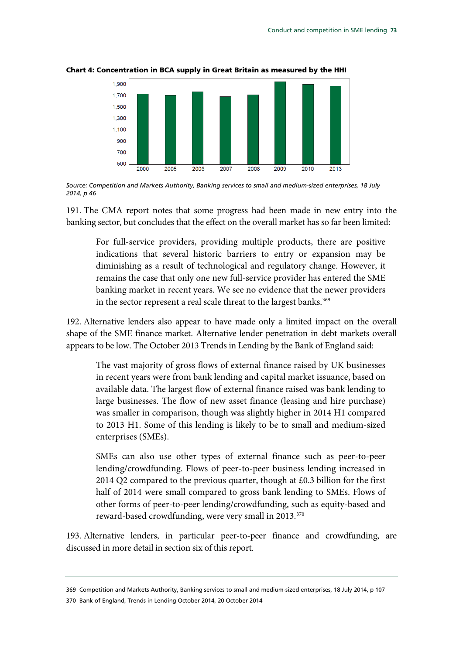

#### Chart 4: Concentration in BCA supply in Great Britain as measured by the HHI

*Source: Competition and Markets Authority, Banking services to small and medium-sized enterprises, 18 July 2014, p 46*

191. The CMA report notes that some progress had been made in new entry into the banking sector, but concludes that the effect on the overall market has so far been limited:

For full-service providers, providing multiple products, there are positive indications that several historic barriers to entry or expansion may be diminishing as a result of technological and regulatory change. However, it remains the case that only one new full-service provider has entered the SME banking market in recent years. We see no evidence that the newer providers in the sector represent a real scale threat to the largest banks.<sup>[369](#page-74-0)</sup>

192. Alternative lenders also appear to have made only a limited impact on the overall shape of the SME finance market. Alternative lender penetration in debt markets overall appears to be low. The October 2013 Trends in Lending by the Bank of England said:

The vast majority of gross flows of external finance raised by UK businesses in recent years were from bank lending and capital market issuance, based on available data. The largest flow of external finance raised was bank lending to large businesses. The flow of new asset finance (leasing and hire purchase) was smaller in comparison, though was slightly higher in 2014 H1 compared to 2013 H1. Some of this lending is likely to be to small and medium-sized enterprises (SMEs).

SMEs can also use other types of external finance such as peer-to-peer lending/crowdfunding. Flows of peer-to-peer business lending increased in 2014 Q2 compared to the previous quarter, though at £0.3 billion for the first half of 2014 were small compared to gross bank lending to SMEs. Flows of other forms of peer-to-peer lending/crowdfunding, such as equity-based and reward-based crowdfunding, were very small in 2013.<sup>[370](#page-74-1)</sup>

193. Alternative lenders, in particular peer-to-peer finance and crowdfunding, are discussed in more detail in section six of this report.

<span id="page-74-1"></span><span id="page-74-0"></span><sup>369</sup> Competition and Markets Authority, Banking services to small and medium-sized enterprises, 18 July 2014, p 107 370 Bank of England, Trends in Lending October 2014, 20 October 2014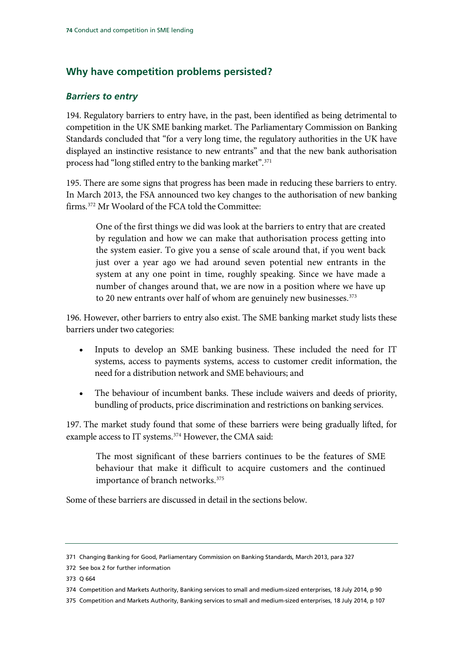# **Why have competition problems persisted?**

## *Barriers to entry*

194. Regulatory barriers to entry have, in the past, been identified as being detrimental to competition in the UK SME banking market. The Parliamentary Commission on Banking Standards concluded that "for a very long time, the regulatory authorities in the UK have displayed an instinctive resistance to new entrants" and that the new bank authorisation process had "long stifled entry to the banking market".<sup>[371](#page-75-0)</sup>

195. There are some signs that progress has been made in reducing these barriers to entry. In March 2013, the FSA announced two key changes to the authorisation of new banking firms.[372](#page-75-1) Mr Woolard of the FCA told the Committee:

One of the first things we did was look at the barriers to entry that are created by regulation and how we can make that authorisation process getting into the system easier. To give you a sense of scale around that, if you went back just over a year ago we had around seven potential new entrants in the system at any one point in time, roughly speaking. Since we have made a number of changes around that, we are now in a position where we have up to 20 new entrants over half of whom are genuinely new businesses.<sup>[373](#page-75-2)</sup>

196. However, other barriers to entry also exist. The SME banking market study lists these barriers under two categories:

- Inputs to develop an SME banking business. These included the need for IT systems, access to payments systems, access to customer credit information, the need for a distribution network and SME behaviours; and
- The behaviour of incumbent banks. These include waivers and deeds of priority, bundling of products, price discrimination and restrictions on banking services.

197. The market study found that some of these barriers were being gradually lifted, for example access to IT systems.<sup>[374](#page-75-3)</sup> However, the CMA said:

The most significant of these barriers continues to be the features of SME behaviour that make it difficult to acquire customers and the continued importance of branch networks[.375](#page-75-4)

Some of these barriers are discussed in detail in the sections below.

<span id="page-75-0"></span><sup>371</sup> Changing Banking for Good, Parliamentary Commission on Banking Standards, March 2013, para 327

<span id="page-75-1"></span><sup>372</sup> See box 2 for further information

<span id="page-75-2"></span><sup>373</sup> Q 664

<span id="page-75-3"></span><sup>374</sup> Competition and Markets Authority, Banking services to small and medium-sized enterprises, 18 July 2014, p 90

<span id="page-75-4"></span><sup>375</sup> Competition and Markets Authority, Banking services to small and medium-sized enterprises, 18 July 2014, p 107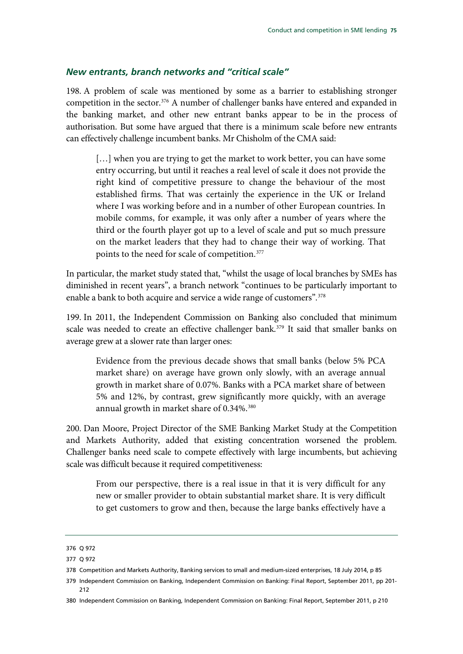#### *New entrants, branch networks and "critical scale"*

198. A problem of scale was mentioned by some as a barrier to establishing stronger competition in the sector.<sup>[376](#page-76-0)</sup> A number of challenger banks have entered and expanded in the banking market, and other new entrant banks appear to be in the process of authorisation. But some have argued that there is a minimum scale before new entrants can effectively challenge incumbent banks. Mr Chisholm of the CMA said:

[...] when you are trying to get the market to work better, you can have some entry occurring, but until it reaches a real level of scale it does not provide the right kind of competitive pressure to change the behaviour of the most established firms. That was certainly the experience in the UK or Ireland where I was working before and in a number of other European countries. In mobile comms, for example, it was only after a number of years where the third or the fourth player got up to a level of scale and put so much pressure on the market leaders that they had to change their way of working. That points to the need for scale of competition.[377](#page-76-1)

In particular, the market study stated that, "whilst the usage of local branches by SMEs has diminished in recent years", a branch network "continues to be particularly important to enable a bank to both acquire and service a wide range of customers".<sup>[378](#page-76-2)</sup>

199. In 2011, the Independent Commission on Banking also concluded that minimum scale was needed to create an effective challenger bank.<sup>379</sup> It said that smaller banks on average grew at a slower rate than larger ones:

Evidence from the previous decade shows that small banks (below 5% PCA market share) on average have grown only slowly, with an average annual growth in market share of 0.07%. Banks with a PCA market share of between 5% and 12%, by contrast, grew significantly more quickly, with an average annual growth in market share of 0.34%.<sup>[380](#page-76-4)</sup>

200. Dan Moore, Project Director of the SME Banking Market Study at the Competition and Markets Authority, added that existing concentration worsened the problem. Challenger banks need scale to compete effectively with large incumbents, but achieving scale was difficult because it required competitiveness:

From our perspective, there is a real issue in that it is very difficult for any new or smaller provider to obtain substantial market share. It is very difficult to get customers to grow and then, because the large banks effectively have a

<span id="page-76-0"></span><sup>376</sup> Q 972

<span id="page-76-1"></span><sup>377</sup> Q 972

<span id="page-76-2"></span><sup>378</sup> Competition and Markets Authority, Banking services to small and medium-sized enterprises, 18 July 2014, p 85

<span id="page-76-3"></span><sup>379</sup> Independent Commission on Banking, Independent Commission on Banking: Final Report, September 2011, pp 201- 212

<span id="page-76-4"></span><sup>380</sup> Independent Commission on Banking, Independent Commission on Banking: Final Report, September 2011, p 210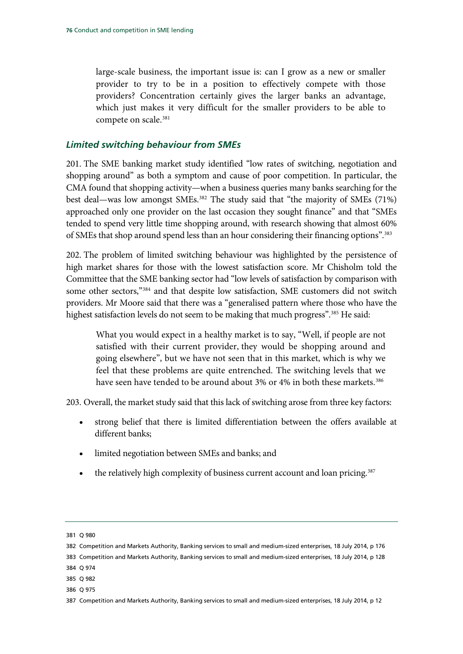large-scale business, the important issue is: can I grow as a new or smaller provider to try to be in a position to effectively compete with those providers? Concentration certainly gives the larger banks an advantage, which just makes it very difficult for the smaller providers to be able to compete on scale.<sup>[381](#page-77-0)</sup>

#### *Limited switching behaviour from SMEs*

201. The SME banking market study identified "low rates of switching, negotiation and shopping around" as both a symptom and cause of poor competition. In particular, the CMA found that shopping activity—when a business queries many banks searching for the best deal—was low amongst SMEs.<sup>[382](#page-77-1)</sup> The study said that "the majority of SMEs (71%) approached only one provider on the last occasion they sought finance" and that "SMEs tended to spend very little time shopping around, with research showing that almost 60% of SMEs that shop around spend less than an hour considering their financing options"[.383](#page-77-2)

202. The problem of limited switching behaviour was highlighted by the persistence of high market shares for those with the lowest satisfaction score. Mr Chisholm told the Committee that the SME banking sector had "low levels of satisfaction by comparison with some other sectors,["384](#page-77-3) and that despite low satisfaction, SME customers did not switch providers. Mr Moore said that there was a "generalised pattern where those who have the highest satisfaction levels do not seem to be making that much progress".<sup>[385](#page-77-4)</sup> He said:

What you would expect in a healthy market is to say, "Well, if people are not satisfied with their current provider, they would be shopping around and going elsewhere", but we have not seen that in this market, which is why we feel that these problems are quite entrenched. The switching levels that we have seen have tended to be around about 3% or 4% in both these markets.<sup>[386](#page-77-5)</sup>

203. Overall, the market study said that this lack of switching arose from three key factors:

- strong belief that there is limited differentiation between the offers available at different banks;
- limited negotiation between SMEs and banks; and
- the relatively high complexity of business current account and loan pricing.<sup>[387](#page-77-6)</sup>

<span id="page-77-0"></span><sup>381</sup> Q 980

<span id="page-77-1"></span><sup>382</sup> Competition and Markets Authority, Banking services to small and medium-sized enterprises, 18 July 2014, p 176

<span id="page-77-2"></span><sup>383</sup> Competition and Markets Authority, Banking services to small and medium-sized enterprises, 18 July 2014, p 128

<span id="page-77-3"></span><sup>384</sup> Q 974

<span id="page-77-4"></span><sup>385</sup> Q 982

<span id="page-77-5"></span><sup>386</sup> Q 975

<span id="page-77-6"></span><sup>387</sup> Competition and Markets Authority, Banking services to small and medium-sized enterprises, 18 July 2014, p 12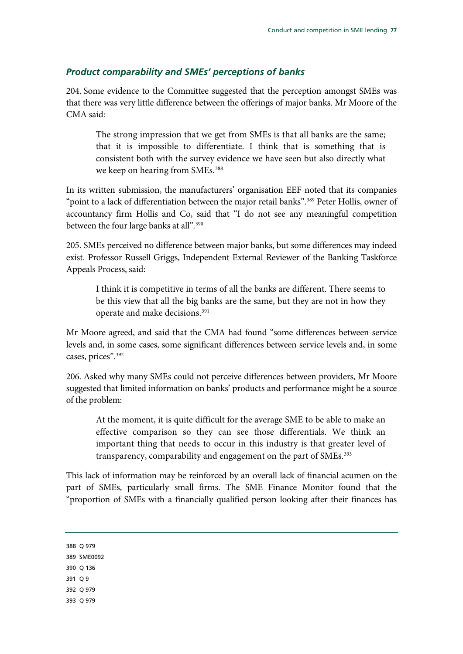#### *Product comparability and SMEs' perceptions of banks*

204. Some evidence to the Committee suggested that the perception amongst SMEs was that there was very little difference between the offerings of major banks. Mr Moore of the CMA said:

The strong impression that we get from SMEs is that all banks are the same; that it is impossible to differentiate. I think that is something that is consistent both with the survey evidence we have seen but also directly what we keep on hearing from SMEs.<sup>[388](#page-78-0)</sup>

In its written submission, the manufacturers' organisation EEF noted that its companies "point to a lack of differentiation between the major retail banks".<sup>[389](#page-78-1)</sup> Peter Hollis, owner of accountancy firm Hollis and Co, said that "I do not see any meaningful competition between the four large banks at all".<sup>390</sup>

205. SMEs perceived no difference between major banks, but some differences may indeed exist. Professor Russell Griggs, Independent External Reviewer of the Banking Taskforce Appeals Process, said:

I think it is competitive in terms of all the banks are different. There seems to be this view that all the big banks are the same, but they are not in how they operate and make decisions[.391](#page-78-3)

Mr Moore agreed, and said that the CMA had found "some differences between service levels and, in some cases, some significant differences between service levels and, in some cases, prices".<sup>[392](#page-78-4)</sup>

206. Asked why many SMEs could not perceive differences between providers, Mr Moore suggested that limited information on banks' products and performance might be a source of the problem:

At the moment, it is quite difficult for the average SME to be able to make an effective comparison so they can see those differentials. We think an important thing that needs to occur in this industry is that greater level of transparency, comparability and engagement on the part of SMEs.<sup>[393](#page-78-5)</sup>

<span id="page-78-5"></span><span id="page-78-4"></span><span id="page-78-3"></span><span id="page-78-2"></span><span id="page-78-1"></span><span id="page-78-0"></span>This lack of information may be reinforced by an overall lack of financial acumen on the part of SMEs, particularly small firms. The SME Finance Monitor found that the "proportion of SMEs with a financially qualified person looking after their finances has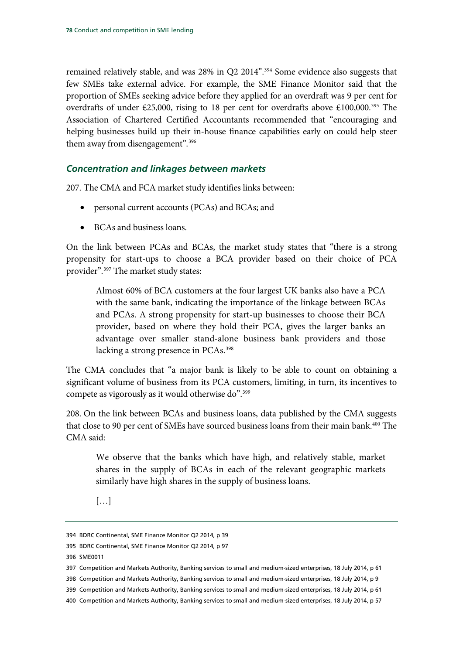remained relatively stable, and was 28% in Q2 2014".<sup>[394](#page-79-0)</sup> Some evidence also suggests that few SMEs take external advice. For example, the SME Finance Monitor said that the proportion of SMEs seeking advice before they applied for an overdraft was 9 per cent for overdrafts of under £25,000, rising to 18 per cent for overdrafts above  $\text{\pounds}100,000$ .<sup>395</sup> The Association of Chartered Certified Accountants recommended that "encouraging and helping businesses build up their in-house finance capabilities early on could help steer them away from disengagement".<sup>[396](#page-79-2)</sup>

## *Concentration and linkages between markets*

207. The CMA and FCA market study identifies links between:

- personal current accounts (PCAs) and BCAs; and
- BCAs and business loans.

On the link between PCAs and BCAs, the market study states that "there is a strong propensity for start-ups to choose a BCA provider based on their choice of PCA provider".[397](#page-79-3) The market study states:

Almost 60% of BCA customers at the four largest UK banks also have a PCA with the same bank, indicating the importance of the linkage between BCAs and PCAs. A strong propensity for start-up businesses to choose their BCA provider, based on where they hold their PCA, gives the larger banks an advantage over smaller stand-alone business bank providers and those lacking a strong presence in PCAs.<sup>[398](#page-79-4)</sup>

The CMA concludes that "a major bank is likely to be able to count on obtaining a significant volume of business from its PCA customers, limiting, in turn, its incentives to compete as vigorously as it would otherwise do".<sup>[399](#page-79-5)</sup>

208. On the link between BCAs and business loans, data published by the CMA suggests that close to 90 per cent of SMEs have sourced business loans from their main bank.<sup>[400](#page-79-6)</sup> The CMA said:

We observe that the banks which have high, and relatively stable, market shares in the supply of BCAs in each of the relevant geographic markets similarly have high shares in the supply of business loans.

[…]

<span id="page-79-0"></span><sup>394</sup> BDRC Continental, SME Finance Monitor Q2 2014, p 39

<span id="page-79-1"></span><sup>395</sup> BDRC Continental, SME Finance Monitor Q2 2014, p 97

<span id="page-79-2"></span><sup>396</sup> SME0011

<span id="page-79-3"></span><sup>397</sup> Competition and Markets Authority, Banking services to small and medium-sized enterprises, 18 July 2014, p 61

<span id="page-79-5"></span><span id="page-79-4"></span><sup>398</sup> Competition and Markets Authority, Banking services to small and medium-sized enterprises, 18 July 2014, p 9

<sup>399</sup> Competition and Markets Authority, Banking services to small and medium-sized enterprises, 18 July 2014, p 61

<span id="page-79-6"></span><sup>400</sup> Competition and Markets Authority, Banking services to small and medium-sized enterprises, 18 July 2014, p 57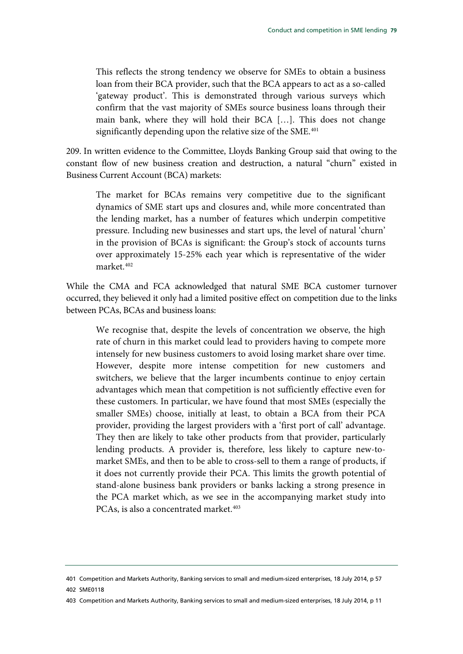This reflects the strong tendency we observe for SMEs to obtain a business loan from their BCA provider, such that the BCA appears to act as a so-called 'gateway product'. This is demonstrated through various surveys which confirm that the vast majority of SMEs source business loans through their main bank, where they will hold their BCA […]. This does not change significantly depending upon the relative size of the SME.<sup>[401](#page-80-0)</sup>

209. In written evidence to the Committee, Lloyds Banking Group said that owing to the constant flow of new business creation and destruction, a natural "churn" existed in Business Current Account (BCA) markets:

The market for BCAs remains very competitive due to the significant dynamics of SME start ups and closures and, while more concentrated than the lending market, has a number of features which underpin competitive pressure. Including new businesses and start ups, the level of natural 'churn' in the provision of BCAs is significant: the Group's stock of accounts turns over approximately 15-25% each year which is representative of the wider market.[402](#page-80-1)

While the CMA and FCA acknowledged that natural SME BCA customer turnover occurred, they believed it only had a limited positive effect on competition due to the links between PCAs, BCAs and business loans:

We recognise that, despite the levels of concentration we observe, the high rate of churn in this market could lead to providers having to compete more intensely for new business customers to avoid losing market share over time. However, despite more intense competition for new customers and switchers, we believe that the larger incumbents continue to enjoy certain advantages which mean that competition is not sufficiently effective even for these customers. In particular, we have found that most SMEs (especially the smaller SMEs) choose, initially at least, to obtain a BCA from their PCA provider, providing the largest providers with a 'first port of call' advantage. They then are likely to take other products from that provider, particularly lending products. A provider is, therefore, less likely to capture new-tomarket SMEs, and then to be able to cross-sell to them a range of products, if it does not currently provide their PCA. This limits the growth potential of stand-alone business bank providers or banks lacking a strong presence in the PCA market which, as we see in the accompanying market study into PCAs, is also a concentrated market.<sup>403</sup>

<span id="page-80-1"></span><span id="page-80-0"></span><sup>401</sup> Competition and Markets Authority, Banking services to small and medium-sized enterprises, 18 July 2014, p 57 402 SME0118

<span id="page-80-2"></span><sup>403</sup> Competition and Markets Authority, Banking services to small and medium-sized enterprises, 18 July 2014, p 11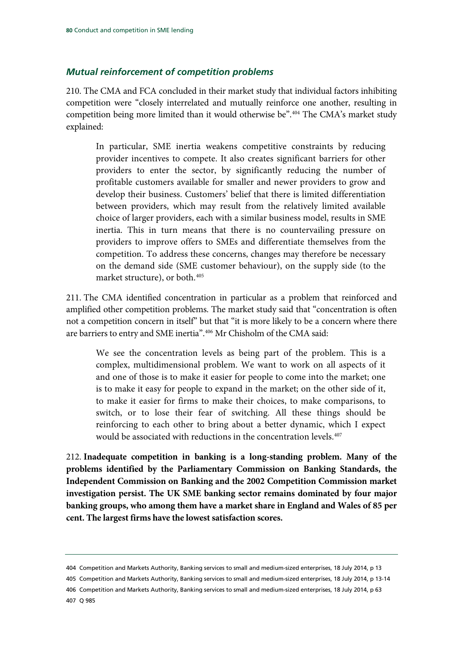#### *Mutual reinforcement of competition problems*

210. The CMA and FCA concluded in their market study that individual factors inhibiting competition were "closely interrelated and mutually reinforce one another, resulting in competition being more limited than it would otherwise be".[404](#page-81-0) The CMA's market study explained:

In particular, SME inertia weakens competitive constraints by reducing provider incentives to compete. It also creates significant barriers for other providers to enter the sector, by significantly reducing the number of profitable customers available for smaller and newer providers to grow and develop their business. Customers' belief that there is limited differentiation between providers, which may result from the relatively limited available choice of larger providers, each with a similar business model, results in SME inertia. This in turn means that there is no countervailing pressure on providers to improve offers to SMEs and differentiate themselves from the competition. To address these concerns, changes may therefore be necessary on the demand side (SME customer behaviour), on the supply side (to the market structure), or both.<sup>[405](#page-81-1)</sup>

211. The CMA identified concentration in particular as a problem that reinforced and amplified other competition problems. The market study said that "concentration is often not a competition concern in itself" but that "it is more likely to be a concern where there are barriers to entry and SME inertia".<sup>[406](#page-81-2)</sup> Mr Chisholm of the CMA said:

We see the concentration levels as being part of the problem. This is a complex, multidimensional problem. We want to work on all aspects of it and one of those is to make it easier for people to come into the market; one is to make it easy for people to expand in the market; on the other side of it, to make it easier for firms to make their choices, to make comparisons, to switch, or to lose their fear of switching. All these things should be reinforcing to each other to bring about a better dynamic, which I expect would be associated with reductions in the concentration levels.<sup>[407](#page-81-3)</sup>

<span id="page-81-4"></span>212. **Inadequate competition in banking is a long-standing problem. Many of the problems identified by the Parliamentary Commission on Banking Standards, the Independent Commission on Banking and the 2002 Competition Commission market investigation persist. The UK SME banking sector remains dominated by four major banking groups, who among them have a market share in England and Wales of 85 per cent. The largest firms have the lowest satisfaction scores.**

<span id="page-81-0"></span><sup>404</sup> Competition and Markets Authority, Banking services to small and medium-sized enterprises, 18 July 2014, p 13

<span id="page-81-1"></span><sup>405</sup> Competition and Markets Authority, Banking services to small and medium-sized enterprises, 18 July 2014, p 13-14

<span id="page-81-3"></span><span id="page-81-2"></span><sup>406</sup> Competition and Markets Authority, Banking services to small and medium-sized enterprises, 18 July 2014, p 63 407 Q 985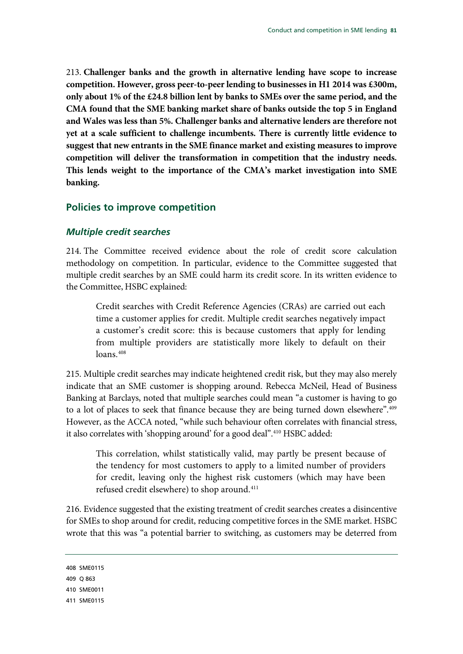<span id="page-82-4"></span>213. **Challenger banks and the growth in alternative lending have scope to increase competition. However, gross peer-to-peer lending to businesses in H1 2014 was £300m, only about 1% of the £24.8 billion lent by banks to SMEs over the same period, and the CMA found that the SME banking market share of banks outside the top 5 in England and Wales was less than 5%. Challenger banks and alternative lenders are therefore not yet at a scale sufficient to challenge incumbents. There is currently little evidence to suggest that new entrants in the SME finance market and existing measures to improve competition will deliver the transformation in competition that the industry needs. This lends weight to the importance of the CMA's market investigation into SME banking.**

#### **Policies to improve competition**

#### *Multiple credit searches*

214. The Committee received evidence about the role of credit score calculation methodology on competition. In particular, evidence to the Committee suggested that multiple credit searches by an SME could harm its credit score. In its written evidence to the Committee, HSBC explained:

Credit searches with Credit Reference Agencies (CRAs) are carried out each time a customer applies for credit. Multiple credit searches negatively impact a customer's credit score: this is because customers that apply for lending from multiple providers are statistically more likely to default on their loans.<sup>[408](#page-82-0)</sup>

215. Multiple credit searches may indicate heightened credit risk, but they may also merely indicate that an SME customer is shopping around. Rebecca McNeil, Head of Business Banking at Barclays, noted that multiple searches could mean "a customer is having to go to a lot of places to seek that finance because they are being turned down elsewhere".<sup>409</sup> However, as the ACCA noted, "while such behaviour often correlates with financial stress, it also correlates with 'shopping around' for a good deal".<sup>410</sup> HSBC added:

This correlation, whilst statistically valid, may partly be present because of the tendency for most customers to apply to a limited number of providers for credit, leaving only the highest risk customers (which may have been refused credit elsewhere) to shop around.<sup>[411](#page-82-3)</sup>

216. Evidence suggested that the existing treatment of credit searches creates a disincentive for SMEs to shop around for credit, reducing competitive forces in the SME market. HSBC wrote that this was "a potential barrier to switching, as customers may be deterred from

```
408 SME0115
```
<span id="page-82-1"></span>409 Q 863

<span id="page-82-2"></span>410 SME0011

<span id="page-82-3"></span>411 SME0115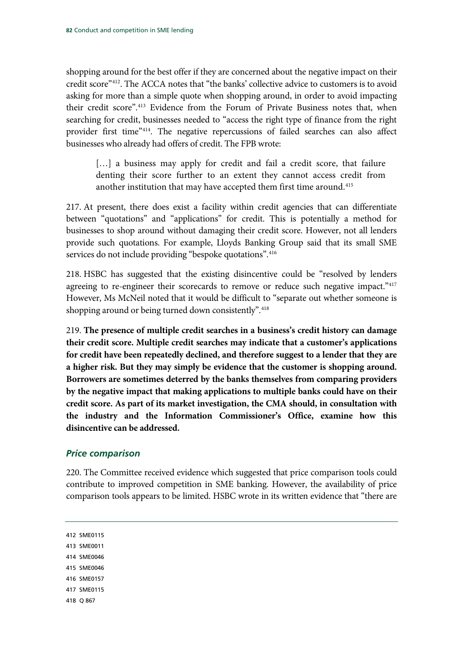shopping around for the best offer if they are concerned about the negative impact on their credit score["412.](#page-83-0) The ACCA notes that "the banks' collective advice to customers is to avoid asking for more than a simple quote when shopping around, in order to avoid impacting their credit score"[.413](#page-83-1) Evidence from the Forum of Private Business notes that, when searching for credit, businesses needed to "access the right type of finance from the right provider first time["414](#page-83-2). The negative repercussions of failed searches can also affect businesses who already had offers of credit. The FPB wrote:

[...] a business may apply for credit and fail a credit score, that failure denting their score further to an extent they cannot access credit from another institution that may have accepted them first time around.<sup>[415](#page-83-3)</sup>

217. At present, there does exist a facility within credit agencies that can differentiate between "quotations" and "applications" for credit. This is potentially a method for businesses to shop around without damaging their credit score. However, not all lenders provide such quotations. For example, Lloyds Banking Group said that its small SME services do not include providing "bespoke quotations".<sup>[416](#page-83-4)</sup>

218. HSBC has suggested that the existing disincentive could be "resolved by lenders agreeing to re-engineer their scorecards to remove or reduce such negative impact.["417](#page-83-5) However, Ms McNeil noted that it would be difficult to "separate out whether someone is shopping around or being turned down consistently".<sup>[418](#page-83-6)</sup>

<span id="page-83-7"></span>219. **The presence of multiple credit searches in a business's credit history can damage their credit score. Multiple credit searches may indicate that a customer's applications for credit have been repeatedly declined, and therefore suggest to a lender that they are a higher risk. But they may simply be evidence that the customer is shopping around. Borrowers are sometimes deterred by the banks themselves from comparing providers by the negative impact that making applications to multiple banks could have on their credit score. As part of its market investigation, the CMA should, in consultation with the industry and the Information Commissioner's Office, examine how this disincentive can be addressed.**

## *Price comparison*

220. The Committee received evidence which suggested that price comparison tools could contribute to improved competition in SME banking. However, the availability of price comparison tools appears to be limited. HSBC wrote in its written evidence that "there are

<span id="page-83-6"></span><span id="page-83-5"></span><span id="page-83-4"></span><span id="page-83-3"></span><span id="page-83-2"></span><span id="page-83-1"></span><span id="page-83-0"></span>412 SME0115 413 SME0011 414 SME0046 415 SME0046 416 SME0157 417 SME0115 418 Q 867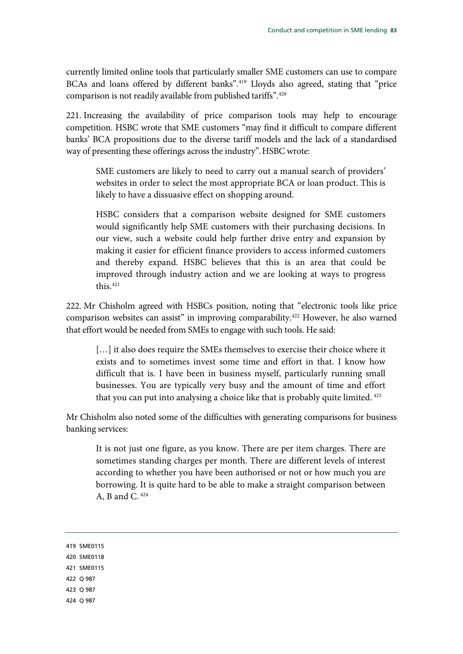currently limited online tools that particularly smaller SME customers can use to compare BCAs and loans offered by different banks".<sup>[419](#page-84-0)</sup> Lloyds also agreed, stating that "price comparison is not readily available from published tariffs".<sup>[420](#page-84-1)</sup>

221. Increasing the availability of price comparison tools may help to encourage competition. HSBC wrote that SME customers "may find it difficult to compare different banks' BCA propositions due to the diverse tariff models and the lack of a standardised way of presenting these offerings across the industry".HSBC wrote:

SME customers are likely to need to carry out a manual search of providers' websites in order to select the most appropriate BCA or loan product. This is likely to have a dissuasive effect on shopping around.

HSBC considers that a comparison website designed for SME customers would significantly help SME customers with their purchasing decisions. In our view, such a website could help further drive entry and expansion by making it easier for efficient finance providers to access informed customers and thereby expand. HSBC believes that this is an area that could be improved through industry action and we are looking at ways to progress this.[421](#page-84-2)

222. Mr Chisholm agreed with HSBCs position, noting that "electronic tools like price comparison websites can assist" in improving comparability.<sup>[422](#page-84-3)</sup> However, he also warned that effort would be needed from SMEs to engage with such tools. He said:

[...] it also does require the SMEs themselves to exercise their choice where it exists and to sometimes invest some time and effort in that. I know how difficult that is. I have been in business myself, particularly running small businesses. You are typically very busy and the amount of time and effort that you can put into analysing a choice like that is probably quite limited. [423](#page-84-4)

Mr Chisholm also noted some of the difficulties with generating comparisons for business banking services:

It is not just one figure, as you know. There are per item charges. There are sometimes standing charges per month. There are different levels of interest according to whether you have been authorised or not or how much you are borrowing. It is quite hard to be able to make a straight comparison between A, B and C. [424](#page-84-5)

- <span id="page-84-2"></span><span id="page-84-1"></span><span id="page-84-0"></span>419 SME0115 420 SME0118 421 SME0115 422 Q 987 423 Q 987
- <span id="page-84-5"></span><span id="page-84-4"></span><span id="page-84-3"></span>424 Q 987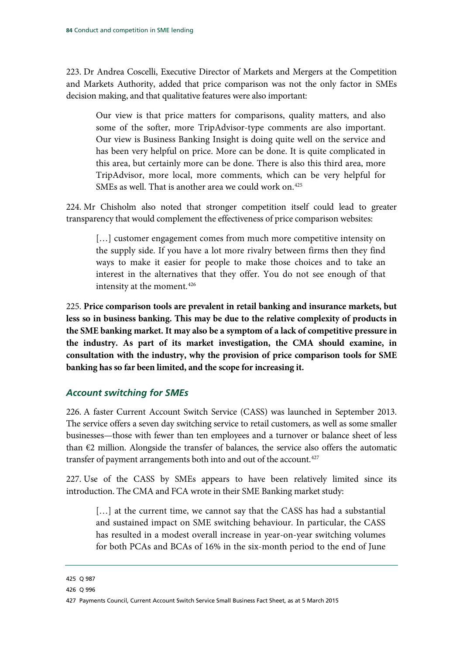223. Dr Andrea Coscelli, Executive Director of Markets and Mergers at the Competition and Markets Authority, added that price comparison was not the only factor in SMEs decision making, and that qualitative features were also important:

Our view is that price matters for comparisons, quality matters, and also some of the softer, more TripAdvisor-type comments are also important. Our view is Business Banking Insight is doing quite well on the service and has been very helpful on price. More can be done. It is quite complicated in this area, but certainly more can be done. There is also this third area, more TripAdvisor, more local, more comments, which can be very helpful for SMEs as well. That is another area we could work on.<sup>[425](#page-85-0)</sup>

224. Mr Chisholm also noted that stronger competition itself could lead to greater transparency that would complement the effectiveness of price comparison websites:

[...] customer engagement comes from much more competitive intensity on the supply side. If you have a lot more rivalry between firms then they find ways to make it easier for people to make those choices and to take an interest in the alternatives that they offer. You do not see enough of that intensity at the moment.<sup>[426](#page-85-1)</sup>

<span id="page-85-3"></span>225. **Price comparison tools are prevalent in retail banking and insurance markets, but less so in business banking. This may be due to the relative complexity of products in the SME banking market. It may also be a symptom of a lack of competitive pressure in the industry. As part of its market investigation, the CMA should examine, in consultation with the industry, why the provision of price comparison tools for SME banking has so far been limited, and the scope for increasing it.**

## *Account switching for SMEs*

226. A faster Current Account Switch Service (CASS) was launched in September 2013. The service offers a seven day switching service to retail customers, as well as some smaller businesses—those with fewer than ten employees and a turnover or balance sheet of less than  $E2$  million. Alongside the transfer of balances, the service also offers the automatic transfer of payment arrangements both into and out of the account.<sup>427</sup>

227. Use of the CASS by SMEs appears to have been relatively limited since its introduction. The CMA and FCA wrote in their SME Banking market study:

[...] at the current time, we cannot say that the CASS has had a substantial and sustained impact on SME switching behaviour. In particular, the CASS has resulted in a modest overall increase in year-on-year switching volumes for both PCAs and BCAs of 16% in the six-month period to the end of June

<span id="page-85-0"></span><sup>425</sup> Q 987

<span id="page-85-1"></span><sup>426</sup> Q 996

<span id="page-85-2"></span><sup>427</sup> Payments Council, Current Account Switch Service Small Business Fact Sheet, as at 5 March 2015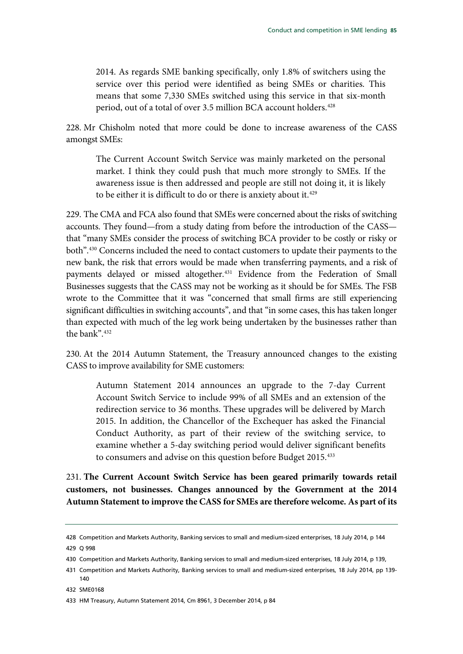2014. As regards SME banking specifically, only 1.8% of switchers using the service over this period were identified as being SMEs or charities. This means that some 7,330 SMEs switched using this service in that six-month period, out of a total of over 3.5 million BCA account holders.<sup>[428](#page-86-0)</sup>

228. Mr Chisholm noted that more could be done to increase awareness of the CASS amongst SMEs:

The Current Account Switch Service was mainly marketed on the personal market. I think they could push that much more strongly to SMEs. If the awareness issue is then addressed and people are still not doing it, it is likely to be either it is difficult to do or there is anxiety about it.<sup>[429](#page-86-1)</sup>

229. The CMA and FCA also found that SMEs were concerned about the risks of switching accounts. They found—from a study dating from before the introduction of the CASS that "many SMEs consider the process of switching BCA provider to be costly or risky or both"[.430](#page-86-2) Concerns included the need to contact customers to update their payments to the new bank, the risk that errors would be made when transferring payments, and a risk of payments delayed or missed altogether.[431](#page-86-3) Evidence from the Federation of Small Businesses suggests that the CASS may not be working as it should be for SMEs. The FSB wrote to the Committee that it was "concerned that small firms are still experiencing significant difficulties in switching accounts", and that "in some cases, this has taken longer than expected with much of the leg work being undertaken by the businesses rather than the bank"[.432](#page-86-4)

230. At the 2014 Autumn Statement, the Treasury announced changes to the existing CASS to improve availability for SME customers:

Autumn Statement 2014 announces an upgrade to the 7-day Current Account Switch Service to include 99% of all SMEs and an extension of the redirection service to 36 months. These upgrades will be delivered by March 2015. In addition, the Chancellor of the Exchequer has asked the Financial Conduct Authority, as part of their review of the switching service, to examine whether a 5-day switching period would deliver significant benefits to consumers and advise on this question before Budget 2015.<sup>[433](#page-86-5)</sup>

<span id="page-86-6"></span>231. **The Current Account Switch Service has been geared primarily towards retail customers, not businesses. Changes announced by the Government at the 2014 Autumn Statement to improve the CASS for SMEs are therefore welcome. As part of its** 

<span id="page-86-0"></span><sup>428</sup> Competition and Markets Authority, Banking services to small and medium-sized enterprises, 18 July 2014, p 144 429 Q 998

<span id="page-86-2"></span><span id="page-86-1"></span><sup>430</sup> Competition and Markets Authority, Banking services to small and medium-sized enterprises, 18 July 2014, p 139,

<span id="page-86-3"></span><sup>431</sup> Competition and Markets Authority, Banking services to small and medium-sized enterprises, 18 July 2014, pp 139- 140

<span id="page-86-4"></span><sup>432</sup> SME0168

<span id="page-86-5"></span><sup>433</sup> HM Treasury, Autumn Statement 2014, Cm 8961, 3 December 2014, p 84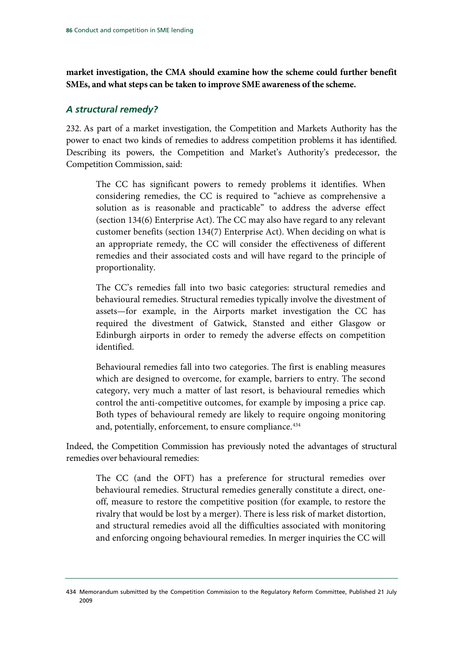**market investigation, the CMA should examine how the scheme could further benefit SMEs, and what steps can be taken to improve SME awareness of the scheme.**

#### *A structural remedy?*

232. As part of a market investigation, the Competition and Markets Authority has the power to enact two kinds of remedies to address competition problems it has identified. Describing its powers, the Competition and Market's Authority's predecessor, the Competition Commission, said:

The CC has significant powers to remedy problems it identifies. When considering remedies, the CC is required to "achieve as comprehensive a solution as is reasonable and practicable" to address the adverse effect (section 134(6) Enterprise Act). The CC may also have regard to any relevant customer benefits (section 134(7) Enterprise Act). When deciding on what is an appropriate remedy, the CC will consider the effectiveness of different remedies and their associated costs and will have regard to the principle of proportionality.

The CC's remedies fall into two basic categories: structural remedies and behavioural remedies. Structural remedies typically involve the divestment of assets—for example, in the Airports market investigation the CC has required the divestment of Gatwick, Stansted and either Glasgow or Edinburgh airports in order to remedy the adverse effects on competition identified.

Behavioural remedies fall into two categories. The first is enabling measures which are designed to overcome, for example, barriers to entry. The second category, very much a matter of last resort, is behavioural remedies which control the anti-competitive outcomes, for example by imposing a price cap. Both types of behavioural remedy are likely to require ongoing monitoring and, potentially, enforcement, to ensure compliance.<sup>[434](#page-87-0)</sup>

Indeed, the Competition Commission has previously noted the advantages of structural remedies over behavioural remedies:

The CC (and the OFT) has a preference for structural remedies over behavioural remedies. Structural remedies generally constitute a direct, oneoff, measure to restore the competitive position (for example, to restore the rivalry that would be lost by a merger). There is less risk of market distortion, and structural remedies avoid all the difficulties associated with monitoring and enforcing ongoing behavioural remedies. In merger inquiries the CC will

<span id="page-87-0"></span><sup>434</sup> Memorandum submitted by the Competition Commission to the Regulatory Reform Committee, Published 21 July 2009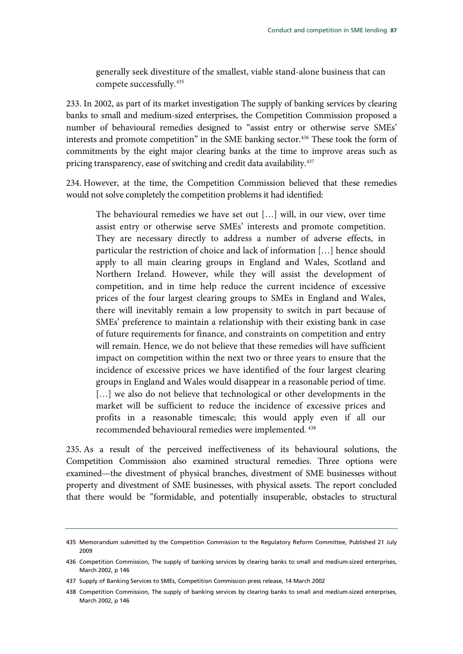generally seek divestiture of the smallest, viable stand-alone business that can compete successfully.[435](#page-88-0)

233. In 2002, as part of its market investigation The supply of banking services by clearing banks to small and medium-sized enterprises, the Competition Commission proposed a number of behavioural remedies designed to "assist entry or otherwise serve SMEs' interests and promote competition" in the SME banking sector.<sup>[436](#page-88-1)</sup> These took the form of commitments by the eight major clearing banks at the time to improve areas such as pricing transparency, ease of switching and credit data availability.<sup>437</sup>

234. However, at the time, the Competition Commission believed that these remedies would not solve completely the competition problems it had identified:

The behavioural remedies we have set out […] will, in our view, over time assist entry or otherwise serve SMEs' interests and promote competition. They are necessary directly to address a number of adverse effects, in particular the restriction of choice and lack of information […] hence should apply to all main clearing groups in England and Wales, Scotland and Northern Ireland. However, while they will assist the development of competition, and in time help reduce the current incidence of excessive prices of the four largest clearing groups to SMEs in England and Wales, there will inevitably remain a low propensity to switch in part because of SMEs' preference to maintain a relationship with their existing bank in case of future requirements for finance, and constraints on competition and entry will remain. Hence, we do not believe that these remedies will have sufficient impact on competition within the next two or three years to ensure that the incidence of excessive prices we have identified of the four largest clearing groups in England and Wales would disappear in a reasonable period of time. [...] we also do not believe that technological or other developments in the market will be sufficient to reduce the incidence of excessive prices and profits in a reasonable timescale; this would apply even if all our recommended behavioural remedies were implemented. [438](#page-88-3)

235. As a result of the perceived ineffectiveness of its behavioural solutions, the Competition Commission also examined structural remedies. Three options were examined—the divestment of physical branches, divestment of SME businesses without property and divestment of SME businesses, with physical assets. The report concluded that there would be "formidable, and potentially insuperable, obstacles to structural

<span id="page-88-0"></span><sup>435</sup> Memorandum submitted by the Competition Commission to the Regulatory Reform Committee, Published 21 July 2009

<span id="page-88-1"></span><sup>436</sup> Competition Commission, The supply of banking services by clearing banks to small and medium-sized enterprises, March 2002, p 146

<span id="page-88-2"></span><sup>437</sup> Supply of Banking Services to SMEs, Competition Commission press release, 14 March 2002

<span id="page-88-3"></span><sup>438</sup> Competition Commission, The supply of banking services by clearing banks to small and medium-sized enterprises, March 2002, p 146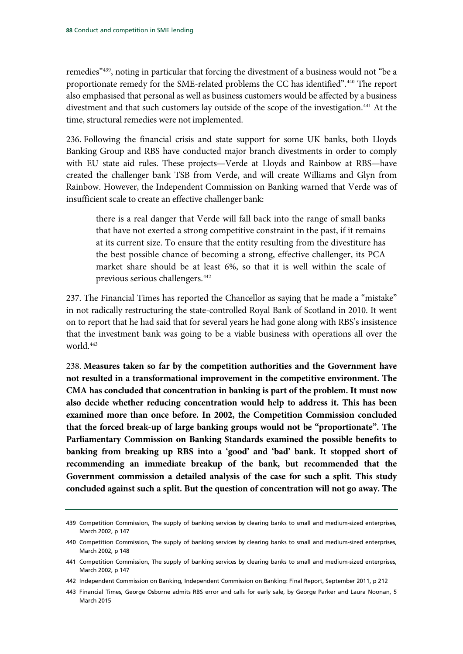remedies"[439,](#page-89-0) noting in particular that forcing the divestment of a business would not "be a proportionate remedy for the SME-related problems the CC has identified".[440](#page-89-1) The report also emphasised that personal as well as business customers would be affected by a business divestment and that such customers lay outside of the scope of the investigation.<sup>441</sup> At the time, structural remedies were not implemented.

236. Following the financial crisis and state support for some UK banks, both Lloyds Banking Group and RBS have conducted major branch divestments in order to comply with EU state aid rules. These projects—Verde at Lloyds and Rainbow at RBS—have created the challenger bank TSB from Verde, and will create Williams and Glyn from Rainbow. However, the Independent Commission on Banking warned that Verde was of insufficient scale to create an effective challenger bank:

there is a real danger that Verde will fall back into the range of small banks that have not exerted a strong competitive constraint in the past, if it remains at its current size. To ensure that the entity resulting from the divestiture has the best possible chance of becoming a strong, effective challenger, its PCA market share should be at least 6%, so that it is well within the scale of previous serious challengers.[442](#page-89-3)

237. The Financial Times has reported the Chancellor as saying that he made a "mistake" in not radically restructuring the state-controlled Royal Bank of Scotland in 2010. It went on to report that he had said that for several years he had gone along with RBS's insistence that the investment bank was going to be a viable business with operations all over the world.[443](#page-89-4)

<span id="page-89-5"></span>238. **Measures taken so far by the competition authorities and the Government have not resulted in a transformational improvement in the competitive environment. The CMA has concluded that concentration in banking is part of the problem. It must now also decide whether reducing concentration would help to address it. This has been examined more than once before. In 2002, the Competition Commission concluded that the forced break-up of large banking groups would not be "proportionate". The Parliamentary Commission on Banking Standards examined the possible benefits to banking from breaking up RBS into a 'good' and 'bad' bank. It stopped short of recommending an immediate breakup of the bank, but recommended that the Government commission a detailed analysis of the case for such a split. This study concluded against such a split. But the question of concentration will not go away. The** 

<span id="page-89-0"></span><sup>439</sup> Competition Commission, The supply of banking services by clearing banks to small and medium-sized enterprises, March 2002, p 147

<span id="page-89-1"></span><sup>440</sup> Competition Commission, The supply of banking services by clearing banks to small and medium-sized enterprises, March 2002, p 148

<span id="page-89-2"></span><sup>441</sup> Competition Commission, The supply of banking services by clearing banks to small and medium-sized enterprises, March 2002, p 147

<span id="page-89-3"></span><sup>442</sup> Independent Commission on Banking, Independent Commission on Banking: Final Report, September 2011, p 212

<span id="page-89-4"></span><sup>443</sup> Financial Times, George Osborne admits RBS error and calls for early sale, by George Parker and Laura Noonan, 5 March 2015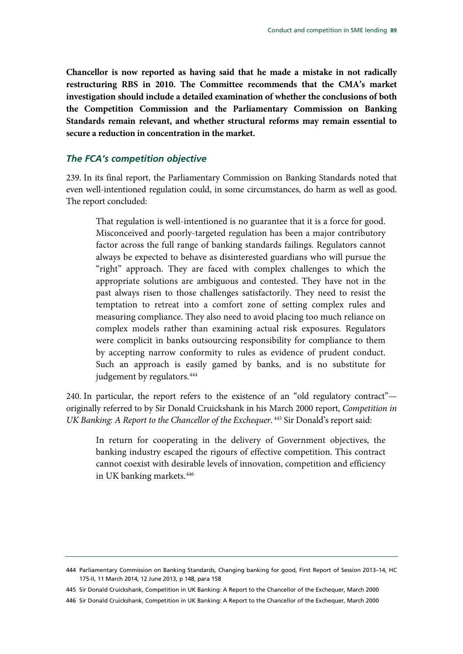**Chancellor is now reported as having said that he made a mistake in not radically restructuring RBS in 2010. The Committee recommends that the CMA's market investigation should include a detailed examination of whether the conclusions of both the Competition Commission and the Parliamentary Commission on Banking Standards remain relevant, and whether structural reforms may remain essential to secure a reduction in concentration in the market.**

#### *The FCA's competition objective*

239. In its final report, the Parliamentary Commission on Banking Standards noted that even well-intentioned regulation could, in some circumstances, do harm as well as good. The report concluded:

That regulation is well-intentioned is no guarantee that it is a force for good. Misconceived and poorly-targeted regulation has been a major contributory factor across the full range of banking standards failings. Regulators cannot always be expected to behave as disinterested guardians who will pursue the "right" approach. They are faced with complex challenges to which the appropriate solutions are ambiguous and contested. They have not in the past always risen to those challenges satisfactorily. They need to resist the temptation to retreat into a comfort zone of setting complex rules and measuring compliance. They also need to avoid placing too much reliance on complex models rather than examining actual risk exposures. Regulators were complicit in banks outsourcing responsibility for compliance to them by accepting narrow conformity to rules as evidence of prudent conduct. Such an approach is easily gamed by banks, and is no substitute for judgement by regulators.<sup>[444](#page-90-0)</sup>

240. In particular, the report refers to the existence of an "old regulatory contract" originally referred to by Sir Donald Cruickshank in his March 2000 report, *Competition in UK Banking: A Report to the Chancellor of the Exchequer*.  $445$  Sir Donald's report said:

In return for cooperating in the delivery of Government objectives, the banking industry escaped the rigours of effective competition. This contract cannot coexist with desirable levels of innovation, competition and efficiency in UK banking markets[.446](#page-90-2)

<span id="page-90-0"></span><sup>444</sup> Parliamentary Commission on Banking Standards, Changing banking for good, First Report of Session 2013–14, HC 175-II, 11 March 2014, 12 June 2013, p 148, para 158

<span id="page-90-1"></span><sup>445</sup> Sir Donald Cruickshank, Competition in UK Banking: A Report to the Chancellor of the Exchequer, March 2000

<span id="page-90-2"></span><sup>446</sup> Sir Donald Cruickshank, Competition in UK Banking: A Report to the Chancellor of the Exchequer, March 2000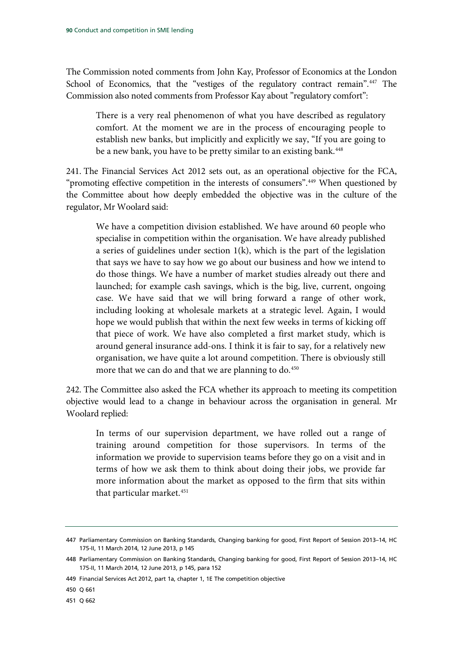The Commission noted comments from John Kay, Professor of Economics at the London School of Economics, that the "vestiges of the regulatory contract remain".<sup>[447](#page-91-0)</sup> The Commission also noted comments from Professor Kay about "regulatory comfort":

There is a very real phenomenon of what you have described as regulatory comfort. At the moment we are in the process of encouraging people to establish new banks, but implicitly and explicitly we say, "If you are going to be a new bank, you have to be pretty similar to an existing bank.<sup>448</sup>

241. The Financial Services Act 2012 sets out, as an operational objective for the FCA, "promoting effective competition in the interests of consumers".[449](#page-91-2) When questioned by the Committee about how deeply embedded the objective was in the culture of the regulator, Mr Woolard said:

We have a competition division established. We have around 60 people who specialise in competition within the organisation. We have already published a series of guidelines under section 1(k), which is the part of the legislation that says we have to say how we go about our business and how we intend to do those things. We have a number of market studies already out there and launched; for example cash savings, which is the big, live, current, ongoing case. We have said that we will bring forward a range of other work, including looking at wholesale markets at a strategic level. Again, I would hope we would publish that within the next few weeks in terms of kicking off that piece of work. We have also completed a first market study, which is around general insurance add-ons. I think it is fair to say, for a relatively new organisation, we have quite a lot around competition. There is obviously still more that we can do and that we are planning to do.<sup>[450](#page-91-3)</sup>

242. The Committee also asked the FCA whether its approach to meeting its competition objective would lead to a change in behaviour across the organisation in general. Mr Woolard replied:

In terms of our supervision department, we have rolled out a range of training around competition for those supervisors. In terms of the information we provide to supervision teams before they go on a visit and in terms of how we ask them to think about doing their jobs, we provide far more information about the market as opposed to the firm that sits within that particular market.<sup>[451](#page-91-4)</sup>

<span id="page-91-0"></span><sup>447</sup> Parliamentary Commission on Banking Standards, Changing banking for good, First Report of Session 2013–14, HC 175-II, 11 March 2014, 12 June 2013, p 145

<span id="page-91-1"></span><sup>448</sup> Parliamentary Commission on Banking Standards, Changing banking for good, First Report of Session 2013–14, HC 175-II, 11 March 2014, 12 June 2013, p 145, para 152

<span id="page-91-2"></span><sup>449</sup> Financial Services Act 2012, part 1a, chapter 1, 1E The competition objective

<span id="page-91-3"></span><sup>450</sup> Q 661

<span id="page-91-4"></span><sup>451</sup> Q 662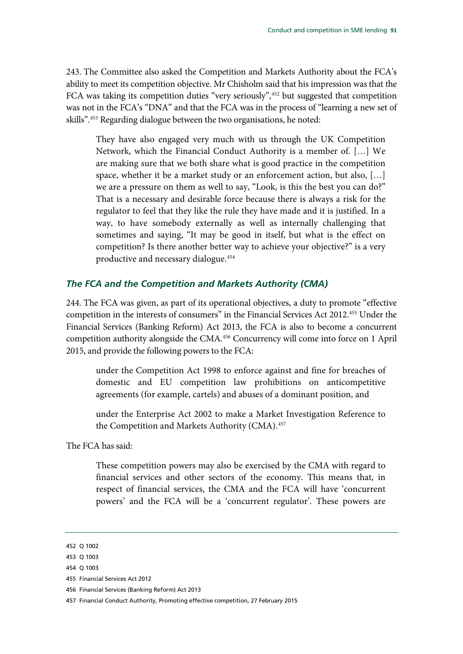243. The Committee also asked the Competition and Markets Authority about the FCA's ability to meet its competition objective. Mr Chisholm said that his impression was that the FCA was taking its competition duties "very seriously",<sup>[452](#page-92-0)</sup> but suggested that competition was not in the FCA's "DNA" and that the FCA was in the process of "learning a new set of skills". [453](#page-92-1) Regarding dialogue between the two organisations, he noted:

They have also engaged very much with us through the UK Competition Network, which the Financial Conduct Authority is a member of. […] We are making sure that we both share what is good practice in the competition space, whether it be a market study or an enforcement action, but also, […] we are a pressure on them as well to say, "Look, is this the best you can do?" That is a necessary and desirable force because there is always a risk for the regulator to feel that they like the rule they have made and it is justified. In a way, to have somebody externally as well as internally challenging that sometimes and saying, "It may be good in itself, but what is the effect on competition? Is there another better way to achieve your objective?" is a very productive and necessary dialogue.[454](#page-92-2)

## *The FCA and the Competition and Markets Authority (CMA)*

244. The FCA was given, as part of its operational objectives, a duty to promote "effective competition in the interests of consumers" in the Financial Services Act 2012.[455](#page-92-3) Under the Financial Services (Banking Reform) Act 2013, the FCA is also to become a concurrent competition authority alongside the CMA.[456](#page-92-4) Concurrency will come into force on 1 April 2015, and provide the following powers to the FCA:

under the Competition Act 1998 to enforce against and fine for breaches of domestic and EU competition law prohibitions on anticompetitive agreements (for example, cartels) and abuses of a dominant position, and

under the Enterprise Act 2002 to make a Market Investigation Reference to the Competition and Markets Authority (CMA).<sup>[457](#page-92-5)</sup>

The FCA has said:

These competition powers may also be exercised by the CMA with regard to financial services and other sectors of the economy. This means that, in respect of financial services, the CMA and the FCA will have 'concurrent powers' and the FCA will be a 'concurrent regulator'. These powers are

<span id="page-92-0"></span><sup>452</sup> Q 1002

<span id="page-92-1"></span><sup>453</sup> Q 1003

<span id="page-92-2"></span><sup>454</sup> Q 1003

<span id="page-92-3"></span><sup>455</sup> Financial Services Act 2012

<span id="page-92-4"></span><sup>456</sup> Financial Services (Banking Reform) Act 2013

<span id="page-92-5"></span><sup>457</sup> Financial Conduct Authority, Promoting effective competition, 27 February 2015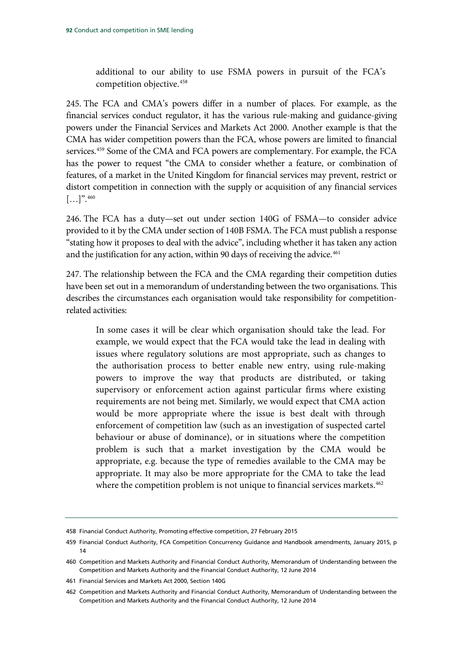additional to our ability to use FSMA powers in pursuit of the FCA's competition objective.[458](#page-93-0)

245. The FCA and CMA's powers differ in a number of places. For example, as the financial services conduct regulator, it has the various rule-making and guidance-giving powers under the Financial Services and Markets Act 2000. Another example is that the CMA has wider competition powers than the FCA, whose powers are limited to financial services.<sup>[459](#page-93-1)</sup> Some of the CMA and FCA powers are complementary. For example, the FCA has the power to request "the CMA to consider whether a feature, or combination of features, of a market in the United Kingdom for financial services may prevent, restrict or distort competition in connection with the supply or acquisition of any financial services  $[\ldots]$ ". 460

246. The FCA has a duty—set out under section 140G of FSMA—to consider advice provided to it by the CMA under section of 140B FSMA. The FCA must publish a response "stating how it proposes to deal with the advice", including whether it has taken any action and the justification for any action, within 90 days of receiving the advice.<sup>[461](#page-93-3)</sup>

247. The relationship between the FCA and the CMA regarding their competition duties have been set out in a memorandum of understanding between the two organisations. This describes the circumstances each organisation would take responsibility for competitionrelated activities:

In some cases it will be clear which organisation should take the lead. For example, we would expect that the FCA would take the lead in dealing with issues where regulatory solutions are most appropriate, such as changes to the authorisation process to better enable new entry, using rule-making powers to improve the way that products are distributed, or taking supervisory or enforcement action against particular firms where existing requirements are not being met. Similarly, we would expect that CMA action would be more appropriate where the issue is best dealt with through enforcement of competition law (such as an investigation of suspected cartel behaviour or abuse of dominance), or in situations where the competition problem is such that a market investigation by the CMA would be appropriate, e.g. because the type of remedies available to the CMA may be appropriate. It may also be more appropriate for the CMA to take the lead where the competition problem is not unique to financial services markets.<sup>[462](#page-93-4)</sup>

<span id="page-93-0"></span><sup>458</sup> Financial Conduct Authority, Promoting effective competition, 27 February 2015

<span id="page-93-1"></span><sup>459</sup> Financial Conduct Authority, FCA Competition Concurrency Guidance and Handbook amendments, January 2015, p 14

<span id="page-93-2"></span><sup>460</sup> Competition and Markets Authority and Financial Conduct Authority, Memorandum of Understanding between the Competition and Markets Authority and the Financial Conduct Authority, 12 June 2014

<span id="page-93-3"></span><sup>461</sup> Financial Services and Markets Act 2000, Section 140G

<span id="page-93-4"></span><sup>462</sup> Competition and Markets Authority and Financial Conduct Authority, Memorandum of Understanding between the Competition and Markets Authority and the Financial Conduct Authority, 12 June 2014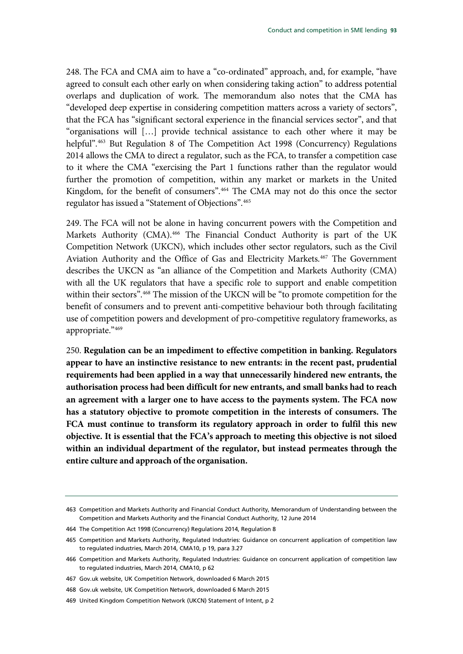248. The FCA and CMA aim to have a "co-ordinated" approach, and, for example, "have agreed to consult each other early on when considering taking action" to address potential overlaps and duplication of work. The memorandum also notes that the CMA has "developed deep expertise in considering competition matters across a variety of sectors", that the FCA has "significant sectoral experience in the financial services sector", and that "organisations will […] provide technical assistance to each other where it may be helpful".<sup>[463](#page-94-0)</sup> But Regulation 8 of The Competition Act 1998 (Concurrency) Regulations 2014 allows the CMA to direct a regulator, such as the FCA, to transfer a competition case to it where the CMA "exercising the Part 1 functions rather than the regulator would further the promotion of competition, within any market or markets in the United Kingdom, for the benefit of consumers".<sup>[464](#page-94-1)</sup> The CMA may not do this once the sector regulator has issued a "Statement of Objections".[465](#page-94-2)

249. The FCA will not be alone in having concurrent powers with the Competition and Markets Authority (CMA).<sup>466</sup> The Financial Conduct Authority is part of the UK Competition Network (UKCN), which includes other sector regulators, such as the Civil Aviation Authority and the Office of Gas and Electricity Markets. [467](#page-94-4) The Government describes the UKCN as "an alliance of the Competition and Markets Authority (CMA) with all the UK regulators that have a specific role to support and enable competition within their sectors"[.468](#page-94-5) The mission of the UKCN will be "to promote competition for the benefit of consumers and to prevent anti-competitive behaviour both through facilitating use of competition powers and development of pro-competitive regulatory frameworks, as appropriate."[469](#page-94-6)

<span id="page-94-7"></span>250. **Regulation can be an impediment to effective competition in banking. Regulators appear to have an instinctive resistance to new entrants: in the recent past, prudential requirements had been applied in a way that unnecessarily hindered new entrants, the authorisation process had been difficult for new entrants, and small banks had to reach an agreement with a larger one to have access to the payments system. The FCA now has a statutory objective to promote competition in the interests of consumers. The FCA must continue to transform its regulatory approach in order to fulfil this new objective. It is essential that the FCA's approach to meeting this objective is not siloed within an individual department of the regulator, but instead permeates through the entire culture and approach of the organisation.**

<span id="page-94-0"></span><sup>463</sup> Competition and Markets Authority and Financial Conduct Authority, Memorandum of Understanding between the Competition and Markets Authority and the Financial Conduct Authority, 12 June 2014

<span id="page-94-1"></span><sup>464</sup> The Competition Act 1998 (Concurrency) Regulations 2014, Regulation 8

<span id="page-94-2"></span><sup>465</sup> Competition and Markets Authority, Regulated Industries: Guidance on concurrent application of competition law to regulated industries, March 2014, CMA10, p 19, para 3.27

<span id="page-94-3"></span><sup>466</sup> Competition and Markets Authority, Regulated Industries: Guidance on concurrent application of competition law to regulated industries, March 2014, CMA10, p 62

<span id="page-94-4"></span><sup>467</sup> Gov.uk website, UK Competition Network, downloaded 6 March 2015

<span id="page-94-5"></span><sup>468</sup> Gov.uk website, UK Competition Network, downloaded 6 March 2015

<span id="page-94-6"></span><sup>469</sup> United Kingdom Competition Network (UKCN) Statement of Intent, p 2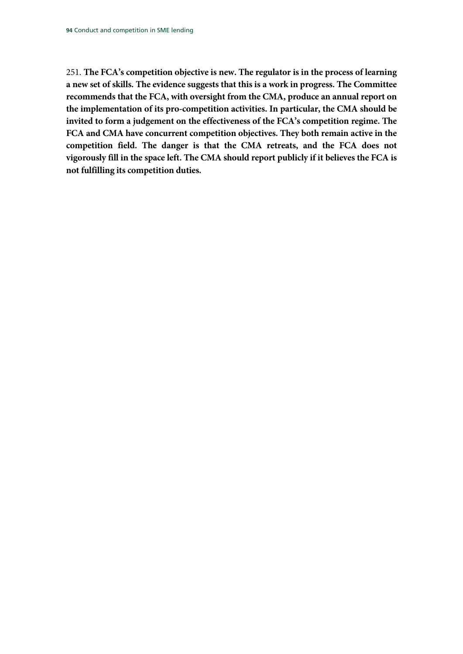<span id="page-95-0"></span>251. **The FCA's competition objective is new. The regulator is in the process of learning a new set of skills. The evidence suggests that this is a work in progress. The Committee recommends that the FCA, with oversight from the CMA, produce an annual report on the implementation of its pro-competition activities. In particular, the CMA should be invited to form a judgement on the effectiveness of the FCA's competition regime. The FCA and CMA have concurrent competition objectives. They both remain active in the competition field. The danger is that the CMA retreats, and the FCA does not vigorously fill in the space left. The CMA should report publicly if it believes the FCA is not fulfilling its competition duties.**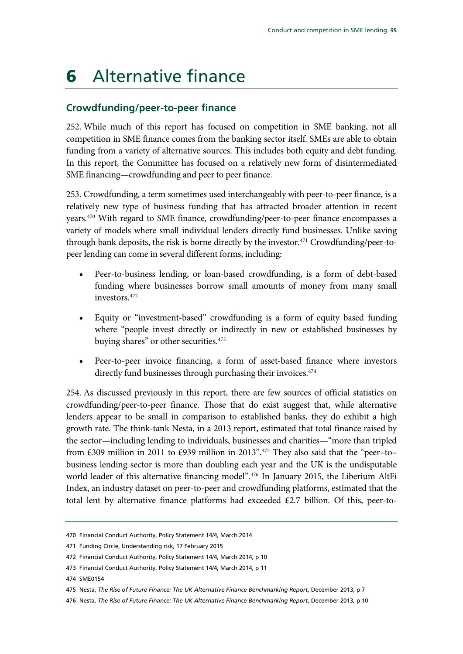# 6 Alternative finance

## **Crowdfunding/peer-to-peer finance**

252. While much of this report has focused on competition in SME banking, not all competition in SME finance comes from the banking sector itself. SMEs are able to obtain funding from a variety of alternative sources. This includes both equity and debt funding. In this report, the Committee has focused on a relatively new form of disintermediated SME financing—crowdfunding and peer to peer finance.

253. Crowdfunding, a term sometimes used interchangeably with peer-to-peer finance, is a relatively new type of business funding that has attracted broader attention in recent years.[470](#page-96-0) With regard to SME finance, crowdfunding/peer-to-peer finance encompasses a variety of models where small individual lenders directly fund businesses. Unlike saving through bank deposits, the risk is borne directly by the investor.<sup>[471](#page-96-1)</sup> Crowdfunding/peer-topeer lending can come in several different forms, including:

- Peer-to-business lending, or loan-based crowdfunding, is a form of debt-based funding where businesses borrow small amounts of money from many small investors.[472](#page-96-2)
- Equity or "investment-based" crowdfunding is a form of equity based funding where "people invest directly or indirectly in new or established businesses by buying shares" or other securities.<sup>473</sup>
- Peer-to-peer invoice financing, a form of asset-based finance where investors directly fund businesses through purchasing their invoices.<sup>[474](#page-96-4)</sup>

254. As discussed previously in this report, there are few sources of official statistics on crowdfunding/peer-to-peer finance. Those that do exist suggest that, while alternative lenders appear to be small in comparison to established banks, they do exhibit a high growth rate. The think-tank Nesta, in a 2013 report, estimated that total finance raised by the sector—including lending to individuals, businesses and charities—"more than tripled from £309 million in 2011 to £939 million in 2013".[475](#page-96-5) They also said that the "peer–to– business lending sector is more than doubling each year and the UK is the undisputable world leader of this alternative financing model"[.476](#page-96-6) In January 2015, the Liberium AltFi Index, an industry dataset on peer-to-peer and crowdfunding platforms, estimated that the total lent by alternative finance platforms had exceeded £2.7 billion. Of this, peer-to-

<span id="page-96-0"></span><sup>470</sup> Financial Conduct Authority, Policy Statement 14/4, March 2014

<span id="page-96-1"></span><sup>471</sup> Funding Circle, Understanding risk, 17 February 2015

<span id="page-96-2"></span><sup>472</sup> Financial Conduct Authority, Policy Statement 14/4, March 2014, p 10

<span id="page-96-4"></span><span id="page-96-3"></span><sup>473</sup> Financial Conduct Authority, Policy Statement 14/4, March 2014, p 11

<sup>474</sup> SME0154

<span id="page-96-5"></span><sup>475</sup> Nesta, *The Rise of Future Finance: The UK Alternative Finance Benchmarking Report*, December 2013, p 7

<span id="page-96-6"></span><sup>476</sup> Nesta, *The Rise of Future Finance: The UK Alternative Finance Benchmarking Report*, December 2013, p 10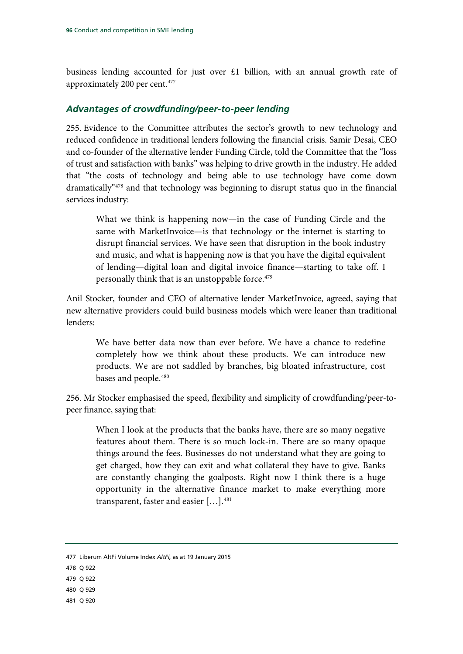business lending accounted for just over  $£1$  billion, with an annual growth rate of approximately 200 per cent.[477](#page-97-0)

#### *Advantages of crowdfunding/peer-to-peer lending*

255. Evidence to the Committee attributes the sector's growth to new technology and reduced confidence in traditional lenders following the financial crisis. Samir Desai, CEO and co-founder of the alternative lender Funding Circle, told the Committee that the "loss of trust and satisfaction with banks" was helping to drive growth in the industry. He added that "the costs of technology and being able to use technology have come down dramatically["478](#page-97-1) and that technology was beginning to disrupt status quo in the financial services industry:

What we think is happening now—in the case of Funding Circle and the same with MarketInvoice—is that technology or the internet is starting to disrupt financial services. We have seen that disruption in the book industry and music, and what is happening now is that you have the digital equivalent of lending—digital loan and digital invoice finance—starting to take off. I personally think that is an unstoppable force.<sup>479</sup>

Anil Stocker, founder and CEO of alternative lender MarketInvoice, agreed, saying that new alternative providers could build business models which were leaner than traditional lenders:

We have better data now than ever before. We have a chance to redefine completely how we think about these products. We can introduce new products. We are not saddled by branches, big bloated infrastructure, cost bases and people.<sup>[480](#page-97-3)</sup>

256. Mr Stocker emphasised the speed, flexibility and simplicity of crowdfunding/peer-topeer finance, saying that:

When I look at the products that the banks have, there are so many negative features about them. There is so much lock-in. There are so many opaque things around the fees. Businesses do not understand what they are going to get charged, how they can exit and what collateral they have to give. Banks are constantly changing the goalposts. Right now I think there is a huge opportunity in the alternative finance market to make everything more transparent, faster and easier […].[481](#page-97-4)

- <span id="page-97-1"></span>478 Q 922
- <span id="page-97-2"></span>479 Q 922
- <span id="page-97-3"></span>480 Q 929
- <span id="page-97-4"></span>481 Q 920

<span id="page-97-0"></span><sup>477</sup> Liberum AltFi Volume Index *AltFi,* as at 19 January 2015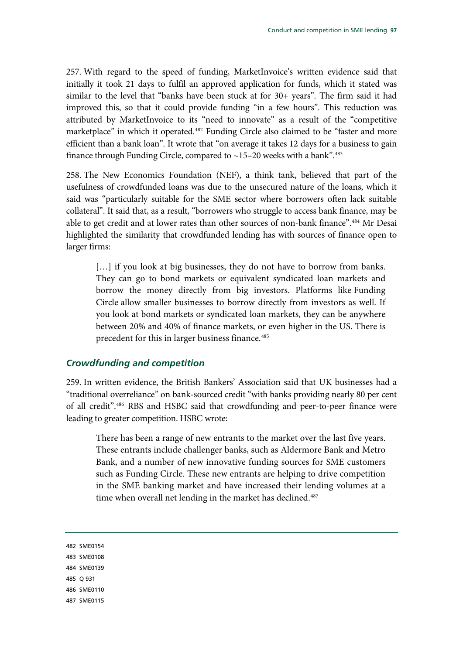257. With regard to the speed of funding, MarketInvoice's written evidence said that initially it took 21 days to fulfil an approved application for funds, which it stated was similar to the level that "banks have been stuck at for 30+ years". The firm said it had improved this, so that it could provide funding "in a few hours". This reduction was attributed by MarketInvoice to its "need to innovate" as a result of the "competitive marketplace" in which it operated.<sup>[482](#page-98-0)</sup> Funding Circle also claimed to be "faster and more efficient than a bank loan". It wrote that "on average it takes 12 days for a business to gain finance through Funding Circle, compared to  $\sim$  15–20 weeks with a bank".<sup>[483](#page-98-1)</sup>

258. The New Economics Foundation (NEF), a think tank, believed that part of the usefulness of crowdfunded loans was due to the unsecured nature of the loans, which it said was "particularly suitable for the SME sector where borrowers often lack suitable collateral". It said that, as a result, "borrowers who struggle to access bank finance, may be able to get credit and at lower rates than other sources of non-bank finance".<sup>[484](#page-98-2)</sup> Mr Desai highlighted the similarity that crowdfunded lending has with sources of finance open to larger firms:

[...] if you look at big businesses, they do not have to borrow from banks. They can go to bond markets or equivalent syndicated loan markets and borrow the money directly from big investors. Platforms like Funding Circle allow smaller businesses to borrow directly from investors as well. If you look at bond markets or syndicated loan markets, they can be anywhere between 20% and 40% of finance markets, or even higher in the US. There is precedent for this in larger business finance.<sup>[485](#page-98-3)</sup>

#### *Crowdfunding and competition*

259. In written evidence, the British Bankers' Association said that UK businesses had a "traditional overreliance" on bank-sourced credit "with banks providing nearly 80 per cent of all credit".[486](#page-98-4) RBS and HSBC said that crowdfunding and peer-to-peer finance were leading to greater competition. HSBC wrote:

There has been a range of new entrants to the market over the last five years. These entrants include challenger banks, such as Aldermore Bank and Metro Bank, and a number of new innovative funding sources for SME customers such as Funding Circle. These new entrants are helping to drive competition in the SME banking market and have increased their lending volumes at a time when overall net lending in the market has declined.<sup>487</sup>

<span id="page-98-5"></span><span id="page-98-4"></span><span id="page-98-3"></span><span id="page-98-2"></span><span id="page-98-1"></span><span id="page-98-0"></span>482 SME0154 483 SME0108 484 SME0139 485 Q 931 486 SME0110 487 SME0115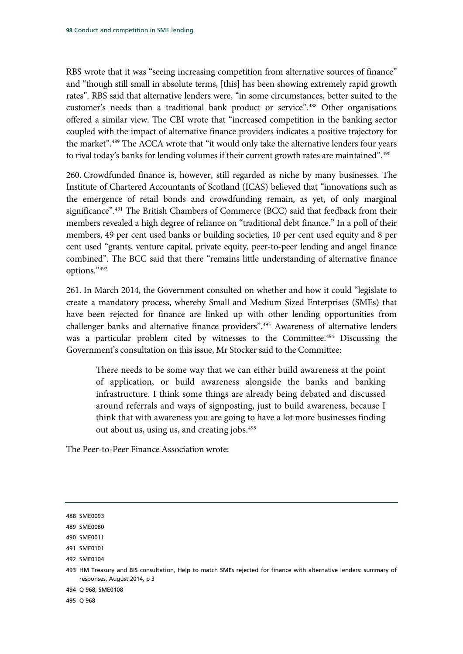RBS wrote that it was "seeing increasing competition from alternative sources of finance" and "though still small in absolute terms, [this] has been showing extremely rapid growth rates". RBS said that alternative lenders were, "in some circumstances, better suited to the customer's needs than a traditional bank product or service".[488](#page-99-0) Other organisations offered a similar view. The CBI wrote that "increased competition in the banking sector coupled with the impact of alternative finance providers indicates a positive trajectory for the market".<sup>[489](#page-99-1)</sup> The ACCA wrote that "it would only take the alternative lenders four years to rival today's banks for lending volumes if their current growth rates are maintained".<sup>[490](#page-99-2)</sup>

260. Crowdfunded finance is, however, still regarded as niche by many businesses. The Institute of Chartered Accountants of Scotland (ICAS) believed that "innovations such as the emergence of retail bonds and crowdfunding remain, as yet, of only marginal significance".<sup>[491](#page-99-3)</sup> The British Chambers of Commerce (BCC) said that feedback from their members revealed a high degree of reliance on "traditional debt finance." In a poll of their members, 49 per cent used banks or building societies, 10 per cent used equity and 8 per cent used "grants, venture capital, private equity, peer-to-peer lending and angel finance combined". The BCC said that there "remains little understanding of alternative finance options."[492](#page-99-4)

261. In March 2014, the Government consulted on whether and how it could "legislate to create a mandatory process, whereby Small and Medium Sized Enterprises (SMEs) that have been rejected for finance are linked up with other lending opportunities from challenger banks and alternative finance providers".<sup>493</sup> Awareness of alternative lenders was a particular problem cited by witnesses to the Committee.<sup>[494](#page-99-6)</sup> Discussing the Government's consultation on this issue, Mr Stocker said to the Committee:

There needs to be some way that we can either build awareness at the point of application, or build awareness alongside the banks and banking infrastructure. I think some things are already being debated and discussed around referrals and ways of signposting, just to build awareness, because I think that with awareness you are going to have a lot more businesses finding out about us, using us, and creating jobs.[495](#page-99-7)

The Peer-to-Peer Finance Association wrote:

<span id="page-99-3"></span>491 SME0101

<span id="page-99-6"></span>494 Q 968; SME0108

<span id="page-99-7"></span>495 Q 968

<span id="page-99-0"></span><sup>488</sup> SME0093

<span id="page-99-1"></span><sup>489</sup> SME0080

<span id="page-99-2"></span><sup>490</sup> SME0011

<span id="page-99-4"></span><sup>492</sup> SME0104

<span id="page-99-5"></span><sup>493</sup> HM Treasury and BIS consultation, Help to match SMEs rejected for finance with alternative lenders: summary of responses, August 2014, p 3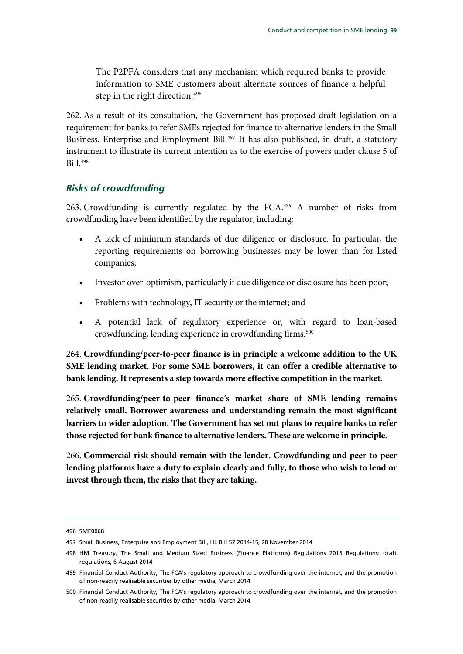The P2PFA considers that any mechanism which required banks to provide information to SME customers about alternate sources of finance a helpful step in the right direction.<sup>[496](#page-100-0)</sup>

262. As a result of its consultation, the Government has proposed draft legislation on a requirement for banks to refer SMEs rejected for finance to alternative lenders in the Small Business, Enterprise and Employment Bill.<sup>[497](#page-100-1)</sup> It has also published, in draft, a statutory instrument to illustrate its current intention as to the exercise of powers under clause 5 of Bill.[498](#page-100-2)

## *Risks of crowdfunding*

263. Crowdfunding is currently regulated by the FCA.[499](#page-100-3) A number of risks from crowdfunding have been identified by the regulator, including:

- A lack of minimum standards of due diligence or disclosure. In particular, the reporting requirements on borrowing businesses may be lower than for listed companies;
- Investor over-optimism, particularly if due diligence or disclosure has been poor;
- Problems with technology, IT security or the internet; and
- A potential lack of regulatory experience or, with regard to loan-based crowdfunding, lending experience in crowdfunding firms.<sup>500</sup>

<span id="page-100-5"></span>264. **Crowdfunding/peer-to-peer finance is in principle a welcome addition to the UK SME lending market. For some SME borrowers, it can offer a credible alternative to bank lending. It represents a step towards more effective competition in the market.**

<span id="page-100-6"></span>265. **Crowdfunding/peer-to-peer finance's market share of SME lending remains relatively small. Borrower awareness and understanding remain the most significant barriers to wider adoption. The Government has set out plans to require banks to refer those rejected for bank finance to alternative lenders. These are welcome in principle.**

<span id="page-100-7"></span>266. **Commercial risk should remain with the lender. Crowdfunding and peer-to-peer lending platforms have a duty to explain clearly and fully, to those who wish to lend or invest through them, the risks that they are taking.**

<span id="page-100-0"></span><sup>496</sup> SME0068

<span id="page-100-1"></span><sup>497</sup> Small Business, Enterprise and Employment Bill, HL Bill 57 2014-15, 20 November 2014

<span id="page-100-2"></span><sup>498</sup> HM Treasury, The Small and Medium Sized Business (Finance Platforms) Regulations 2015 Regulations: draft regulations, 6 August 2014

<span id="page-100-3"></span><sup>499</sup> Financial Conduct Authority, The FCA's regulatory approach to crowdfunding over the internet, and the promotion of non-readily realisable securities by other media, March 2014

<span id="page-100-4"></span><sup>500</sup> Financial Conduct Authority, The FCA's regulatory approach to crowdfunding over the internet, and the promotion of non-readily realisable securities by other media, March 2014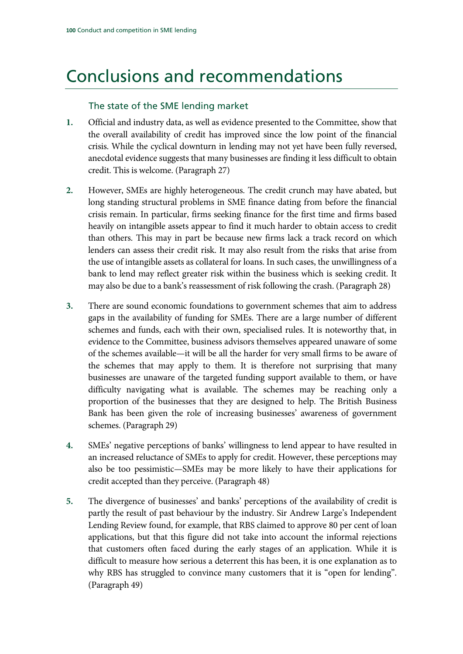# Conclusions and recommendations

## The state of the SME lending market

- **1.** [Official and industry data, as well as evidence presented to the Committee, show that](#page-15-0)  [the overall availability of credit has improved since the low point of the financial](#page-15-0)  [crisis. While the cyclical downturn in lending may not yet have been fully reversed,](#page-15-0)  [anecdotal evidence suggests that many businesses are finding it less difficult to obtain](#page-15-0)  [credit. This is welcome.](#page-15-0) (Paragrap[h 27\)](#page-15-0)
- **2.** [However, SMEs are highly heterogeneous. The credit crunch may have abated, but](#page-15-1)  [long standing structural problems in SME finance dating from before the financial](#page-15-1)  [crisis remain. In particular, firms seeking finance for the first time and firms based](#page-15-1)  [heavily on intangible assets appear to find it much harder to obtain access to credit](#page-15-1)  [than others. This may in part be because new firms lack a track record on which](#page-15-1)  [lenders can assess their credit risk. It may also result from the risks that arise from](#page-15-1)  [the use of intangible assets as collateral for loans. In such cases, the unwillingness of a](#page-15-1)  [bank to lend may reflect greater risk within the business which is seeking credit. I](#page-15-1)t may also be due to a bank's reassessment of risk following the crash. (Paragraph [28\)](#page-15-1)
- **3.** [There are sound economic foundations to government schemes that aim to address](#page-16-0)  [gaps in the availability of funding for SMEs. There are a large number of different](#page-16-0)  [schemes and funds, each with their own, specialised rules. It is noteworthy that, in](#page-16-0)  [evidence to the Committee, business advisors themselves appeared unaware of some](#page-16-0)  [of the schemes available—it will be all the harder for very small firms to be aware of](#page-16-0)  [the schemes that may apply to them. It is therefore not surprising that many](#page-16-0)  [businesses are unaware of the targeted funding support available to them, or have](#page-16-0)  [difficulty navigating what is available. The schemes may be reaching only a](#page-16-0)  [proportion of the businesses that they are designed to help. The British Business](#page-16-0)  [Bank has been given the role of increasing businesses' awareness of government](#page-16-0)  [schemes. \(](#page-16-0)Paragraph [29\)](#page-16-0)
- **4.** [SMEs' negative perceptions of banks' willingness to lend appear to have resulted in](#page-23-0)  [an increased reluctance of SMEs to apply for credit. However, these perceptions may](#page-23-0)  [also be too pessimistic—SMEs may be more likely to have their applications for](#page-23-0)  [credit accepted than they perceive.](#page-23-0) (Paragrap[h 48\)](#page-23-0)
- **5.** [The divergence of businesses' and banks' perceptions of the availability of credit is](#page-23-1)  [partly the result of past behaviour by the industry. Sir Andrew Large's Independent](#page-23-1)  [Lending Review found, for example, that RBS claimed to approve 80 per cent of loan](#page-23-1)  [applications, but that this figure did not take into account the informal rejections](#page-23-1)  [that customers often faced during the early stages of an application. While it is](#page-23-1)  [difficult to measure how serious a deterrent this has been, it is one explanation as to](#page-23-1)  [why RBS has struggled to convince many customers that it is "open for lending".](#page-23-1) (Paragrap[h 49\)](#page-23-1)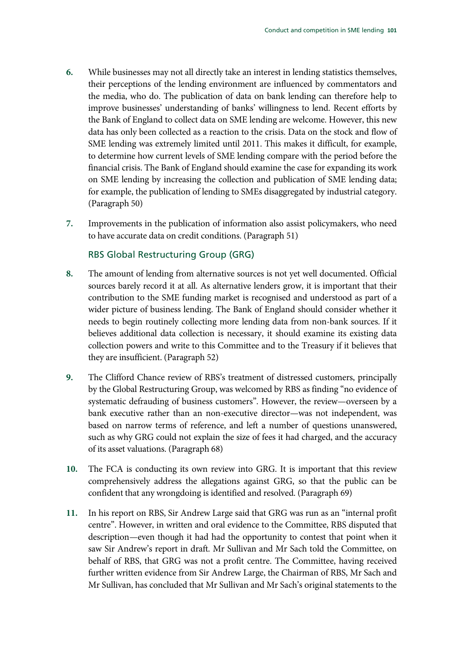- **6.** [While businesses may not all directly take an interest in lending statistics themselves,](#page-23-2)  [their perceptions of the lending environment are influenced by commentators and](#page-23-2)  [the media, who do. The publication of data on bank lending can therefore help to](#page-23-2)  [improve businesses' understanding of banks' willingness to lend. Recent efforts by](#page-23-2)  [the Bank of England to collect data on SME lending are welcome. However, this new](#page-23-2)  [data has only been collected as a reaction to the crisis. Data on the stock and](#page-23-2) flow of [SME lending was extremely limited until 2011. This makes it difficult, for example,](#page-23-2)  [to determine how current levels of SME lending compare with the period before the](#page-23-2)  [financial crisis. The Bank of England should examine the case for expanding its work](#page-23-2)  [on SME lending by increasing the collection and publication of SME lending data;](#page-23-2)  [for example, the publication of lending to SMEs disaggregated by industrial category.](#page-23-2) (Paragrap[h 50\)](#page-23-2)
- **7.** [Improvements in the publication of information also assist policymakers, who need](#page-23-3)  [to have accurate data on credit conditions.](#page-23-3) (Paragraph [51\)](#page-23-3)

## RBS Global Restructuring Group (GRG)

- **8.** [The amount of lending from alternative sources is not yet well documented. Official](#page-23-4)  [sources barely record it at all. As alternative lenders grow, it is important that their](#page-23-4)  [contribution to the SME funding market is recognised and understood as part of a](#page-23-4)  [wider picture of business lending. The Bank](#page-23-4) of England should consider whether it [needs to begin routinely collecting more lending data from non-bank sources. If it](#page-23-4)  [believes additional data collection is necessary, it should examine its existing data](#page-23-4)  [collection powers and write to this Committee and to the Treasury if it believes that](#page-23-4)  [they are insufficient.](#page-23-4) (Paragraph [52\)](#page-23-4)
- **9.** [The Clifford Chance review of RBS's treatment of distressed customers, principally](#page-28-0)  [by the Global Restructuring Group, was welcomed by RBS as finding "no evidence of](#page-28-0)  [systematic defrauding of business customers". However, the review—overseen by a](#page-28-0)  [bank executive rather than an non-executive director—was not independent, was](#page-28-0)  [based on narrow terms of reference, and left a number of questions unanswered,](#page-28-0)  [such as why GRG could not explain the size of fees it had charged, and the accuracy](#page-28-0)  [of its asset valuations.](#page-28-0) (Paragrap[h 68\)](#page-28-0)
- **10.** [The FCA is conducting its own review into GRG. It is important that this review](#page-28-1)  [comprehensively address the allegations against GRG, so that the public can be](#page-28-1)  [confident that any wrongdoing is identified and resolved.](#page-28-1) (Paragraph [69\)](#page-28-1)
- **11.** [In his report on RBS, Sir Andrew Large said that GRG was run as an "internal profit](#page-32-0)  [centre". However, in written and oral evidence to the Committee, RBS disputed that](#page-32-0)  description—even though [it had had the opportunity to contest that point when it](#page-32-0)  [saw Sir Andrew's report in draft. Mr Sullivan and Mr Sach told the Committee, on](#page-32-0)  [behalf of RBS, that GRG was not a profit centre. The Committee, having received](#page-32-0)  [further written evidence from Sir Andrew Large, the Chairman of RBS, Mr Sach and](#page-32-0)  [Mr Sullivan, has concluded that Mr Sullivan and Mr Sach's original statements to the](#page-32-0)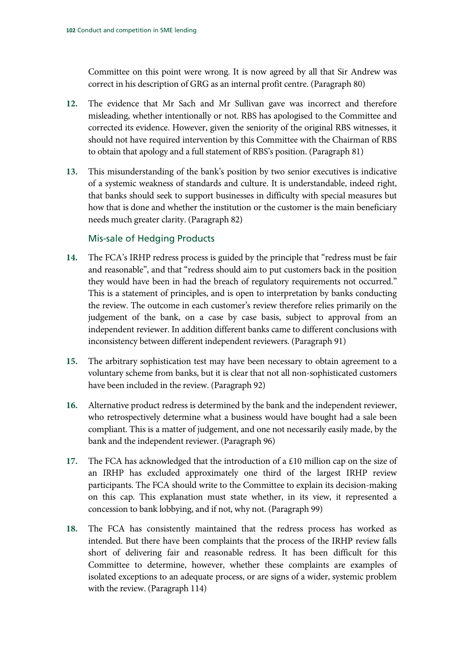[Committee on this point were wrong. It is now agreed by all that Sir Andrew was](#page-32-0)  [correct in his description of GRG as an internal profit centre.](#page-32-0) (Paragrap[h 80\)](#page-32-0)

- **12.** [The evidence that Mr Sach and Mr Sullivan gave was incorrect and therefore](#page-32-1)  [misleading, whether intentionally or not. RBS has apologised to the Committee and](#page-32-1)  [corrected its evidence. However, given the seniority of the original RBS witnesses, it](#page-32-1)  [should not have required intervention by this Committee with the Chairman of RBS](#page-32-1)  [to obtain that apology and a full statement of RBS's position.](#page-32-1) (Paragrap[h 81\)](#page-32-1)
- **13.** [This misunderstanding of the bank's position by two senior executives is indicative](#page-32-2)  [of a systemic weakness of standards and culture. It is understandable, indeed right,](#page-32-2)  [that banks should seek to support businesses in difficulty with special measures but](#page-32-2)  [how that is done and whether the institution or the customer is the main beneficiary](#page-32-2)  [needs much greater clarity.](#page-32-2) (Paragraph [82\)](#page-32-2)

## Mis-sale of Hedging Products

- **14.** [The FCA's IRHP redress process is guided by the principle that "redress must be fair](#page-37-0)  [and reasonable", and that "redress should aim to put customers back in the position](#page-37-0)  [they would have been in had the breach of regulatory requirements not occurred."](#page-37-0)  [This is a statement of principles, and is open to interpretation by banks conducting](#page-37-0)  [the review. The outcome in each customer's review therefore relies primarily on the](#page-37-0)  [judgement of the bank, on a case by case basis, subject to approval from an](#page-37-0)  [independent reviewer. I](#page-37-0)n addition different banks came to different conclusions with inconsistency between different independent reviewers. (Paragraph [91\)](#page-37-0)
- **15.** [The arbitrary sophistication test may have been necessary to obtain agreement to a](#page-38-0)  [voluntary scheme from banks, but it is clear that not all non-sophisticated customers](#page-38-0)  [have been included in the review.](#page-38-0) (Paragraph [92\)](#page-38-0)
- **16.** [Alternative product redress is determined by the bank and the independent reviewer,](#page-39-0)  [who retrospectively determine what a business would have bought had a sale been](#page-39-0)  [compliant. This is a matter of judgement, and one not necessarily easily made, by the](#page-39-0)  [bank and the independent reviewer.](#page-39-0) (Paragrap[h 96\)](#page-39-0)
- **17.** [The FCA has acknowledged that the introduction of a £10 million cap on the size of](#page-41-0)  [an IRHP has excluded approximately one third of the largest IRHP review](#page-41-0)  [participants. The FCA should write to the Committee to explain its decision-making](#page-41-0)  [on this cap. This explanation must state whether, in its view, it represented a](#page-41-0)  [concession to bank lobbying, and if not, why not.](#page-41-0) (Paragraph [99\)](#page-41-0)
- **18.** [The FCA has consistently maintained that the redress process has worked as](#page-47-0)  [intended. But there have been complaints that the process of the IRHP review falls](#page-47-0)  short of [delivering fair and reasonable redress. It has been difficult for this](#page-47-0)  [Committee to determine, however, whether these complaints are examples of](#page-47-0)  [isolated exceptions to an adequate process, or are signs of a wider, systemic problem](#page-47-0)  [with the review.](#page-47-0) (Paragraph [114\)](#page-47-0)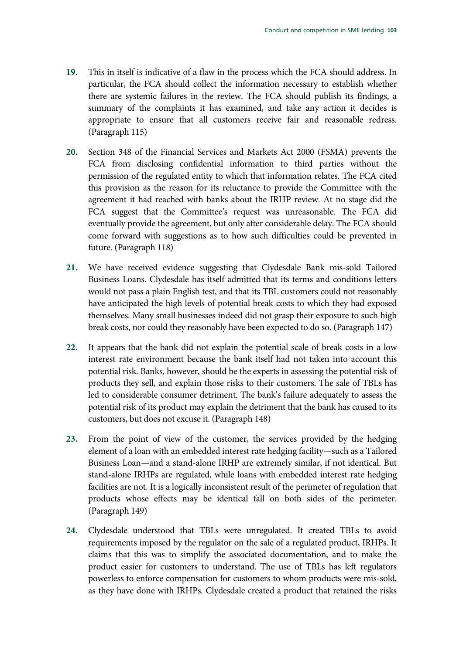- **19.** [This in itself is indicative of a flaw in the process which the FCA should address. In](#page-47-1)  [particular, the FCA should collect the information necessary to establish whether](#page-47-1)  [there are systemic failures in the review. The FCA should publish its findings, a](#page-47-1)  [summary of the complaints it has examined, and take any action it decides is](#page-47-1)  [appropriate to ensure that all customers receive fair and reasonable redress.](#page-47-1) (Paragrap[h 115\)](#page-47-1)
- **20.** [Section 348 of the Financial Services and Markets Act 2000 \(FSMA\) prevents the](#page-48-0)  [FCA from disclosing confidential information to third parties without the](#page-48-0)  [permission of the regulated entity to which that information relates. The FCA cited](#page-48-0)  [this provision as the reason for its reluctance to provide the Committee with the](#page-48-0)  [agreement it had reached with banks about the IRHP review. At no stage did the](#page-48-0)  [FCA suggest that the Committee's request was unreasonable. The FCA did](#page-48-0)  [eventually provide the agreement, but only](#page-48-0) after considerable delay. The FCA should [come forward with suggestions as to how such difficulties could be prevented in](#page-48-0)  [future.](#page-48-0) (Paragraph [118\)](#page-48-0)
- **21.** [We have received evidence suggesting that Clydesdale Bank mis-sold Tailored](#page-58-0)  [Business Loans. Clydesdale has itself admitted that its terms and conditions letters](#page-58-0)  [would not pass a plain English test, and that its TBL customers could not reasonably](#page-58-0)  [have anticipated the high levels of potential break costs to which they had exposed](#page-58-0)  [themselves. Many small businesses indeed did not grasp their exposure to such high](#page-58-0)  [break costs, nor could they reasonably have been expected to do so.](#page-58-0) (Paragrap[h 147\)](#page-58-0)
- **22.** It appears that the bank did not explain [the potential scale of break costs in a low](#page-58-1)  [interest rate environment because the bank itself had not taken into account this](#page-58-1)  [potential risk. Banks, however, should be the experts in assessing the potential risk of](#page-58-1)  [products they sell, and explain those risks to their customers. The sale of TBLs has](#page-58-1)  [led to considerable consumer detriment. The bank's failure adequately to assess the](#page-58-1)  [potential risk of its product may explain the detriment that the bank has caused to its](#page-58-1)  [customers, but does not excuse it.](#page-58-1) (Paragrap[h 148\)](#page-58-1)
- **23.** [From the point of view of the customer, the services provided by the hedging](#page-58-2)  [element of a loan with an embedded interest rate hedging facility—such as a Tailored](#page-58-2)  [Business Loan—and a stand-alone IRHP are extremely similar, if not identical. But](#page-58-2)  [stand-alone IRHPs are regulated, while loans with embedded interest rate hedging](#page-58-2)  [facilities are not. It is a logically inconsistent result of the perimeter of regulation that](#page-58-2)  [products whose effects may be identical fall on both sides of the perimeter.](#page-58-2) (Paragrap[h 149\)](#page-58-2)
- **24.** [Clydesdale understood that TBLs were unregulated. It created TBLs to avoid](#page-59-0)  [requirements imposed by the regulator on the sale of a regulated product, IRHPs. It](#page-59-0)  [claims that this was to simplify the associated documentation, and to make the](#page-59-0)  [product easier for customers to understand. The use of TBLs has left regulators](#page-59-0)  [powerless to enforce compensation for customers to whom products were mis-sold,](#page-59-0)  [as they have done with IRHPs. Clydesdale created a product that retained the risks](#page-59-0)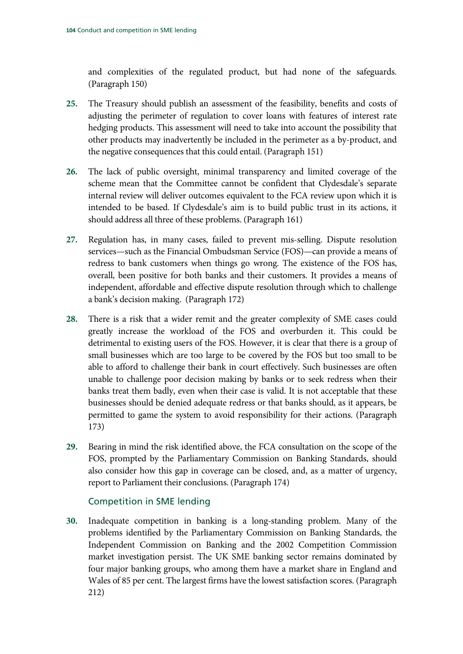[and complexities of the regulated product, but had none of the safeguards.](#page-59-0) (Paragrap[h 150\)](#page-59-0)

- **25.** [The Treasury should publish an assessment of the feasibility, benefits and costs of](#page-59-1)  [adjusting the perimeter of regulation to cover loans with features of interest rate](#page-59-1)  [hedging products. This assessment will need to take into account the possibility that](#page-59-1)  [other products may inadvertently be included in the perimeter as a by-product, and](#page-59-1)  [the negative consequences that this could entail.](#page-59-1) (Paragrap[h 151\)](#page-59-1)
- **26.** The lack of public oversight, minimal transparency and limited coverage of the scheme mean that the Committee cannot be confident that Clydesdale's separate internal review will deliver outcomes equivalent to the FCA review upon which it is intended to be based. If Clydesdale's aim is to build public trust in its actions, it should address all three of these problems. (Paragraph 161)
- **27.** [Regulation has, in many cases, failed to prevent mis-selling. Dispute resolution](#page-64-0)  [services—such as the Financial Ombudsman Service \(FOS\)—can provide a means of](#page-64-0)  [redress to bank customers when things go wrong. The existence of the FOS has,](#page-64-0)  [overall, been positive for both banks and their customers. It provides a means of](#page-64-0)  [independent, affordable and effective dispute resolution through which to challenge](#page-64-0)  [a bank's decision making.](#page-64-0) (Paragraph [172\)](#page-64-0)
- **28.** [There is a risk that a wider remit and the greater complexity of SME cases could](#page-65-0)  [greatly increase the workload of the FOS and overburden it. This could be](#page-65-0)  [detrimental to existing users of the FOS. However, it is clear that there is a group of](#page-65-0)  [small businesses which are too large to be covered by the FOS but too small to be](#page-65-0)  [able to afford to challenge their bank in court effectively. Such businesses are often](#page-65-0)  [unable to challenge poor decision making by banks or to seek redress when their](#page-65-0)  [banks treat them badly, even when their case is valid. It is not acceptable that these](#page-65-0)  [businesses should be denied adequate redress or that banks should, as it](#page-65-0) appears, be [permitted to game the system to avoid responsibility for their actions.](#page-65-0) (Paragraph [173\)](#page-65-0)
- **29.** [Bearing in mind the risk identified above, the FCA consultation on the scope of the](#page-65-1)  [FOS, prompted by the Parliamentary Commission on Banking Standards, should](#page-65-1)  [also consider how this gap in coverage can be closed, and, as a matter of urgency,](#page-65-1)  [report to Parliament their conclusions.](#page-65-1) (Paragrap[h 174\)](#page-65-1)

## Competition in SME lending

**30.** [Inadequate competition in banking is a long-standing problem. Many of the](#page-81-4)  [problems identified by the Parliamentary Commission on Banking Standards, the](#page-81-4)  [Independent Commission on Banking and the 2002 Competition Commission](#page-81-4)  [market investigation persist. The UK SME banking sector remains dominated by](#page-81-4)  [four major banking groups, who among them have a market share in England and](#page-81-4)  [Wales of 85 per cent. The largest firms have the lowest satisfaction scores.](#page-81-4) (Paragraph [212\)](#page-81-4)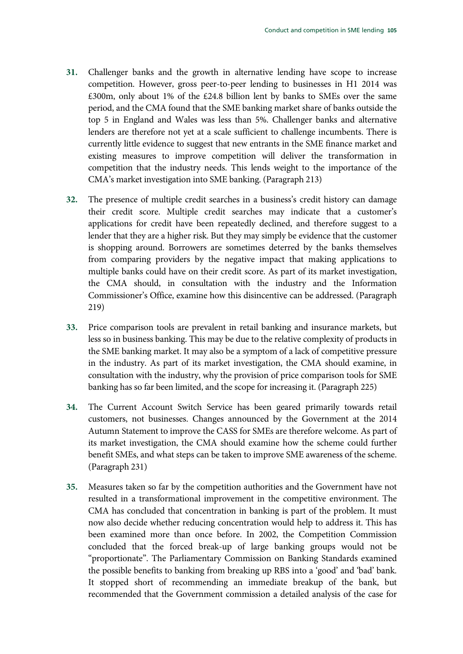- **31.** [Challenger banks and the growth in alternative lending have scope to increase](#page-82-4)  [competition. However, gross peer-to-peer lending to businesses in H1 2014 was](#page-82-4)  [£300m, only about 1% of the £24.8 billion lent by banks to SMEs over the same](#page-82-4)  [period, and the CMA found that the SME banking market share of banks outside the](#page-82-4)  [top 5 in England and Wales was less than 5%. Challenger banks and alternative](#page-82-4)  [lenders are therefore not yet at a scale sufficient to challenge incumbents. There is](#page-82-4)  [currently little evidence to suggest that new entrants in the SME finance market and](#page-82-4)  [existing measures to improve competition will deliver the transformation in](#page-82-4)  [competition that the industry needs. This lends weight to the importance of the](#page-82-4)  [CMA's market investigation into SME banking.](#page-82-4) (Paragrap[h 213\)](#page-82-4)
- **32.** [The presence of multiple credit searches in a business's credit history can damage](#page-83-7)  [their credit score. Multiple credit searches may indicate that a customer's](#page-83-7)  [applications for credit have been repeatedly declined, and therefore suggest to a](#page-83-7)  [lender that they are a higher risk. But they may simply be evidence that the customer](#page-83-7)  [is shopping around. Borrowers are sometimes deterred by the banks themselves](#page-83-7)  [from comparing providers by the negative impact that](#page-83-7) making applications to [multiple banks could have on their credit score. As part of its market investigation,](#page-83-7)  [the CMA should, in consultation with the industry and the Information](#page-83-7)  [Commissioner's Office, examine how this disincentive can be addressed.](#page-83-7) (Paragraph [219\)](#page-83-7)
- **33.** [Price comparison tools are prevalent in retail banking and insurance markets, but](#page-85-3)  [less so in business banking. This may be due to the relative complexity of products in](#page-85-3)  [the SME banking market. It may also be a symptom of a lack of competitive pressure](#page-85-3)  [in the industry. As part of its market investigation, the CMA should examine, in](#page-85-3)  [consultation with the industry, why the provision of price comparison tools for SME](#page-85-3)  [banking has so far been limited, and the scope for increasing it.](#page-85-3) (Paragraph [225\)](#page-85-3)
- **34.** [The Current Account Switch Service has been geared primarily towards retail](#page-86-6)  [customers, not businesses. Changes announced by the Government at the 2014](#page-86-6)  [Autumn Statement to improve the CASS for SMEs are therefore welcome. As part of](#page-86-6)  [its market investigation, the CMA should examine how the scheme could further](#page-86-6)  [benefit SMEs, and what steps can be taken to improve SME awareness of the scheme.](#page-86-6) (Paragrap[h 231\)](#page-86-6)
- **35.** [Measures taken so far by the competition authorities and the Government have not](#page-89-5)  [resulted in a transformational improvement in the competitive environment. The](#page-89-5)  [CMA has concluded that concentration in banking is part of the problem. It must](#page-89-5)  [now also decide whether reducing concentration would help to address it. This has](#page-89-5)  [been examined more than once before. In 2002, the Competition Commission](#page-89-5)  [concluded that the forced break-up of large banking groups would not be](#page-89-5)  ["proportionate". The Parliamentary Commission on Banking Standards examined](#page-89-5)  [the possible benefits to banking from breaking up RBS into a 'good' and 'bad' bank.](#page-89-5)  [It stopped short of recommending an immediate breakup of the bank, but](#page-89-5)  [recommended that the Government commission a detailed analysis of the case for](#page-89-5)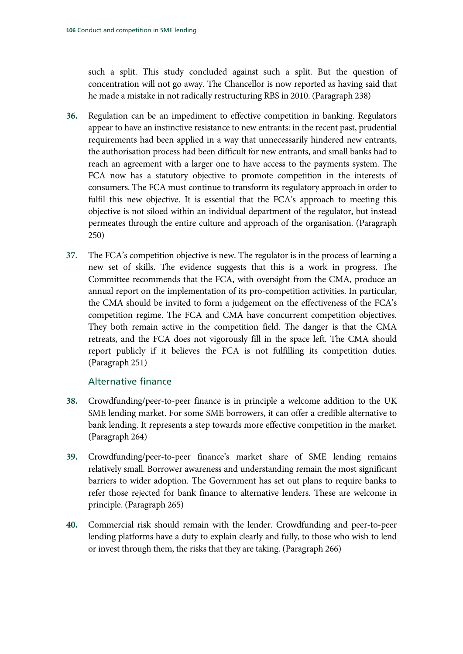[such a split. This study concluded against such a split. But the question of](#page-89-5)  [concentration will not go away. The Chancellor is now reported as having said that](#page-89-5)  [he made a mistake in not radically restructuring RBS in 2010.](#page-89-5) (Paragrap[h 238\)](#page-89-5)

- **36.** [Regulation can be an impediment to effective competition in banking. Regulators](#page-94-7)  [appear to have an instinctive resistance to new entrants: in the recent past, prudential](#page-94-7)  [requirements had been applied in a way that unnecessarily hindered new entrants,](#page-94-7)  [the authorisation process had been difficult for new entrants, and small banks had to](#page-94-7)  [reach an agreement with a larger one to have access to the payments system. The](#page-94-7)  [FCA now has a statutory objective to promote competition in the interests of](#page-94-7)  [consumers. The FCA must continue to transform its regulatory approach in order to](#page-94-7)  [fulfil this new objective. It is essential that the FCA's approach to meeting this](#page-94-7)  [objective is not siloed within an individual department of the regulator, but instead](#page-94-7)  [permeates through the entire culture and approach of the organisation.](#page-94-7) (Paragraph [250\)](#page-94-7)
- **37.** [The FCA's competition objective is new. The regulator is in the process of learning a](#page-95-0)  [new set of skills. The evidence suggests that this is a work in progress. The](#page-95-0)  [Committee recommends that the FCA, with oversight from the CMA, produce an](#page-95-0)  [annual report on the implementation of its pro-competition activities. In particular,](#page-95-0)  [the CMA should be invited to form a judgement on the effectiveness of the FCA's](#page-95-0)  [competition regime. The FCA and CMA have concurrent competition objectives.](#page-95-0)  [They both remain active in the competition field. The](#page-95-0) danger is that the CMA [retreats, and the FCA does not vigorously fill in the space left. The CMA should](#page-95-0)  [report publicly if it believes the FCA is not fulfilling its competition duties.](#page-95-0) (Paragraph [251\)](#page-95-0)

## Alternative finance

- **38.** [Crowdfunding/peer-to-peer finance is in principle a welcome addition to the UK](#page-100-5)  [SME lending market. For some SME borrowers, it can offer a credible alternative to](#page-100-5)  [bank lending. It represents a step towards more effective competition in the market.](#page-100-5) (Paragrap[h 264\)](#page-100-5)
- **39.** [Crowdfunding/peer-to-peer finance's market share of SME lending remains](#page-100-6)  [relatively small. Borrower awareness and understanding remain the most significant](#page-100-6)  [barriers to wider adoption. The Government has set out plans to require banks to](#page-100-6)  [refer those rejected for bank finance to alternative lenders. These are welcome in](#page-100-6)  [principle.](#page-100-6) (Paragrap[h 265\)](#page-100-6)
- **40.** [Commercial risk should remain with the lender. Crowdfunding and peer-to-peer](#page-100-7)  [lending platforms have a duty to explain clearly and fully, to those who wish to lend](#page-100-7)  or invest through them, [the risks that they are taking.](#page-100-7) (Paragraph [266\)](#page-100-7)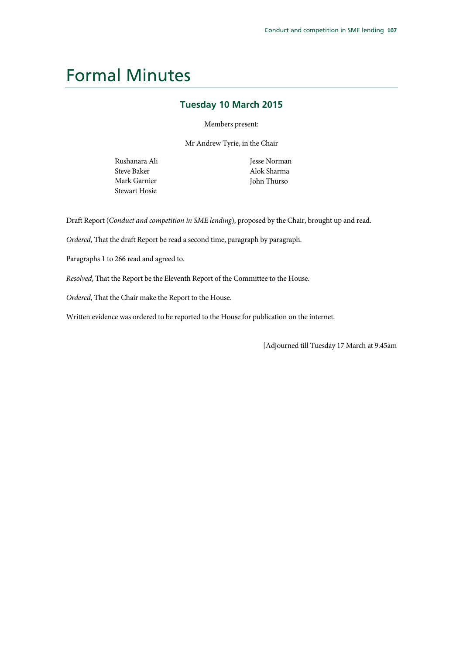## Formal Minutes

### **Tuesday 10 March 2015**

Members present:

Mr Andrew Tyrie, in the Chair

Rushanara Ali Steve Baker Mark Garnier Stewart Hosie

Jesse Norman Alok Sharma John Thurso

Draft Report (*Conduct and competition in SME lending*), proposed by the Chair, brought up and read.

*Ordered*, That the draft Report be read a second time, paragraph by paragraph.

Paragraphs 1 to 266 read and agreed to.

*Resolved*, That the Report be the Eleventh Report of the Committee to the House.

*Ordered*, That the Chair make the Report to the House.

Written evidence was ordered to be reported to the House for publication on the internet.

[Adjourned till Tuesday 17 March at 9.45am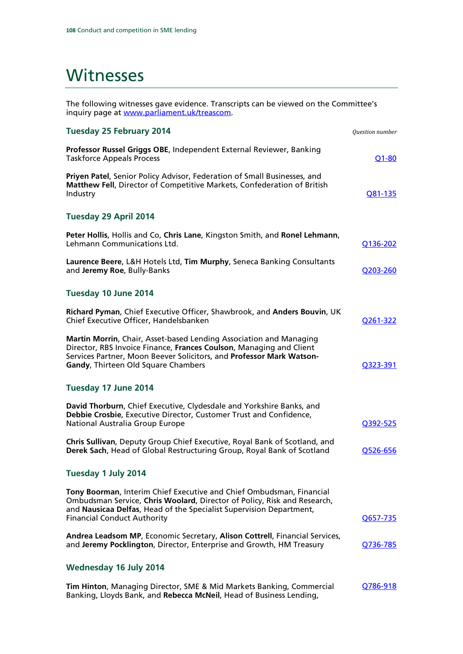## Witnesses

The following witnesses gave evidence. Transcripts can be viewed on the Committee's inquiry page at <u>www.parliament.uk/treascom</u>.

| <b>Tuesday 25 February 2014</b>                                                                                                                                                                                                                               | Question number |
|---------------------------------------------------------------------------------------------------------------------------------------------------------------------------------------------------------------------------------------------------------------|-----------------|
| Professor Russel Griggs OBE, Independent External Reviewer, Banking<br><b>Taskforce Appeals Process</b>                                                                                                                                                       | $Q1 - 80$       |
| Priyen Patel, Senior Policy Advisor, Federation of Small Businesses, and<br>Matthew Fell, Director of Competitive Markets, Confederation of British<br>Industry                                                                                               | Q81-135         |
| Tuesday 29 April 2014                                                                                                                                                                                                                                         |                 |
| Peter Hollis, Hollis and Co, Chris Lane, Kingston Smith, and Ronel Lehmann,<br>Lehmann Communications Ltd.                                                                                                                                                    | Q136-202        |
| Laurence Beere, L&H Hotels Ltd, Tim Murphy, Seneca Banking Consultants<br>and Jeremy Roe, Bully-Banks                                                                                                                                                         | O203-260        |
| Tuesday 10 June 2014                                                                                                                                                                                                                                          |                 |
| Richard Pyman, Chief Executive Officer, Shawbrook, and Anders Bouvin, UK<br>Chief Executive Officer, Handelsbanken                                                                                                                                            | Q261-322        |
| Martin Morrin, Chair, Asset-based Lending Association and Managing<br>Director, RBS Invoice Finance, Frances Coulson, Managing and Client<br>Services Partner, Moon Beever Solicitors, and Professor Mark Watson-<br>Gandy, Thirteen Old Square Chambers      | O323-391        |
| Tuesday 17 June 2014                                                                                                                                                                                                                                          |                 |
| David Thorburn, Chief Executive, Clydesdale and Yorkshire Banks, and<br>Debbie Crosbie, Executive Director, Customer Trust and Confidence,<br>National Australia Group Europe                                                                                 | Q392-525        |
| Chris Sullivan, Deputy Group Chief Executive, Royal Bank of Scotland, and<br>Derek Sach, Head of Global Restructuring Group, Royal Bank of Scotland                                                                                                           | Q526-656        |
| Tuesday 1 July 2014                                                                                                                                                                                                                                           |                 |
| Tony Boorman, Interim Chief Executive and Chief Ombudsman, Financial<br>Ombudsman Service, Chris Woolard, Director of Policy, Risk and Research,<br>and Nausicaa Delfas, Head of the Specialist Supervision Department,<br><b>Financial Conduct Authority</b> | Q657-735        |
| Andrea Leadsom MP, Economic Secretary, Alison Cottrell, Financial Services,<br>and Jeremy Pocklington, Director, Enterprise and Growth, HM Treasury                                                                                                           | Q736-785        |
| Wednesday 16 July 2014                                                                                                                                                                                                                                        |                 |
| Tim Hinton, Managing Director, SME & Mid Markets Banking, Commercial<br>Banking, Lloyds Bank, and Rebecca McNeil, Head of Business Lending,                                                                                                                   | Q786-918        |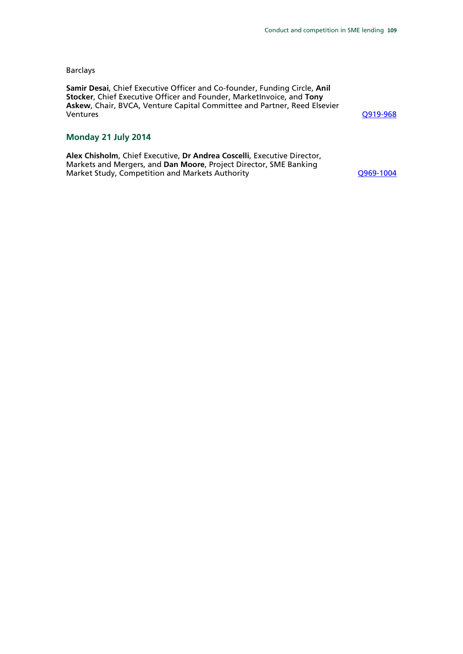#### Barclays

**Samir Desai**, Chief Executive Officer and Co-founder, Funding Circle, **Anil Stocker**, Chief Executive Officer and Founder, MarketInvoice, and **Tony Askew**, Chair, BVCA, Venture Capital Committee and Partner, Reed Elsevier

[Q919-968](http://data.parliament.uk/writtenevidence/committeeevidence.svc/evidencedocument/treasury-committee/sme-lending/oral/11494.html)

#### **Monday 21 July 2014**

**Alex Chisholm**, Chief Executive, **Dr Andrea Coscelli**, Executive Director, Markets and Mergers, and **Dan Moore**, Project Director, SME Banking Market Study, Competition and Markets Authority Market Computer COSS-1004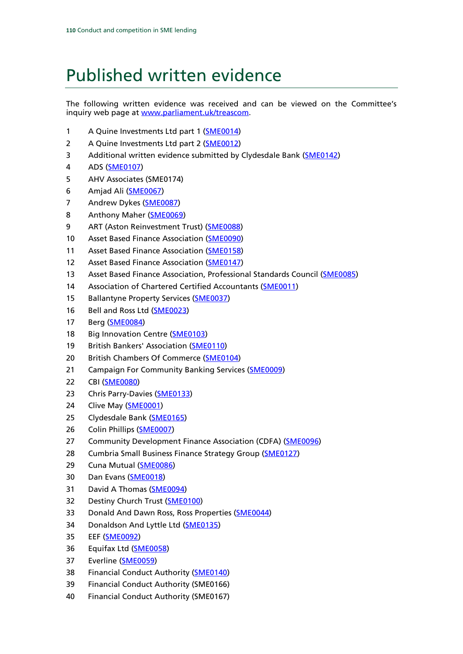# Published written evidence

The following written evidence was received and can be viewed on the Committee's inquiry web page at [www.parliament.uk/t](http://www.parliament.uk/)reascom.

- 1 A Quine Investments Ltd part 1 [\(SME0014\)](http://data.parliament.uk/WrittenEvidence/CommitteeEvidence.svc/EvidenceDocument/Treasury/SME%20Lending/written/7382.html)
- 2 A Quine Investments Ltd part 2 (**SME0012**)
- 3 Additional written evidence submitted by Clydesdale Bank [\(SME0142\)](http://data.parliament.uk/WrittenEvidence/CommitteeEvidence.svc/EvidenceDocument/Treasury/SME%20Lending/written/10668.html)
- 4 ADS [\(SME0107\)](http://data.parliament.uk/WrittenEvidence/CommitteeEvidence.svc/EvidenceDocument/Treasury/SME%20Lending/written/8137.html)
- 5 AHV Associates (SME0174)
- 6 Amjad Ali [\(SME0067\)](http://data.parliament.uk/WrittenEvidence/CommitteeEvidence.svc/EvidenceDocument/Treasury/SME%20Lending/written/8058.html)
- 7 Andrew Dykes [\(SME0087\)](http://data.parliament.uk/WrittenEvidence/CommitteeEvidence.svc/EvidenceDocument/Treasury/SME%20Lending/written/8098.html)
- 8 Anthony Maher [\(SME0069\)](http://data.parliament.uk/WrittenEvidence/CommitteeEvidence.svc/EvidenceDocument/Treasury/SME%20Lending/written/8061.html)
- 9 ART (Aston Reinvestment Trust) [\(SME0088\)](http://data.parliament.uk/WrittenEvidence/CommitteeEvidence.svc/EvidenceDocument/Treasury/SME%20Lending/written/8100.html)
- 10 Asset Based Finance Association [\(SME0090\)](http://data.parliament.uk/WrittenEvidence/CommitteeEvidence.svc/EvidenceDocument/Treasury/SME%20Lending/written/8102.html)
- 11 Asset Based Finance Association [\(SME0158\)](http://data.parliament.uk/WrittenEvidence/CommitteeEvidence.svc/EvidenceDocument/Treasury/SME%20Lending/written/12355.html)
- 12 Asset Based Finance Association [\(SME0147\)](http://data.parliament.uk/WrittenEvidence/CommitteeEvidence.svc/EvidenceDocument/Treasury/SME%20Lending/written/11095.html)
- 13 Asset Based Finance Association, Professional Standards Council [\(SME0085\)](http://data.parliament.uk/WrittenEvidence/CommitteeEvidence.svc/EvidenceDocument/Treasury/SME%20Lending/written/8090.html)
- 14 Association of Chartered Certified Accountants [\(SME0011\)](http://data.parliament.uk/WrittenEvidence/CommitteeEvidence.svc/EvidenceDocument/Treasury/SME%20Lending/written/7375.html)
- 15 Ballantyne Property Services [\(SME0037\)](http://data.parliament.uk/WrittenEvidence/CommitteeEvidence.svc/EvidenceDocument/Treasury/SME%20Lending/written/7948.html)
- 16 Bell and Ross Ltd [\(SME0023\)](http://data.parliament.uk/WrittenEvidence/CommitteeEvidence.svc/EvidenceDocument/Treasury/SME%20Lending/written/7913.html)
- 17 Berg [\(SME0084\)](http://data.parliament.uk/WrittenEvidence/CommitteeEvidence.svc/EvidenceDocument/Treasury/SME%20Lending/written/8089.html)
- 18 Big Innovation Centre [\(SME0103\)](http://data.parliament.uk/WrittenEvidence/CommitteeEvidence.svc/EvidenceDocument/Treasury/SME%20Lending/written/8128.html)
- 19 British Bankers' Association (**SME0110**)
- 20 British Chambers Of Commerce [\(SME0104\)](http://data.parliament.uk/WrittenEvidence/CommitteeEvidence.svc/EvidenceDocument/Treasury/SME%20Lending/written/8130.html)
- 21 Campaign For Community Banking Services [\(SME0009\)](http://data.parliament.uk/WrittenEvidence/CommitteeEvidence.svc/EvidenceDocument/Treasury/SME%20Lending/written/7062.html)
- 22 CBI [\(SME0080\)](http://data.parliament.uk/WrittenEvidence/CommitteeEvidence.svc/EvidenceDocument/Treasury/SME%20Lending/written/8081.html)
- 23 Chris Parry-Davies [\(SME0133\)](http://data.parliament.uk/WrittenEvidence/CommitteeEvidence.svc/EvidenceDocument/Treasury/SME%20Lending/written/9547.html)
- 24 Clive May [\(SME0001\)](http://data.parliament.uk/WrittenEvidence/CommitteeEvidence.svc/EvidenceDocument/Treasury/SME%20Lending/written/6470.html)
- 25 Clydesdale Bank [\(SME0165\)](http://data.parliament.uk/WrittenEvidence/CommitteeEvidence.svc/EvidenceDocument/Treasury/SME%20Lending/written/18394.html)
- 26 Colin Phillips [\(SME0007\)](http://data.parliament.uk/WrittenEvidence/CommitteeEvidence.svc/EvidenceDocument/Treasury/SME%20Lending/written/7003.html)
- 27 Community Development Finance Association (CDFA) [\(SME0096\)](http://data.parliament.uk/WrittenEvidence/CommitteeEvidence.svc/EvidenceDocument/Treasury/SME%20Lending/written/8117.html)
- 28 Cumbria Small Business Finance Strategy Group [\(SME0127\)](http://data.parliament.uk/WrittenEvidence/CommitteeEvidence.svc/EvidenceDocument/Treasury/SME%20Lending/written/8389.html)
- 29 Cuna Mutual [\(SME0086\)](http://data.parliament.uk/WrittenEvidence/CommitteeEvidence.svc/EvidenceDocument/Treasury/SME%20Lending/written/8096.html)
- 30 Dan Evans [\(SME0018\)](http://data.parliament.uk/WrittenEvidence/CommitteeEvidence.svc/EvidenceDocument/Treasury/SME%20Lending/written/7536.html)
- 31 David A Thomas [\(SME0094\)](http://data.parliament.uk/WrittenEvidence/CommitteeEvidence.svc/EvidenceDocument/Treasury/SME%20Lending/written/8112.html)
- 32 Destiny Church Trust [\(SME0100\)](http://data.parliament.uk/WrittenEvidence/CommitteeEvidence.svc/EvidenceDocument/Treasury/SME%20Lending/written/8123.html)
- 33 Donald And Dawn Ross, Ross Properties [\(SME0044\)](http://data.parliament.uk/WrittenEvidence/CommitteeEvidence.svc/EvidenceDocument/Treasury/SME%20Lending/written/7986.html)
- 34 Donaldson And Lyttle Ltd [\(SME0135\)](http://data.parliament.uk/WrittenEvidence/CommitteeEvidence.svc/EvidenceDocument/Treasury/SME%20Lending/written/9692.html)
- 35 EEF [\(SME0092\)](http://data.parliament.uk/WrittenEvidence/CommitteeEvidence.svc/EvidenceDocument/Treasury/SME%20Lending/written/8107.html)
- 36 Equifax Ltd [\(SME0058\)](http://data.parliament.uk/WrittenEvidence/CommitteeEvidence.svc/EvidenceDocument/Treasury/SME%20Lending/written/8036.html)
- 37 Everline [\(SME0059\)](http://data.parliament.uk/WrittenEvidence/CommitteeEvidence.svc/EvidenceDocument/Treasury/SME%20Lending/written/8044.html)
- 38 Financial Conduct Authority [\(SME0140\)](http://data.parliament.uk/WrittenEvidence/CommitteeEvidence.svc/EvidenceDocument/Treasury/SME%20Lending/written/10434.html)
- 39 Financial Conduct Authority (SME0166)
- 40 Financial Conduct Authority (SME0167)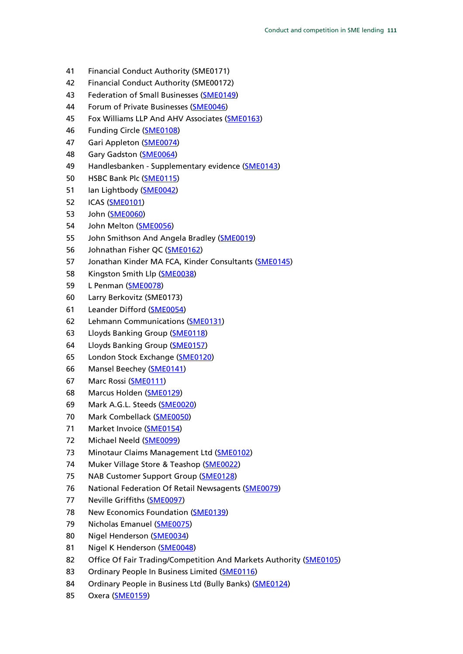- 41 Financial Conduct Authority (SME0171)
- 42 Financial Conduct Authority (SME00172)
- 43 Federation of Small Businesses [\(SME0149\)](http://data.parliament.uk/WrittenEvidence/CommitteeEvidence.svc/EvidenceDocument/Treasury/SME%20Lending/written/11293.html)
- 44 Forum of Private Businesses [\(SME0046\)](http://data.parliament.uk/WrittenEvidence/CommitteeEvidence.svc/EvidenceDocument/Treasury/SME%20Lending/written/7995.html)
- 45 Fox Williams LLP And AHV Associates [\(SME0163\)](http://data.parliament.uk/WrittenEvidence/CommitteeEvidence.svc/EvidenceDocument/Treasury/SME%20Lending/written/18373.html)
- 46 Funding Circle [\(SME0108\)](http://data.parliament.uk/WrittenEvidence/CommitteeEvidence.svc/EvidenceDocument/Treasury/SME%20Lending/written/8138.html)
- 47 Gari Appleton [\(SME0074\)](http://data.parliament.uk/WrittenEvidence/CommitteeEvidence.svc/EvidenceDocument/Treasury/SME%20Lending/written/8066.html)
- 48 Gary Gadston [\(SME0064\)](http://data.parliament.uk/WrittenEvidence/CommitteeEvidence.svc/EvidenceDocument/Treasury/SME%20Lending/written/8055.html)
- 49 Handlesbanken Supplementary evidence [\(SME0143\)](http://data.parliament.uk/WrittenEvidence/CommitteeEvidence.svc/EvidenceDocument/Treasury/SME%20Lending/written/10922.html)
- 50 HSBC Bank Plc [\(SME0115\)](http://data.parliament.uk/WrittenEvidence/CommitteeEvidence.svc/EvidenceDocument/Treasury/SME%20Lending/written/8240.html)
- 51 Ian Lightbody [\(SME0042\)](http://data.parliament.uk/WrittenEvidence/CommitteeEvidence.svc/EvidenceDocument/Treasury/SME%20Lending/written/7974.html)
- 52 ICAS [\(SME0101\)](http://data.parliament.uk/WrittenEvidence/CommitteeEvidence.svc/EvidenceDocument/Treasury/SME%20Lending/written/8126.html)
- 53 John [\(SME0060\)](http://data.parliament.uk/WrittenEvidence/CommitteeEvidence.svc/EvidenceDocument/Treasury/SME%20Lending/written/8048.html)
- 54 John Melton [\(SME0056\)](http://data.parliament.uk/WrittenEvidence/CommitteeEvidence.svc/EvidenceDocument/Treasury/SME%20Lending/written/8030.html)
- 55 John Smithson And Angela Bradley [\(SME0019\)](http://data.parliament.uk/WrittenEvidence/CommitteeEvidence.svc/EvidenceDocument/Treasury/SME%20Lending/written/7722.html)
- 56 Johnathan Fisher QC [\(SME0162\)](http://data.parliament.uk/WrittenEvidence/CommitteeEvidence.svc/EvidenceDocument/Treasury/SME%20Lending/written/17995.html)
- 57 Jonathan Kinder MA FCA, Kinder Consultants [\(SME0145\)](http://data.parliament.uk/WrittenEvidence/CommitteeEvidence.svc/EvidenceDocument/Treasury/SME%20Lending/written/10966.html)
- 58 Kingston Smith Llp [\(SME0038\)](http://data.parliament.uk/WrittenEvidence/CommitteeEvidence.svc/EvidenceDocument/Treasury/SME%20Lending/written/7951.html)
- 59 L Penman [\(SME0078\)](http://data.parliament.uk/WrittenEvidence/CommitteeEvidence.svc/EvidenceDocument/Treasury/SME%20Lending/written/8072.html)
- 60 Larry Berkovitz (SME0173)
- 61 Leander Difford [\(SME0054\)](http://data.parliament.uk/WrittenEvidence/CommitteeEvidence.svc/EvidenceDocument/Treasury/SME%20Lending/written/8026.html)
- 62 Lehmann Communications [\(SME0131\)](http://data.parliament.uk/WrittenEvidence/CommitteeEvidence.svc/EvidenceDocument/Treasury/SME%20Lending/written/9125.html)
- 63 Lloyds Banking Group [\(SME0118\)](http://data.parliament.uk/WrittenEvidence/CommitteeEvidence.svc/EvidenceDocument/Treasury/SME%20Lending/written/8256.html)
- 64 Lloyds Banking Group [\(SME0157\)](http://data.parliament.uk/WrittenEvidence/CommitteeEvidence.svc/EvidenceDocument/Treasury/SME%20Lending/written/12076.html)
- 65 London Stock Exchange [\(SME0120\)](http://data.parliament.uk/WrittenEvidence/CommitteeEvidence.svc/EvidenceDocument/Treasury/SME%20Lending/written/8316.html)
- 66 Mansel Beechey [\(SME0141\)](http://data.parliament.uk/WrittenEvidence/CommitteeEvidence.svc/EvidenceDocument/Treasury/SME%20Lending/written/10450.html)
- 67 Marc Rossi [\(SME0111\)](http://data.parliament.uk/WrittenEvidence/CommitteeEvidence.svc/EvidenceDocument/Treasury/SME%20Lending/written/8141.html)
- 68 Marcus Holden [\(SME0129\)](http://data.parliament.uk/WrittenEvidence/CommitteeEvidence.svc/EvidenceDocument/Treasury/SME%20Lending/written/8829.html)
- 69 Mark A.G.L. Steeds [\(SME0020\)](http://data.parliament.uk/WrittenEvidence/CommitteeEvidence.svc/EvidenceDocument/Treasury/SME%20Lending/written/7814.html)
- 70 Mark Combellack [\(SME0050\)](http://data.parliament.uk/WrittenEvidence/CommitteeEvidence.svc/EvidenceDocument/Treasury/SME%20Lending/written/8012.html)
- 71 Market Invoice [\(SME0154\)](http://data.parliament.uk/WrittenEvidence/CommitteeEvidence.svc/EvidenceDocument/Treasury/SME%20Lending/written/11574.html)
- 72 Michael Neeld [\(SME0099\)](http://data.parliament.uk/WrittenEvidence/CommitteeEvidence.svc/EvidenceDocument/Treasury/SME%20Lending/written/8122.html)
- 73 Minotaur Claims Management Ltd [\(SME0102\)](http://data.parliament.uk/WrittenEvidence/CommitteeEvidence.svc/EvidenceDocument/Treasury/SME%20Lending/written/8127.html)
- 74 Muker Village Store & Teashop [\(SME0022\)](http://data.parliament.uk/WrittenEvidence/CommitteeEvidence.svc/EvidenceDocument/Treasury/SME%20Lending/written/7909.html)
- 75 NAB Customer Support Group [\(SME0128\)](http://data.parliament.uk/WrittenEvidence/CommitteeEvidence.svc/EvidenceDocument/Treasury/SME%20Lending/written/8790.html)
- 76 National Federation Of Retail Newsagents [\(SME0079\)](http://data.parliament.uk/WrittenEvidence/CommitteeEvidence.svc/EvidenceDocument/Treasury/SME%20Lending/written/8078.html)
- 77 Neville Griffiths [\(SME0097\)](http://data.parliament.uk/WrittenEvidence/CommitteeEvidence.svc/EvidenceDocument/Treasury/SME%20Lending/written/8118.html)
- 78 New Economics Foundation [\(SME0139\)](http://data.parliament.uk/WrittenEvidence/CommitteeEvidence.svc/EvidenceDocument/Treasury/SME%20Lending/written/10432.html)
- 79 Nicholas Emanuel [\(SME0075\)](http://data.parliament.uk/WrittenEvidence/CommitteeEvidence.svc/EvidenceDocument/Treasury/SME%20Lending/written/8068.html)
- 80 Nigel Henderson [\(SME0034\)](http://data.parliament.uk/WrittenEvidence/CommitteeEvidence.svc/EvidenceDocument/Treasury/SME%20Lending/written/7934.html)
- 81 Nigel K Henderson [\(SME0048\)](http://data.parliament.uk/WrittenEvidence/CommitteeEvidence.svc/EvidenceDocument/Treasury/SME%20Lending/written/8003.html)
- 82 Office Of Fair Trading/Competition And Markets Authority [\(SME0105\)](http://data.parliament.uk/WrittenEvidence/CommitteeEvidence.svc/EvidenceDocument/Treasury/SME%20Lending/written/8132.html)
- 83 Ordinary People In Business Limited [\(SME0116\)](http://data.parliament.uk/WrittenEvidence/CommitteeEvidence.svc/EvidenceDocument/Treasury/SME%20Lending/written/8244.html)
- 84 Ordinary People in Business Ltd (Bully Banks) [\(SME0124\)](http://data.parliament.uk/WrittenEvidence/CommitteeEvidence.svc/EvidenceDocument/Treasury/SME%20Lending/written/8361.html)
- 85 Oxera [\(SME0159\)](http://data.parliament.uk/WrittenEvidence/CommitteeEvidence.svc/EvidenceDocument/Treasury/SME%20Lending/written/12589.html)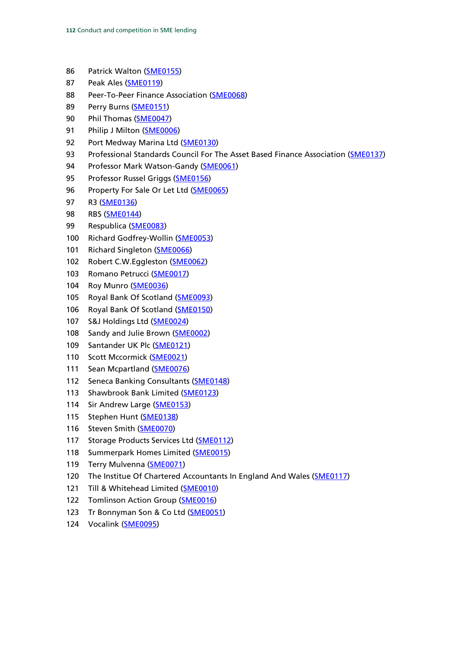- 86 Patrick Walton [\(SME0155\)](http://data.parliament.uk/WrittenEvidence/CommitteeEvidence.svc/EvidenceDocument/Treasury/SME%20Lending/written/11688.html)
- 87 Peak Ales [\(SME0119\)](http://data.parliament.uk/WrittenEvidence/CommitteeEvidence.svc/EvidenceDocument/Treasury/SME%20Lending/written/8259.html)
- 88 Peer-To-Peer Finance Association [\(SME0068\)](http://data.parliament.uk/WrittenEvidence/CommitteeEvidence.svc/EvidenceDocument/Treasury/SME%20Lending/written/8060.html)
- 89 Perry Burns [\(SME0151\)](http://data.parliament.uk/WrittenEvidence/CommitteeEvidence.svc/EvidenceDocument/Treasury/SME%20Lending/written/11404.html)
- 90 Phil Thomas [\(SME0047\)](http://data.parliament.uk/WrittenEvidence/CommitteeEvidence.svc/EvidenceDocument/Treasury/SME%20Lending/written/7999.html)
- 91 Philip J Milton [\(SME0006\)](http://data.parliament.uk/WrittenEvidence/CommitteeEvidence.svc/EvidenceDocument/Treasury/SME%20Lending/written/6825.html)
- 92 Port Medway Marina Ltd [\(SME0130\)](http://data.parliament.uk/WrittenEvidence/CommitteeEvidence.svc/EvidenceDocument/Treasury/SME%20Lending/written/8900.html)
- 93 Professional Standards Council For The Asset Based Finance Association [\(SME0137\)](http://data.parliament.uk/WrittenEvidence/CommitteeEvidence.svc/EvidenceDocument/Treasury/SME%20Lending/written/10332.html)
- 94 Professor Mark Watson-Gandy [\(SME0061\)](http://data.parliament.uk/WrittenEvidence/CommitteeEvidence.svc/EvidenceDocument/Treasury/SME%20Lending/written/8052.html)
- 95 Professor Russel Griggs [\(SME0156\)](http://data.parliament.uk/WrittenEvidence/CommitteeEvidence.svc/EvidenceDocument/Treasury/SME%20Lending/written/11789.html)
- 96 Property For Sale Or Let Ltd [\(SME0065\)](http://data.parliament.uk/WrittenEvidence/CommitteeEvidence.svc/EvidenceDocument/Treasury/SME%20Lending/written/8056.html)
- 97 R3 [\(SME0136\)](http://data.parliament.uk/WrittenEvidence/CommitteeEvidence.svc/EvidenceDocument/Treasury/SME%20Lending/written/10063.html)
- 98 RBS [\(SME0144\)](http://data.parliament.uk/WrittenEvidence/CommitteeEvidence.svc/EvidenceDocument/Treasury/SME%20Lending/written/10964.html)
- 99 Respublica [\(SME0083\)](http://data.parliament.uk/WrittenEvidence/CommitteeEvidence.svc/EvidenceDocument/Treasury/SME%20Lending/written/8087.html)
- 100 Richard Godfrey-Wollin [\(SME0053\)](http://data.parliament.uk/WrittenEvidence/CommitteeEvidence.svc/EvidenceDocument/Treasury/SME%20Lending/written/8018.html)
- 101 Richard Singleton [\(SME0066\)](http://data.parliament.uk/WrittenEvidence/CommitteeEvidence.svc/EvidenceDocument/Treasury/SME%20Lending/written/8057.html)
- 102 Robert C.W.Eggleston [\(SME0062\)](http://data.parliament.uk/WrittenEvidence/CommitteeEvidence.svc/EvidenceDocument/Treasury/SME%20Lending/written/8053.html)
- 103 Romano Petrucci [\(SME0017\)](http://data.parliament.uk/WrittenEvidence/CommitteeEvidence.svc/EvidenceDocument/Treasury/SME%20Lending/written/7507.html)
- 104 Roy Munro [\(SME0036\)](http://data.parliament.uk/WrittenEvidence/CommitteeEvidence.svc/EvidenceDocument/Treasury/SME%20Lending/written/7937.html)
- 105 Royal Bank Of Scotland [\(SME0093\)](http://data.parliament.uk/WrittenEvidence/CommitteeEvidence.svc/EvidenceDocument/Treasury/SME%20Lending/written/8109.html)
- 106 Royal Bank Of Scotland [\(SME0150\)](http://data.parliament.uk/WrittenEvidence/CommitteeEvidence.svc/EvidenceDocument/Treasury/SME%20Lending/written/11373.html)
- 107 S&J Holdings Ltd [\(SME0024\)](http://data.parliament.uk/WrittenEvidence/CommitteeEvidence.svc/EvidenceDocument/Treasury/SME%20Lending/written/7916.html)
- 108 Sandy and Julie Brown [\(SME0002\)](http://data.parliament.uk/WrittenEvidence/CommitteeEvidence.svc/EvidenceDocument/Treasury/SME%20Lending/written/6818.html)
- 109 Santander UK Plc [\(SME0121\)](http://data.parliament.uk/WrittenEvidence/CommitteeEvidence.svc/EvidenceDocument/Treasury/SME%20Lending/written/8345.html)
- 110 Scott Mccormick [\(SME0021\)](http://data.parliament.uk/WrittenEvidence/CommitteeEvidence.svc/EvidenceDocument/Treasury/SME%20Lending/written/7903.html)
- 111 Sean Mcpartland [\(SME0076\)](http://data.parliament.uk/WrittenEvidence/CommitteeEvidence.svc/EvidenceDocument/Treasury/SME%20Lending/written/8070.html)
- 112 Seneca Banking Consultants [\(SME0148\)](http://data.parliament.uk/WrittenEvidence/CommitteeEvidence.svc/EvidenceDocument/Treasury/SME%20Lending/written/11102.html)
- 113 Shawbrook Bank Limited [\(SME0123\)](http://data.parliament.uk/WrittenEvidence/CommitteeEvidence.svc/EvidenceDocument/Treasury/SME%20Lending/written/8360.html)
- 114 Sir Andrew Large [\(SME0153\)](http://data.parliament.uk/WrittenEvidence/CommitteeEvidence.svc/EvidenceDocument/Treasury/SME%20Lending/written/11499.html)
- 115 Stephen Hunt [\(SME0138\)](http://data.parliament.uk/WrittenEvidence/CommitteeEvidence.svc/EvidenceDocument/Treasury/SME%20Lending/written/10429.html)
- 116 Steven Smith [\(SME0070\)](http://data.parliament.uk/WrittenEvidence/CommitteeEvidence.svc/EvidenceDocument/Treasury/SME%20Lending/written/8062.html)
- 117 Storage Products Services Ltd [\(SME0112\)](http://data.parliament.uk/WrittenEvidence/CommitteeEvidence.svc/EvidenceDocument/Treasury/SME%20Lending/written/8143.html)
- 118 Summerpark Homes Limited [\(SME0015\)](http://data.parliament.uk/WrittenEvidence/CommitteeEvidence.svc/EvidenceDocument/Treasury/SME%20Lending/written/7418.html)
- 119 Terry Mulvenna [\(SME0071\)](http://data.parliament.uk/WrittenEvidence/CommitteeEvidence.svc/EvidenceDocument/Treasury/SME%20Lending/written/8063.html)
- 120 The Institue Of Chartered Accountants In England And Wales [\(SME0117\)](http://data.parliament.uk/WrittenEvidence/CommitteeEvidence.svc/EvidenceDocument/Treasury/SME%20Lending/written/8249.html)
- 121 Till & Whitehead Limited [\(SME0010\)](http://data.parliament.uk/WrittenEvidence/CommitteeEvidence.svc/EvidenceDocument/Treasury/SME%20Lending/written/7326.html)
- 122 Tomlinson Action Group [\(SME0016\)](http://data.parliament.uk/WrittenEvidence/CommitteeEvidence.svc/EvidenceDocument/Treasury/SME%20Lending/written/7469.html)
- 123 Tr Bonnyman Son & Co Ltd [\(SME0051\)](http://data.parliament.uk/WrittenEvidence/CommitteeEvidence.svc/EvidenceDocument/Treasury/SME%20Lending/written/8013.html)
- 124 Vocalink [\(SME0095\)](http://data.parliament.uk/WrittenEvidence/CommitteeEvidence.svc/EvidenceDocument/Treasury/SME%20Lending/written/8113.html)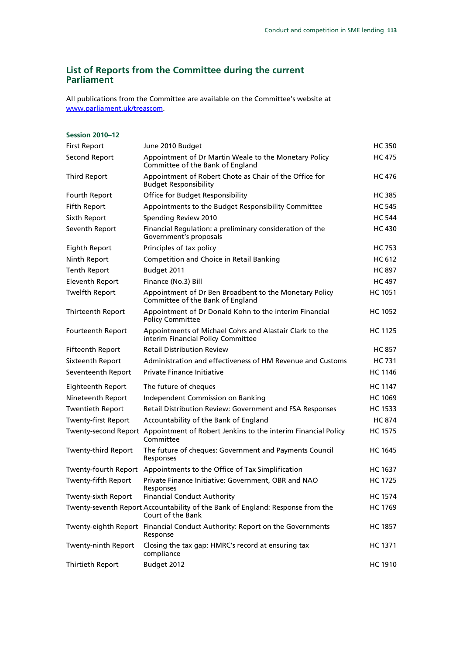### **List of Reports from the Committee during the current Parliament**

All publications from the Committee are available on the Committee's website at www.parliament.uk/treascom.

| <b>Session 2010-12</b>     |                                                                                                     |                |
|----------------------------|-----------------------------------------------------------------------------------------------------|----------------|
| <b>First Report</b>        | June 2010 Budget                                                                                    | HC 350         |
| Second Report              | Appointment of Dr Martin Weale to the Monetary Policy<br>Committee of the Bank of England           | HC 475         |
| <b>Third Report</b>        | Appointment of Robert Chote as Chair of the Office for<br><b>Budget Responsibility</b>              | HC 476         |
| Fourth Report              | Office for Budget Responsibility                                                                    | HC 385         |
| <b>Fifth Report</b>        | Appointments to the Budget Responsibility Committee                                                 | <b>HC 545</b>  |
| Sixth Report               | Spending Review 2010                                                                                | <b>HC 544</b>  |
| Seventh Report             | Financial Regulation: a preliminary consideration of the<br>Government's proposals                  | HC 430         |
| <b>Eighth Report</b>       | Principles of tax policy                                                                            | HC 753         |
| Ninth Report               | Competition and Choice in Retail Banking                                                            | HC 612         |
| <b>Tenth Report</b>        | Budget 2011                                                                                         | <b>HC 897</b>  |
| <b>Eleventh Report</b>     | Finance (No.3) Bill                                                                                 | <b>HC 497</b>  |
| <b>Twelfth Report</b>      | Appointment of Dr Ben Broadbent to the Monetary Policy<br>Committee of the Bank of England          | <b>HC 1051</b> |
| Thirteenth Report          | Appointment of Dr Donald Kohn to the interim Financial<br><b>Policy Committee</b>                   | HC 1052        |
| Fourteenth Report          | Appointments of Michael Cohrs and Alastair Clark to the<br>interim Financial Policy Committee       | HC 1125        |
| Fifteenth Report           | <b>Retail Distribution Review</b>                                                                   | HC 857         |
| Sixteenth Report           | Administration and effectiveness of HM Revenue and Customs                                          | HC 731         |
| Seventeenth Report         | <b>Private Finance Initiative</b>                                                                   | <b>HC 1146</b> |
| Eighteenth Report          | The future of cheques                                                                               | <b>HC 1147</b> |
| Nineteenth Report          | Independent Commission on Banking                                                                   | HC 1069        |
| <b>Twentieth Report</b>    | Retail Distribution Review: Government and FSA Responses                                            | HC 1533        |
| <b>Twenty-first Report</b> | Accountability of the Bank of England                                                               | <b>HC 874</b>  |
|                            | Twenty-second Report Appointment of Robert Jenkins to the interim Financial Policy<br>Committee     | <b>HC 1575</b> |
| <b>Twenty-third Report</b> | The future of cheques: Government and Payments Council<br>Responses                                 | <b>HC 1645</b> |
|                            | Twenty-fourth Report Appointments to the Office of Tax Simplification                               | HC 1637        |
| Twenty-fifth Report        | Private Finance Initiative: Government, OBR and NAO                                                 | <b>HC 1725</b> |
| Twenty-sixth Report        | Responses<br><b>Financial Conduct Authority</b>                                                     | <b>HC 1574</b> |
|                            | Twenty-seventh Report Accountability of the Bank of England: Response from the<br>Court of the Bank | HC 1769        |
|                            | Twenty-eighth Report Financial Conduct Authority: Report on the Governments<br>Response             | <b>HC 1857</b> |
| Twenty-ninth Report        | Closing the tax gap: HMRC's record at ensuring tax<br>compliance                                    | HC 1371        |
| <b>Thirtieth Report</b>    | Budget 2012                                                                                         | <b>HC 1910</b> |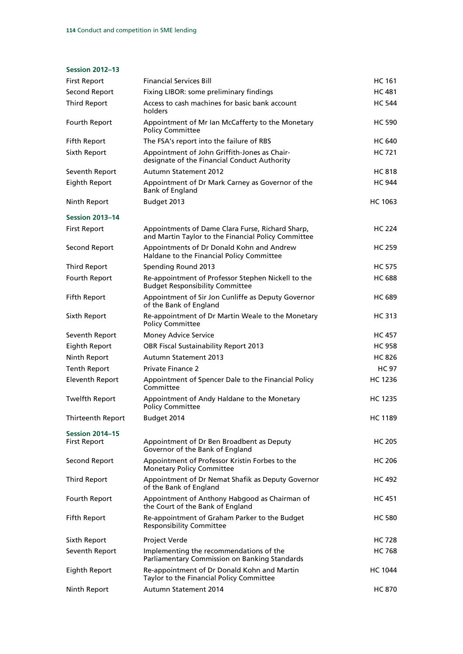#### **Session 2012–13**

| <b>First Report</b>                           | <b>Financial Services Bill</b>                                                                          | HC 161         |
|-----------------------------------------------|---------------------------------------------------------------------------------------------------------|----------------|
| Second Report                                 | Fixing LIBOR: some preliminary findings                                                                 | HC 481         |
| <b>Third Report</b>                           | Access to cash machines for basic bank account<br>holders                                               | <b>HC 544</b>  |
| Fourth Report                                 | Appointment of Mr Ian McCafferty to the Monetary<br><b>Policy Committee</b>                             | <b>HC 590</b>  |
| <b>Fifth Report</b>                           | The FSA's report into the failure of RBS                                                                | <b>HC 640</b>  |
| Sixth Report                                  | Appointment of John Griffith-Jones as Chair-<br>designate of the Financial Conduct Authority            | <b>HC 721</b>  |
| Seventh Report                                | <b>Autumn Statement 2012</b>                                                                            | <b>HC 818</b>  |
| <b>Eighth Report</b>                          | Appointment of Dr Mark Carney as Governor of the<br><b>Bank of England</b>                              | <b>HC 944</b>  |
| Ninth Report                                  | Budget 2013                                                                                             | HC 1063        |
| <b>Session 2013-14</b>                        |                                                                                                         |                |
| <b>First Report</b>                           | Appointments of Dame Clara Furse, Richard Sharp,<br>and Martin Taylor to the Financial Policy Committee | <b>HC 224</b>  |
| Second Report                                 | Appointments of Dr Donald Kohn and Andrew<br>Haldane to the Financial Policy Committee                  | <b>HC 259</b>  |
| <b>Third Report</b>                           | Spending Round 2013                                                                                     | <b>HC 575</b>  |
| Fourth Report                                 | Re-appointment of Professor Stephen Nickell to the<br><b>Budget Responsibility Committee</b>            | <b>HC 688</b>  |
| <b>Fifth Report</b>                           | Appointment of Sir Jon Cunliffe as Deputy Governor<br>of the Bank of England                            | <b>HC 689</b>  |
| Sixth Report                                  | Re-appointment of Dr Martin Weale to the Monetary<br><b>Policy Committee</b>                            | HC 313         |
| Seventh Report                                | <b>Money Advice Service</b>                                                                             | <b>HC 457</b>  |
| Eighth Report                                 | <b>OBR Fiscal Sustainability Report 2013</b>                                                            | <b>HC 958</b>  |
| Ninth Report                                  | <b>Autumn Statement 2013</b>                                                                            | <b>HC 826</b>  |
| <b>Tenth Report</b>                           | <b>Private Finance 2</b>                                                                                | <b>HC 97</b>   |
| <b>Eleventh Report</b>                        | Appointment of Spencer Dale to the Financial Policy<br>Committee                                        | <b>HC 1236</b> |
| <b>Twelfth Report</b>                         | Appointment of Andy Haldane to the Monetary<br><b>Policy Committee</b>                                  | <b>HC 1235</b> |
| Thirteenth Report                             | Budget 2014                                                                                             | HC 1189        |
| <b>Session 2014-15</b><br><b>First Report</b> | Appointment of Dr Ben Broadbent as Deputy<br>Governor of the Bank of England                            | <b>HC 205</b>  |
| Second Report                                 | Appointment of Professor Kristin Forbes to the<br><b>Monetary Policy Committee</b>                      | HC 206         |
| <b>Third Report</b>                           | Appointment of Dr Nemat Shafik as Deputy Governor<br>of the Bank of England                             | <b>HC 492</b>  |
| Fourth Report                                 | Appointment of Anthony Habgood as Chairman of<br>the Court of the Bank of England                       | <b>HC 451</b>  |
| <b>Fifth Report</b>                           | Re-appointment of Graham Parker to the Budget<br><b>Responsibility Committee</b>                        | <b>HC 580</b>  |
| Sixth Report                                  | Project Verde                                                                                           | <b>HC 728</b>  |
| Seventh Report                                | Implementing the recommendations of the<br>Parliamentary Commission on Banking Standards                | <b>HC 768</b>  |
| Eighth Report                                 | Re-appointment of Dr Donald Kohn and Martin<br>Taylor to the Financial Policy Committee                 | HC 1044        |
| Ninth Report                                  | Autumn Statement 2014                                                                                   | <b>HC 870</b>  |